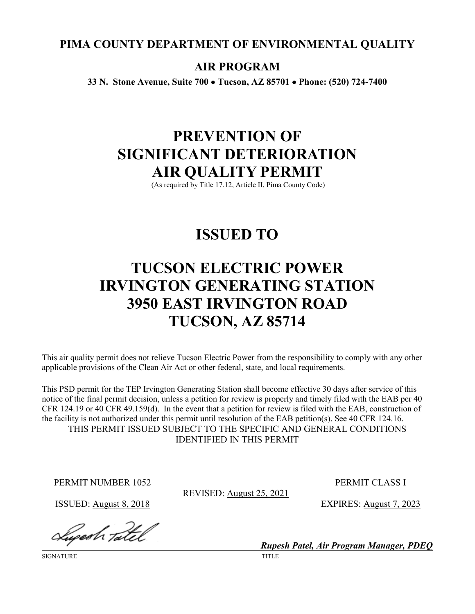# **PIMA COUNTY DEPARTMENT OF ENVIRONMENTAL QUALITY**

# **AIR PROGRAM**

**33 N. Stone Avenue, Suite 700** • **Tucson, AZ 85701** • **Phone: (520) 724-7400**

# **PREVENTION OF SIGNIFICANT DETERIORATION AIR QUALITY PERMIT**

(As required by Title 17.12, Article II, Pima County Code)

# **ISSUED TO**

# **TUCSON ELECTRIC POWER IRVINGTON GENERATING STATION 3950 EAST IRVINGTON ROAD TUCSON, AZ 85714**

This air quality permit does not relieve Tucson Electric Power from the responsibility to comply with any other applicable provisions of the Clean Air Act or other federal, state, and local requirements.

This PSD permit for the TEP Irvington Generating Station shall become effective 30 days after service of this notice of the final permit decision, unless a petition for review is properly and timely filed with the EAB per 40 CFR 124.19 or 40 CFR 49.159(d). In the event that a petition for review is filed with the EAB, construction of the facility is not authorized under this permit until resolution of the EAB petition(s). See 40 CFR 124.16. THIS PERMIT ISSUED SUBJECT TO THE SPECIFIC AND GENERAL CONDITIONS IDENTIFIED IN THIS PERMIT

PERMIT NUMBER 1052 PERMIT CLASS I

REVISED: August 25, 2021

ISSUED: August 8, 2018 EXPIRES: August 7, 2023

Sugesh Tatel

SIGNATURE TITLE

*Rupesh Patel, Air Program Manager, PDEQ*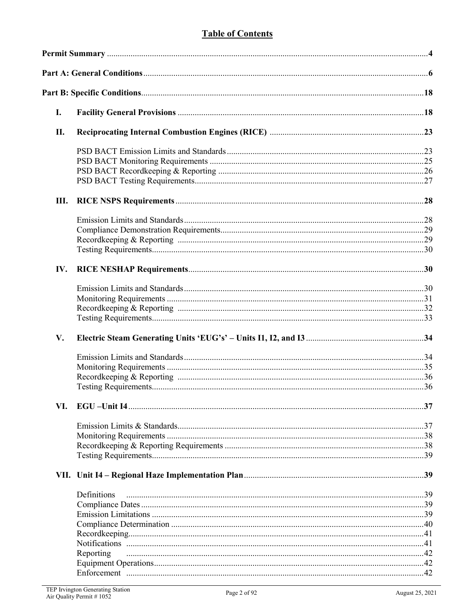# **Table of Contents**

| I.  |             |     |
|-----|-------------|-----|
| П.  |             |     |
|     |             |     |
|     |             |     |
|     |             |     |
|     |             |     |
| Ш.  |             |     |
|     |             |     |
|     |             |     |
|     |             |     |
|     |             |     |
| IV. |             |     |
|     |             |     |
|     |             |     |
|     |             |     |
|     |             |     |
| V.  |             |     |
|     |             |     |
|     |             |     |
|     |             |     |
|     |             |     |
| VI. |             |     |
|     |             |     |
|     |             |     |
|     |             |     |
|     |             |     |
|     |             |     |
|     | Definitions |     |
|     |             |     |
|     |             |     |
|     |             |     |
|     |             |     |
|     |             |     |
|     | Reporting   |     |
|     |             |     |
|     |             | .42 |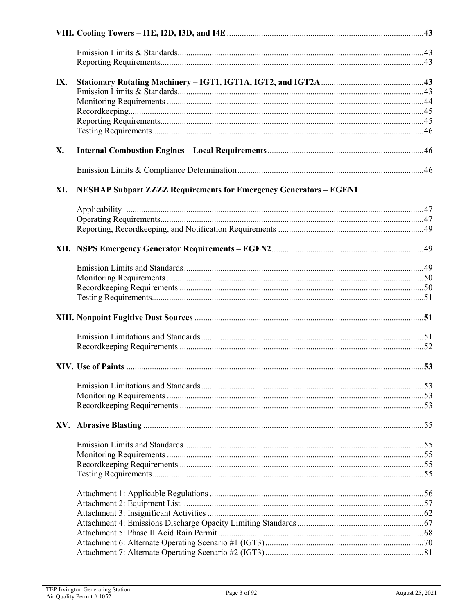| IX. |                                                                          |  |
|-----|--------------------------------------------------------------------------|--|
|     |                                                                          |  |
|     |                                                                          |  |
|     |                                                                          |  |
|     |                                                                          |  |
| X.  |                                                                          |  |
|     |                                                                          |  |
|     |                                                                          |  |
| XI. | <b>NESHAP Subpart ZZZZ Requirements for Emergency Generators - EGEN1</b> |  |
|     |                                                                          |  |
|     |                                                                          |  |
|     |                                                                          |  |
|     |                                                                          |  |
|     |                                                                          |  |
|     |                                                                          |  |
|     |                                                                          |  |
|     |                                                                          |  |
|     |                                                                          |  |
|     |                                                                          |  |
|     |                                                                          |  |
|     |                                                                          |  |
|     |                                                                          |  |
|     |                                                                          |  |
|     |                                                                          |  |
|     |                                                                          |  |
|     |                                                                          |  |
|     |                                                                          |  |
|     |                                                                          |  |
|     |                                                                          |  |
|     |                                                                          |  |
|     |                                                                          |  |
|     |                                                                          |  |
|     |                                                                          |  |
|     |                                                                          |  |
|     |                                                                          |  |
|     |                                                                          |  |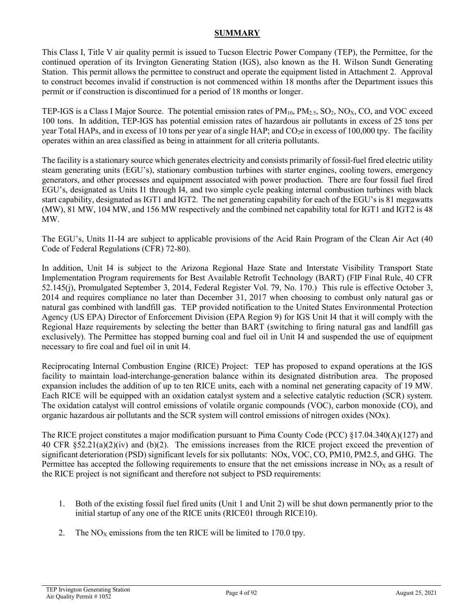#### **SUMMARY**

This Class I, Title V air quality permit is issued to Tucson Electric Power Company (TEP), the Permittee, for the continued operation of its Irvington Generating Station (IGS), also known as the H. Wilson Sundt Generating Station. This permit allows the permittee to construct and operate the equipment listed in Attachment 2. Approval to construct becomes invalid if construction is not commenced within 18 months after the Department issues this permit or if construction is discontinued for a period of 18 months or longer.

TEP-IGS is a Class I Major Source. The potential emission rates of  $PM_{10}$ ,  $PM_{2.5}$ ,  $SO_2$ ,  $NO_X$ ,  $CO$ , and VOC exceed 100 tons. In addition, TEP-IGS has potential emission rates of hazardous air pollutants in excess of 25 tons per year Total HAPs, and in excess of 10 tons per year of a single HAP; and  $CO<sub>2</sub>e$  in excess of 100,000 tpy. The facility operates within an area classified as being in attainment for all criteria pollutants.

The facility is a stationary source which generates electricity and consists primarily of fossil-fuel fired electric utility steam generating units (EGU's), stationary combustion turbines with starter engines, cooling towers, emergency generators, and other processes and equipment associated with power production. There are four fossil fuel fired EGU's, designated as Units I1 through I4, and two simple cycle peaking internal combustion turbines with black start capability, designated as IGT1 and IGT2. The net generating capability for each of the EGU's is 81 megawatts (MW), 81 MW, 104 MW, and 156 MW respectively and the combined net capability total for IGT1 and IGT2 is 48 MW.

The EGU's, Units I1-I4 are subject to applicable provisions of the Acid Rain Program of the Clean Air Act (40 Code of Federal Regulations (CFR) 72-80).

In addition, Unit I4 is subject to the Arizona Regional Haze State and Interstate Visibility Transport State Implementation Program requirements for Best Available Retrofit Technology (BART) (FIP Final Rule, 40 CFR 52.145(j), Promulgated September 3, 2014, Federal Register Vol. 79, No. 170.) This rule is effective October 3, 2014 and requires compliance no later than December 31, 2017 when choosing to combust only natural gas or natural gas combined with landfill gas. TEP provided notification to the United States Environmental Protection Agency (US EPA) Director of Enforcement Division (EPA Region 9) for IGS Unit I4 that it will comply with the Regional Haze requirements by selecting the better than BART (switching to firing natural gas and landfill gas exclusively). The Permittee has stopped burning coal and fuel oil in Unit I4 and suspended the use of equipment necessary to fire coal and fuel oil in unit I4.

Reciprocating Internal Combustion Engine (RICE) Project: TEP has proposed to expand operations at the IGS facility to maintain load-interchange-generation balance within its designated distribution area. The proposed expansion includes the addition of up to ten RICE units, each with a nominal net generating capacity of 19 MW. Each RICE will be equipped with an oxidation catalyst system and a selective catalytic reduction (SCR) system. The oxidation catalyst will control emissions of volatile organic compounds (VOC), carbon monoxide (CO), and organic hazardous air pollutants and the SCR system will control emissions of nitrogen oxides (NOx).

The RICE project constitutes a major modification pursuant to Pima County Code (PCC) §17.04.340(A)(127) and 40 CFR §52.21(a)(2)(iv) and (b)(2). The emissions increases from the RICE project exceed the prevention of significant deterioration (PSD) significant levels for six pollutants: NOx, VOC, CO, PM10, PM2.5, and GHG. The Permittee has accepted the following requirements to ensure that the net emissions increase in  $NO<sub>X</sub>$  as a result of the RICE project is not significant and therefore not subject to PSD requirements:

- 1. Both of the existing fossil fuel fired units (Unit 1 and Unit 2) will be shut down permanently prior to the initial startup of any one of the RICE units (RICE01 through RICE10).
- 2. The  $NO<sub>X</sub>$  emissions from the ten RICE will be limited to 170.0 tpy.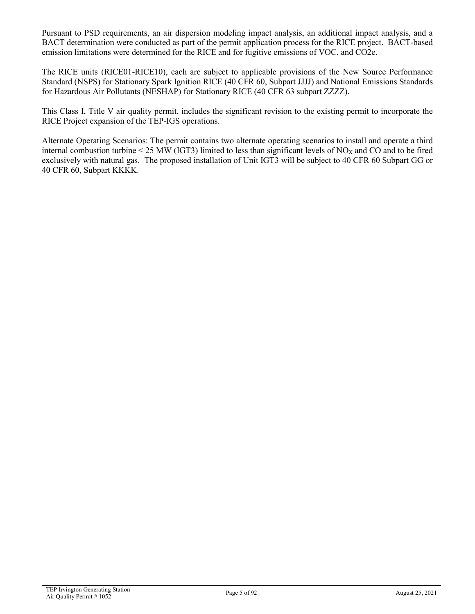Pursuant to PSD requirements, an air dispersion modeling impact analysis, an additional impact analysis, and a BACT determination were conducted as part of the permit application process for the RICE project. BACT-based emission limitations were determined for the RICE and for fugitive emissions of VOC, and CO2e.

The RICE units (RICE01-RICE10), each are subject to applicable provisions of the New Source Performance Standard (NSPS) for Stationary Spark Ignition RICE (40 CFR 60, Subpart JJJJ) and National Emissions Standards for Hazardous Air Pollutants (NESHAP) for Stationary RICE (40 CFR 63 subpart ZZZZ).

This Class I, Title V air quality permit, includes the significant revision to the existing permit to incorporate the RICE Project expansion of the TEP-IGS operations.

Alternate Operating Scenarios: The permit contains two alternate operating scenarios to install and operate a third internal combustion turbine < 25 MW (IGT3) limited to less than significant levels of  $NO<sub>X</sub>$  and CO and to be fired exclusively with natural gas. The proposed installation of Unit IGT3 will be subject to 40 CFR 60 Subpart GG or 40 CFR 60, Subpart KKKK.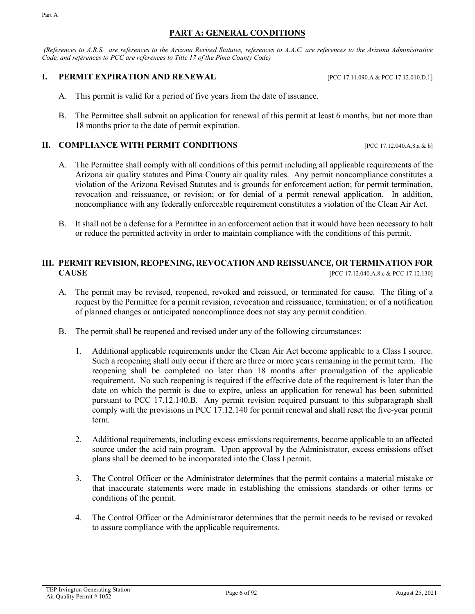#### **PART A: GENERAL CONDITIONS**

*(References to A.R.S. are references to the Arizona Revised Statutes, references to A.A.C. are references to the Arizona Administrative Code, and references to PCC are references to Title 17 of the Pima County Code)*

#### **I. PERMIT EXPIRATION AND RENEWAL** [PCC 17.11.090.A & PCC 17.12.010.D.1]

- This permit is valid for a period of five years from the date of issuance.
- B. The Permittee shall submit an application for renewal of this permit at least 6 months, but not more than 18 months prior to the date of permit expiration.

#### **II. COMPLIANCE WITH PERMIT CONDITIONS** [PCC 17.12.040.A.8.a & b]

- A. The Permittee shall comply with all conditions of this permit including all applicable requirements of the Arizona air quality statutes and Pima County air quality rules. Any permit noncompliance constitutes a violation of the Arizona Revised Statutes and is grounds for enforcement action; for permit termination, revocation and reissuance, or revision; or for denial of a permit renewal application. In addition, noncompliance with any federally enforceable requirement constitutes a violation of the Clean Air Act.
- B. It shall not be a defense for a Permittee in an enforcement action that it would have been necessary to halt or reduce the permitted activity in order to maintain compliance with the conditions of this permit.

### **III. PERMIT REVISION, REOPENING, REVOCATION AND REISSUANCE, OR TERMINATION FOR CAUSE** [PCC 17.12.040.A.8.c & PCC 17.12.130]

- A. The permit may be revised, reopened, revoked and reissued, or terminated for cause. The filing of a request by the Permittee for a permit revision, revocation and reissuance, termination; or of a notification of planned changes or anticipated noncompliance does not stay any permit condition.
- B. The permit shall be reopened and revised under any of the following circumstances:
	- 1. Additional applicable requirements under the Clean Air Act become applicable to a Class I source. Such a reopening shall only occur if there are three or more years remaining in the permit term. The reopening shall be completed no later than 18 months after promulgation of the applicable requirement. No such reopening is required if the effective date of the requirement is later than the date on which the permit is due to expire, unless an application for renewal has been submitted pursuant to PCC 17.12.140.B. Any permit revision required pursuant to this subparagraph shall comply with the provisions in PCC 17.12.140 for permit renewal and shall reset the five-year permit term.
	- 2. Additional requirements, including excess emissions requirements, become applicable to an affected source under the acid rain program. Upon approval by the Administrator, excess emissions offset plans shall be deemed to be incorporated into the Class I permit.
	- 3. The Control Officer or the Administrator determines that the permit contains a material mistake or that inaccurate statements were made in establishing the emissions standards or other terms or conditions of the permit.
	- 4. The Control Officer or the Administrator determines that the permit needs to be revised or revoked to assure compliance with the applicable requirements.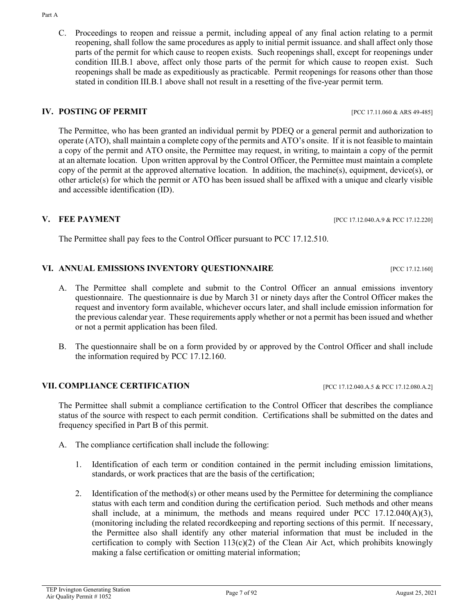C. Proceedings to reopen and reissue a permit, including appeal of any final action relating to a permit reopening, shall follow the same procedures as apply to initial permit issuance. and shall affect only those parts of the permit for which cause to reopen exists. Such reopenings shall, except for reopenings under condition III.B.1 above, affect only those parts of the permit for which cause to reopen exist. Such reopenings shall be made as expeditiously as practicable. Permit reopenings for reasons other than those stated in condition III.B.1 above shall not result in a resetting of the five-year permit term.

# **IV. POSTING OF PERMIT** [PCC 17.11.060 & ARS 49-485]

The Permittee, who has been granted an individual permit by PDEQ or a general permit and authorization to operate (ATO), shall maintain a complete copy of the permits and ATO's onsite. If it is not feasible to maintain a copy of the permit and ATO onsite, the Permittee may request, in writing, to maintain a copy of the permit at an alternate location. Upon written approval by the Control Officer, the Permittee must maintain a complete copy of the permit at the approved alternative location. In addition, the machine(s), equipment, device(s), or other article(s) for which the permit or ATO has been issued shall be affixed with a unique and clearly visible and accessible identification (ID).

# **V. FEE PAYMENT** [PCC 17.12.040.A.9 & PCC 17.12.220]

The Permittee shall pay fees to the Control Officer pursuant to PCC 17.12.510.

# **VI. ANNUAL EMISSIONS INVENTORY QUESTIONNAIRE** [PCC 17.12.160]

- A. The Permittee shall complete and submit to the Control Officer an annual emissions inventory questionnaire. The questionnaire is due by March 31 or ninety days after the Control Officer makes the request and inventory form available, whichever occurs later, and shall include emission information for the previous calendar year. These requirements apply whether or not a permit has been issued and whether or not a permit application has been filed.
- B. The questionnaire shall be on a form provided by or approved by the Control Officer and shall include the information required by PCC 17.12.160.

# **VII. COMPLIANCE CERTIFICATION** [PCC 17.12.040.A.5 & PCC 17.12.080.A.2]

The Permittee shall submit a compliance certification to the Control Officer that describes the compliance status of the source with respect to each permit condition. Certifications shall be submitted on the dates and frequency specified in Part B of this permit.

- A. The compliance certification shall include the following:
	- 1. Identification of each term or condition contained in the permit including emission limitations, standards, or work practices that are the basis of the certification;
	- 2. Identification of the method(s) or other means used by the Permittee for determining the compliance status with each term and condition during the certification period. Such methods and other means shall include, at a minimum, the methods and means required under PCC  $17.12.040(A)(3)$ , (monitoring including the related recordkeeping and reporting sections of this permit. If necessary, the Permittee also shall identify any other material information that must be included in the certification to comply with Section  $113(c)(2)$  of the Clean Air Act, which prohibits knowingly making a false certification or omitting material information;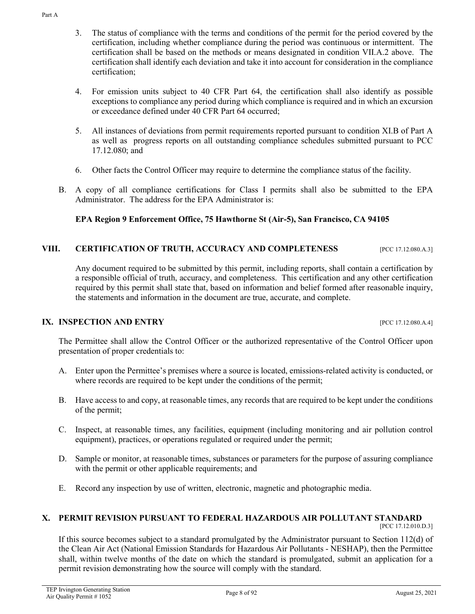- 3. The status of compliance with the terms and conditions of the permit for the period covered by the certification, including whether compliance during the period was continuous or intermittent. The certification shall be based on the methods or means designated in condition VII.A.2 above. The certification shall identify each deviation and take it into account for consideration in the compliance certification;
- 4. For emission units subject to 40 CFR Part 64, the certification shall also identify as possible exceptions to compliance any period during which compliance is required and in which an excursion or exceedance defined under 40 CFR Part 64 occurred;
- 5. All instances of deviations from permit requirements reported pursuant to condition XI.B of Part A as well as progress reports on all outstanding compliance schedules submitted pursuant to PCC 17.12.080; and
- 6. Other facts the Control Officer may require to determine the compliance status of the facility.
- B. A copy of all compliance certifications for Class I permits shall also be submitted to the EPA Administrator. The address for the EPA Administrator is:

# **EPA Region 9 Enforcement Office, 75 Hawthorne St (Air-5), San Francisco, CA 94105**

# **VIII. CERTIFICATION OF TRUTH, ACCURACY AND COMPLETENESS** [PCC 17.12.080.A.3]

Any document required to be submitted by this permit, including reports, shall contain a certification by a responsible official of truth, accuracy, and completeness. This certification and any other certification required by this permit shall state that, based on information and belief formed after reasonable inquiry, the statements and information in the document are true, accurate, and complete.

#### **IX. INSPECTION AND ENTRY IVERTY INSPECTION AND ENTRY**

The Permittee shall allow the Control Officer or the authorized representative of the Control Officer upon presentation of proper credentials to:

- A. Enter upon the Permittee's premises where a source is located, emissions-related activity is conducted, or where records are required to be kept under the conditions of the permit;
- B. Have access to and copy, at reasonable times, any records that are required to be kept under the conditions of the permit;
- C. Inspect, at reasonable times, any facilities, equipment (including monitoring and air pollution control equipment), practices, or operations regulated or required under the permit;
- D. Sample or monitor, at reasonable times, substances or parameters for the purpose of assuring compliance with the permit or other applicable requirements; and
- E. Record any inspection by use of written, electronic, magnetic and photographic media.

#### **X. PERMIT REVISION PURSUANT TO FEDERAL HAZARDOUS AIR POLLUTANT STANDARD**

[PCC 17.12.010.D.3]

If this source becomes subject to a standard promulgated by the Administrator pursuant to Section 112(d) of the Clean Air Act (National Emission Standards for Hazardous Air Pollutants - NESHAP), then the Permittee shall, within twelve months of the date on which the standard is promulgated, submit an application for a permit revision demonstrating how the source will comply with the standard.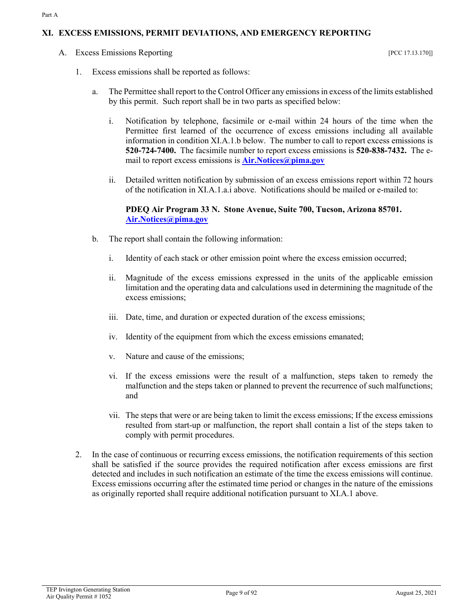#### **XI. EXCESS EMISSIONS, PERMIT DEVIATIONS, AND EMERGENCY REPORTING**

A. Excess Emissions Reporting  $[PC 17.13.170]]$ 

- 1. Excess emissions shall be reported as follows:
	- a. The Permittee shall report to the Control Officer any emissions in excess of the limits established by this permit. Such report shall be in two parts as specified below:
		- i. Notification by telephone, facsimile or e-mail within 24 hours of the time when the Permittee first learned of the occurrence of excess emissions including all available information in condition XI.A.1.b below. The number to call to report excess emissions is **520-724-7400.** The facsimile number to report excess emissions is **520-838-7432.** The email to report excess emissions is **[Air.Notices@pima.gov](mailto:Air.Notices@pima.gov)**
		- ii. Detailed written notification by submission of an excess emissions report within 72 hours of the notification in XI.A.1.a.i above. Notifications should be mailed or e-mailed to:

#### **PDEQ Air Program 33 N. Stone Avenue, Suite 700, Tucson, Arizona 85701. [Air.Notices@pima.gov](mailto:Air.Notices@pima.gov)**

- b. The report shall contain the following information:
	- i. Identity of each stack or other emission point where the excess emission occurred;
	- ii. Magnitude of the excess emissions expressed in the units of the applicable emission limitation and the operating data and calculations used in determining the magnitude of the excess emissions;
	- iii. Date, time, and duration or expected duration of the excess emissions;
	- iv. Identity of the equipment from which the excess emissions emanated;
	- v. Nature and cause of the emissions;
	- vi. If the excess emissions were the result of a malfunction, steps taken to remedy the malfunction and the steps taken or planned to prevent the recurrence of such malfunctions; and
	- vii. The steps that were or are being taken to limit the excess emissions; If the excess emissions resulted from start-up or malfunction, the report shall contain a list of the steps taken to comply with permit procedures.
- 2. In the case of continuous or recurring excess emissions, the notification requirements of this section shall be satisfied if the source provides the required notification after excess emissions are first detected and includes in such notification an estimate of the time the excess emissions will continue. Excess emissions occurring after the estimated time period or changes in the nature of the emissions as originally reported shall require additional notification pursuant to XI.A.1 above.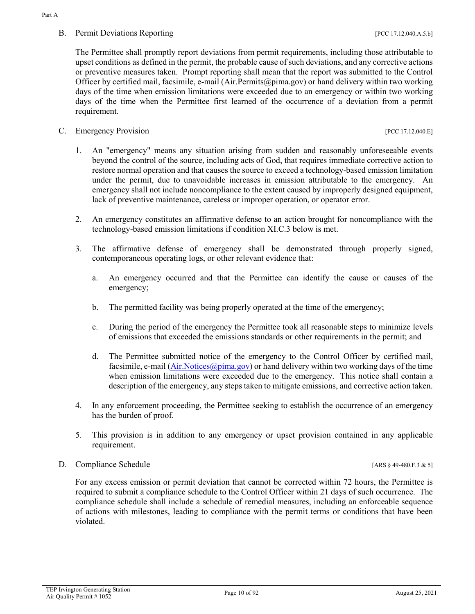# B. Permit Deviations Reporting **Example 2018** [PCC 17.12.040.A.5.b]

The Permittee shall promptly report deviations from permit requirements, including those attributable to upset conditions as defined in the permit, the probable cause of such deviations, and any corrective actions or preventive measures taken. Prompt reporting shall mean that the report was submitted to the Control Officer by certified mail, facsimile, e-mail (Air.Permits@pima.gov) or hand delivery within two working days of the time when emission limitations were exceeded due to an emergency or within two working days of the time when the Permittee first learned of the occurrence of a deviation from a permit requirement.

# C. Emergency Provision [PCC 17.12.040.E]

1. An "emergency" means any situation arising from sudden and reasonably unforeseeable events beyond the control of the source, including acts of God, that requires immediate corrective action to restore normal operation and that causes the source to exceed a technology-based emission limitation under the permit, due to unavoidable increases in emission attributable to the emergency. An emergency shall not include noncompliance to the extent caused by improperly designed equipment, lack of preventive maintenance, careless or improper operation, or operator error.

- 2. An emergency constitutes an affirmative defense to an action brought for noncompliance with the technology-based emission limitations if condition XI.C.3 below is met.
- 3. The affirmative defense of emergency shall be demonstrated through properly signed, contemporaneous operating logs, or other relevant evidence that:
	- a. An emergency occurred and that the Permittee can identify the cause or causes of the emergency;
	- b. The permitted facility was being properly operated at the time of the emergency;
	- c. During the period of the emergency the Permittee took all reasonable steps to minimize levels of emissions that exceeded the emissions standards or other requirements in the permit; and
	- d. The Permittee submitted notice of the emergency to the Control Officer by certified mail, facsimile, e-mail [\(Air.Notices@pima.gov\)](mailto:Air.Notices@pima.gov) or hand delivery within two working days of the time when emission limitations were exceeded due to the emergency. This notice shall contain a description of the emergency, any steps taken to mitigate emissions, and corrective action taken.
- 4. In any enforcement proceeding, the Permittee seeking to establish the occurrence of an emergency has the burden of proof.
- 5. This provision is in addition to any emergency or upset provision contained in any applicable requirement.
- D. Compliance Schedule [ARS § 49-480.F.3 & 5]

For any excess emission or permit deviation that cannot be corrected within 72 hours, the Permittee is required to submit a compliance schedule to the Control Officer within 21 days of such occurrence. The compliance schedule shall include a schedule of remedial measures, including an enforceable sequence of actions with milestones, leading to compliance with the permit terms or conditions that have been violated.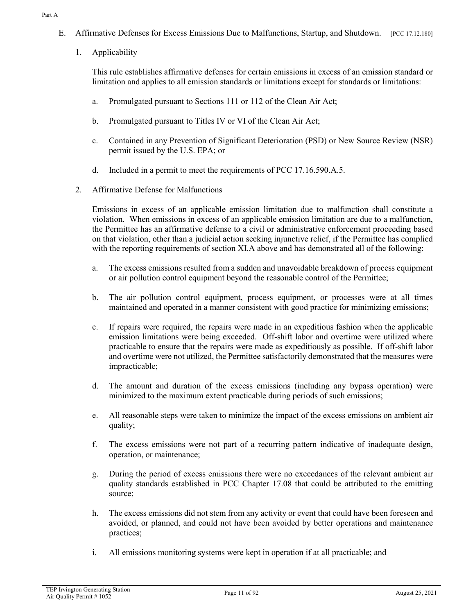Part A

- E. Affirmative Defenses for Excess Emissions Due to Malfunctions, Startup, and Shutdown. [PCC 17.12.180]
	- 1. Applicability

This rule establishes affirmative defenses for certain emissions in excess of an emission standard or limitation and applies to all emission standards or limitations except for standards or limitations:

- a. Promulgated pursuant to Sections 111 or 112 of the Clean Air Act;
- b. Promulgated pursuant to Titles IV or VI of the Clean Air Act;
- c. Contained in any Prevention of Significant Deterioration (PSD) or New Source Review (NSR) permit issued by the U.S. EPA; or
- d. Included in a permit to meet the requirements of PCC 17.16.590.A.5.
- 2. Affirmative Defense for Malfunctions

Emissions in excess of an applicable emission limitation due to malfunction shall constitute a violation. When emissions in excess of an applicable emission limitation are due to a malfunction, the Permittee has an affirmative defense to a civil or administrative enforcement proceeding based on that violation, other than a judicial action seeking injunctive relief, if the Permittee has complied with the reporting requirements of section XI.A above and has demonstrated all of the following:

- a. The excess emissions resulted from a sudden and unavoidable breakdown of process equipment or air pollution control equipment beyond the reasonable control of the Permittee;
- b. The air pollution control equipment, process equipment, or processes were at all times maintained and operated in a manner consistent with good practice for minimizing emissions;
- c. If repairs were required, the repairs were made in an expeditious fashion when the applicable emission limitations were being exceeded. Off-shift labor and overtime were utilized where practicable to ensure that the repairs were made as expeditiously as possible. If off-shift labor and overtime were not utilized, the Permittee satisfactorily demonstrated that the measures were impracticable;
- d. The amount and duration of the excess emissions (including any bypass operation) were minimized to the maximum extent practicable during periods of such emissions;
- e. All reasonable steps were taken to minimize the impact of the excess emissions on ambient air quality;
- f. The excess emissions were not part of a recurring pattern indicative of inadequate design, operation, or maintenance;
- g. During the period of excess emissions there were no exceedances of the relevant ambient air quality standards established in PCC Chapter 17.08 that could be attributed to the emitting source;
- h. The excess emissions did not stem from any activity or event that could have been foreseen and avoided, or planned, and could not have been avoided by better operations and maintenance practices;
- i. All emissions monitoring systems were kept in operation if at all practicable; and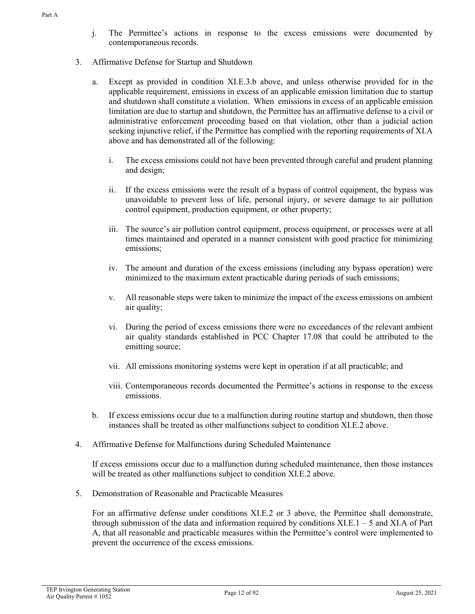- 3. Affirmative Defense for Startup and Shutdown
	- a. Except as provided in condition XI.E.3.b above, and unless otherwise provided for in the applicable requirement, emissions in excess of an applicable emission limitation due to startup and shutdown shall constitute a violation. When emissions in excess of an applicable emission limitation are due to startup and shutdown, the Permittee has an affirmative defense to a civil or administrative enforcement proceeding based on that violation, other than a judicial action seeking injunctive relief, if the Permittee has complied with the reporting requirements of XI.A above and has demonstrated all of the following:
		- i. The excess emissions could not have been prevented through careful and prudent planning and design;
		- ii. If the excess emissions were the result of a bypass of control equipment, the bypass was unavoidable to prevent loss of life, personal injury, or severe damage to air pollution control equipment, production equipment, or other property;
		- iii. The source's air pollution control equipment, process equipment, or processes were at all times maintained and operated in a manner consistent with good practice for minimizing emissions;
		- iv. The amount and duration of the excess emissions (including any bypass operation) were minimized to the maximum extent practicable during periods of such emissions;
		- v. All reasonable steps were taken to minimize the impact of the excess emissions on ambient air quality;
		- vi. During the period of excess emissions there were no exceedances of the relevant ambient air quality standards established in PCC Chapter 17.08 that could be attributed to the emitting source;
		- vii. All emissions monitoring systems were kept in operation if at all practicable; and
		- viii. Contemporaneous records documented the Permittee's actions in response to the excess emissions.
	- b. If excess emissions occur due to a malfunction during routine startup and shutdown, then those instances shall be treated as other malfunctions subject to condition XI.E.2 above.
- 4. Affirmative Defense for Malfunctions during Scheduled Maintenance

If excess emissions occur due to a malfunction during scheduled maintenance, then those instances will be treated as other malfunctions subject to condition XI.E.2 above.

5. Demonstration of Reasonable and Practicable Measures

For an affirmative defense under conditions XI.E.2 or 3 above, the Permittee shall demonstrate, through submission of the data and information required by conditions  $XLE.1 - 5$  and  $XIA$  of Part A, that all reasonable and practicable measures within the Permittee's control were implemented to prevent the occurrence of the excess emissions.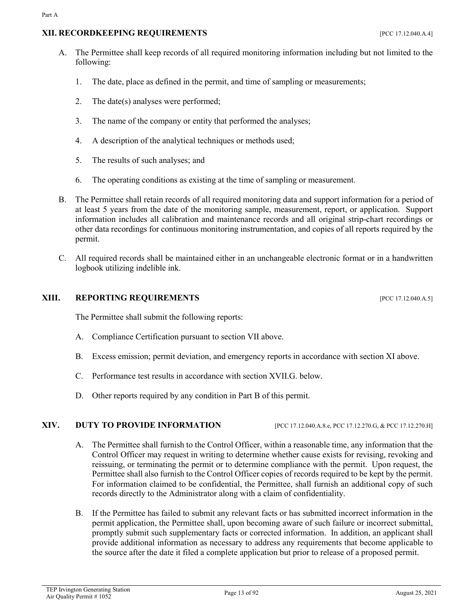# **XII. RECORDKEEPING REQUIREMENTS** [PCC 17.12.040.A.4]

- A. The Permittee shall keep records of all required monitoring information including but not limited to the following:
	- 1. The date, place as defined in the permit, and time of sampling or measurements;
	- 2. The date(s) analyses were performed;
	- 3. The name of the company or entity that performed the analyses;
	- 4. A description of the analytical techniques or methods used;
	- 5. The results of such analyses; and
	- 6. The operating conditions as existing at the time of sampling or measurement.
- B. The Permittee shall retain records of all required monitoring data and support information for a period of at least 5 years from the date of the monitoring sample, measurement, report, or application. Support information includes all calibration and maintenance records and all original strip-chart recordings or other data recordings for continuous monitoring instrumentation, and copies of all reports required by the permit.
- C. All required records shall be maintained either in an unchangeable electronic format or in a handwritten logbook utilizing indelible ink.

# **XIII. REPORTING REQUIREMENTS** [PCC 17.12.040.A.5]

The Permittee shall submit the following reports:

- A. Compliance Certification pursuant to section VII above.
- B. Excess emission; permit deviation, and emergency reports in accordance with section XI above.
- C. Performance test results in accordance with section XVII.G. below.
- D. Other reports required by any condition in Part B of this permit.

#### **XIV. DUTY TO PROVIDE INFORMATION** [PCC 17.12.040.A.8.e, PCC 17.12.270.G, & PCC 17.12.270.H]

- A. The Permittee shall furnish to the Control Officer, within a reasonable time, any information that the Control Officer may request in writing to determine whether cause exists for revising, revoking and reissuing, or terminating the permit or to determine compliance with the permit. Upon request, the Permittee shall also furnish to the Control Officer copies of records required to be kept by the permit. For information claimed to be confidential, the Permittee, shall furnish an additional copy of such records directly to the Administrator along with a claim of confidentiality.
- B. If the Permittee has failed to submit any relevant facts or has submitted incorrect information in the permit application, the Permittee shall, upon becoming aware of such failure or incorrect submittal, promptly submit such supplementary facts or corrected information. In addition, an applicant shall provide additional information as necessary to address any requirements that become applicable to the source after the date it filed a complete application but prior to release of a proposed permit.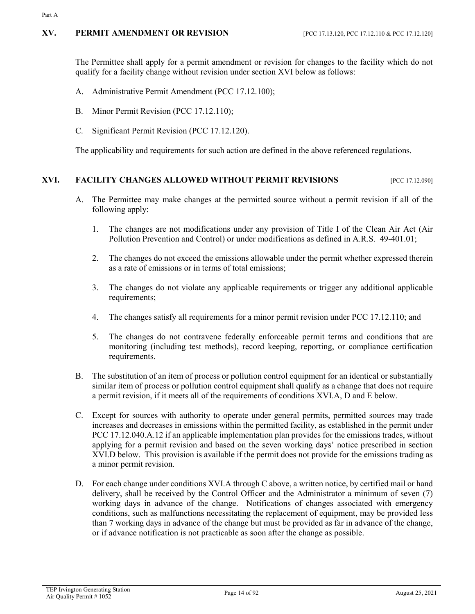#### **XV. PERMIT AMENDMENT OR REVISION** [PCC 17.13.120, PCC 17.12.110 & PCC 17.12.120]

The Permittee shall apply for a permit amendment or revision for changes to the facility which do not qualify for a facility change without revision under section XVI below as follows:

- A. Administrative Permit Amendment (PCC 17.12.100);
- B. Minor Permit Revision (PCC 17.12.110);
- C. Significant Permit Revision (PCC 17.12.120).

The applicability and requirements for such action are defined in the above referenced regulations.

# **XVI. FACILITY CHANGES ALLOWED WITHOUT PERMIT REVISIONS** [PCC 17.12.090]

- A. The Permittee may make changes at the permitted source without a permit revision if all of the following apply:
	- 1. The changes are not modifications under any provision of Title I of the Clean Air Act (Air Pollution Prevention and Control) or under modifications as defined in A.R.S. 49-401.01;
	- 2. The changes do not exceed the emissions allowable under the permit whether expressed therein as a rate of emissions or in terms of total emissions;
	- 3. The changes do not violate any applicable requirements or trigger any additional applicable requirements;
	- 4. The changes satisfy all requirements for a minor permit revision under PCC 17.12.110; and
	- 5. The changes do not contravene federally enforceable permit terms and conditions that are monitoring (including test methods), record keeping, reporting, or compliance certification requirements.
- B. The substitution of an item of process or pollution control equipment for an identical or substantially similar item of process or pollution control equipment shall qualify as a change that does not require a permit revision, if it meets all of the requirements of conditions XVI.A, D and E below.
- C. Except for sources with authority to operate under general permits, permitted sources may trade increases and decreases in emissions within the permitted facility, as established in the permit under PCC 17.12.040.A.12 if an applicable implementation plan provides for the emissions trades, without applying for a permit revision and based on the seven working days' notice prescribed in section XVI.D below. This provision is available if the permit does not provide for the emissions trading as a minor permit revision.
- D. For each change under conditions XVI.A through C above, a written notice, by certified mail or hand delivery, shall be received by the Control Officer and the Administrator a minimum of seven (7) working days in advance of the change. Notifications of changes associated with emergency conditions, such as malfunctions necessitating the replacement of equipment, may be provided less than 7 working days in advance of the change but must be provided as far in advance of the change, or if advance notification is not practicable as soon after the change as possible.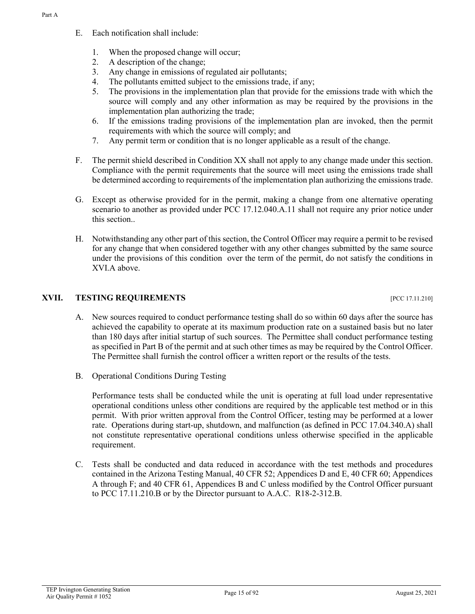- E. Each notification shall include:
	- 1. When the proposed change will occur;
	- 2. A description of the change;
	- 3. Any change in emissions of regulated air pollutants;
	- 4. The pollutants emitted subject to the emissions trade, if any;
	- 5. The provisions in the implementation plan that provide for the emissions trade with which the source will comply and any other information as may be required by the provisions in the implementation plan authorizing the trade;
	- 6. If the emissions trading provisions of the implementation plan are invoked, then the permit requirements with which the source will comply; and
	- 7. Any permit term or condition that is no longer applicable as a result of the change.
- F. The permit shield described in Condition XX shall not apply to any change made under this section. Compliance with the permit requirements that the source will meet using the emissions trade shall be determined according to requirements of the implementation plan authorizing the emissions trade.
- G. Except as otherwise provided for in the permit, making a change from one alternative operating scenario to another as provided under PCC 17.12.040.A.11 shall not require any prior notice under this section..
- H. Notwithstanding any other part of this section, the Control Officer may require a permit to be revised for any change that when considered together with any other changes submitted by the same source under the provisions of this condition over the term of the permit, do not satisfy the conditions in XVI.A above.

# **XVII. TESTING REQUIREMENTS** [PCC 17.11.210]

- A. New sources required to conduct performance testing shall do so within 60 days after the source has achieved the capability to operate at its maximum production rate on a sustained basis but no later than 180 days after initial startup of such sources. The Permittee shall conduct performance testing as specified in Part B of the permit and at such other times as may be required by the Control Officer. The Permittee shall furnish the control officer a written report or the results of the tests.
- B. Operational Conditions During Testing

Performance tests shall be conducted while the unit is operating at full load under representative operational conditions unless other conditions are required by the applicable test method or in this permit. With prior written approval from the Control Officer, testing may be performed at a lower rate. Operations during start-up, shutdown, and malfunction (as defined in PCC 17.04.340.A) shall not constitute representative operational conditions unless otherwise specified in the applicable requirement.

C. Tests shall be conducted and data reduced in accordance with the test methods and procedures contained in the Arizona Testing Manual, 40 CFR 52; Appendices D and E, 40 CFR 60; Appendices A through F; and 40 CFR 61, Appendices B and C unless modified by the Control Officer pursuant to PCC 17.11.210.B or by the Director pursuant to A.A.C. R18-2-312.B.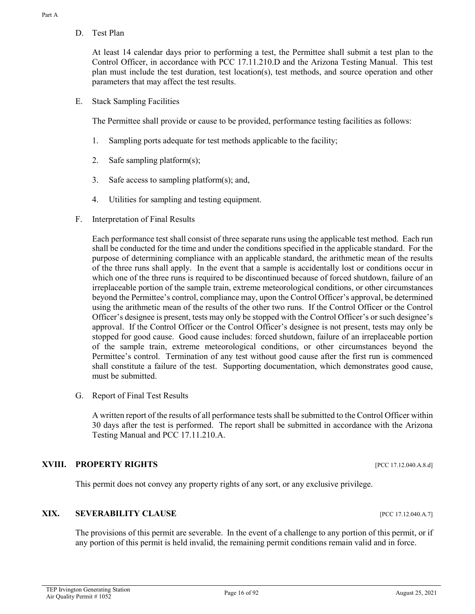D. Test Plan

At least 14 calendar days prior to performing a test, the Permittee shall submit a test plan to the Control Officer, in accordance with PCC 17.11.210.D and the Arizona Testing Manual. This test plan must include the test duration, test location(s), test methods, and source operation and other parameters that may affect the test results.

E. Stack Sampling Facilities

The Permittee shall provide or cause to be provided, performance testing facilities as follows:

- 1. Sampling ports adequate for test methods applicable to the facility;
- 2. Safe sampling platform(s);
- 3. Safe access to sampling platform(s); and,
- 4. Utilities for sampling and testing equipment.
- F. Interpretation of Final Results

Each performance test shall consist of three separate runs using the applicable test method. Each run shall be conducted for the time and under the conditions specified in the applicable standard. For the purpose of determining compliance with an applicable standard, the arithmetic mean of the results of the three runs shall apply. In the event that a sample is accidentally lost or conditions occur in which one of the three runs is required to be discontinued because of forced shutdown, failure of an irreplaceable portion of the sample train, extreme meteorological conditions, or other circumstances beyond the Permittee's control, compliance may, upon the Control Officer's approval, be determined using the arithmetic mean of the results of the other two runs. If the Control Officer or the Control Officer's designee is present, tests may only be stopped with the Control Officer's or such designee's approval. If the Control Officer or the Control Officer's designee is not present, tests may only be stopped for good cause. Good cause includes: forced shutdown, failure of an irreplaceable portion of the sample train, extreme meteorological conditions, or other circumstances beyond the Permittee's control. Termination of any test without good cause after the first run is commenced shall constitute a failure of the test. Supporting documentation, which demonstrates good cause, must be submitted.

G. Report of Final Test Results

A written report of the results of all performance tests shall be submitted to the Control Officer within 30 days after the test is performed. The report shall be submitted in accordance with the Arizona Testing Manual and PCC 17.11.210.A.

#### **XVIII. PROPERTY RIGHTS** [PCC 17.12.040.A.8.d]

This permit does not convey any property rights of any sort, or any exclusive privilege.

#### **XIX. SEVERABILITY CLAUSE INCLUSE EXAMPLE 17.12.040.A.7**

The provisions of this permit are severable. In the event of a challenge to any portion of this permit, or if any portion of this permit is held invalid, the remaining permit conditions remain valid and in force.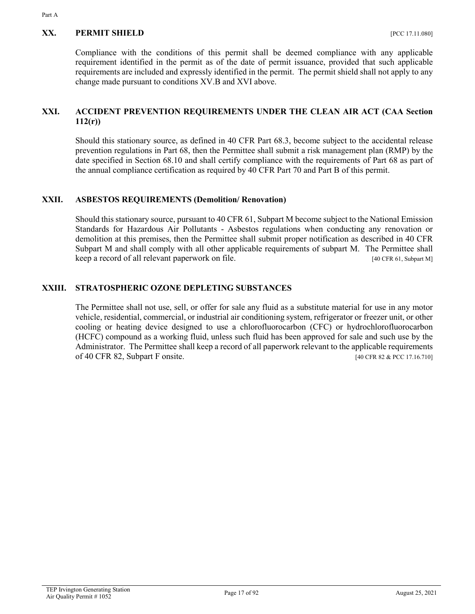#### **XX. PERMIT SHIELD** [PCC 17.11.080]

Compliance with the conditions of this permit shall be deemed compliance with any applicable requirement identified in the permit as of the date of permit issuance, provided that such applicable requirements are included and expressly identified in the permit. The permit shield shall not apply to any change made pursuant to conditions XV.B and XVI above.

# **XXI. ACCIDENT PREVENTION REQUIREMENTS UNDER THE CLEAN AIR ACT (CAA Section 112(r))**

Should this stationary source, as defined in 40 CFR Part 68.3, become subject to the accidental release prevention regulations in Part 68, then the Permittee shall submit a risk management plan (RMP) by the date specified in Section 68.10 and shall certify compliance with the requirements of Part 68 as part of the annual compliance certification as required by 40 CFR Part 70 and Part B of this permit.

#### **XXII. ASBESTOS REQUIREMENTS (Demolition/ Renovation)**

Should this stationary source, pursuant to 40 CFR 61, Subpart M become subject to the National Emission Standards for Hazardous Air Pollutants - Asbestos regulations when conducting any renovation or demolition at this premises, then the Permittee shall submit proper notification as described in 40 CFR Subpart M and shall comply with all other applicable requirements of subpart M. The Permittee shall keep a record of all relevant paperwork on file. [40 CFR 61, Subpart M]

#### **XXIII. STRATOSPHERIC OZONE DEPLETING SUBSTANCES**

The Permittee shall not use, sell, or offer for sale any fluid as a substitute material for use in any motor vehicle, residential, commercial, or industrial air conditioning system, refrigerator or freezer unit, or other cooling or heating device designed to use a chlorofluorocarbon (CFC) or hydrochlorofluorocarbon (HCFC) compound as a working fluid, unless such fluid has been approved for sale and such use by the Administrator. The Permittee shall keep a record of all paperwork relevant to the applicable requirements of 40 CFR 82, Subpart F onsite. [40 CFR 82 & PCC 17.16.710]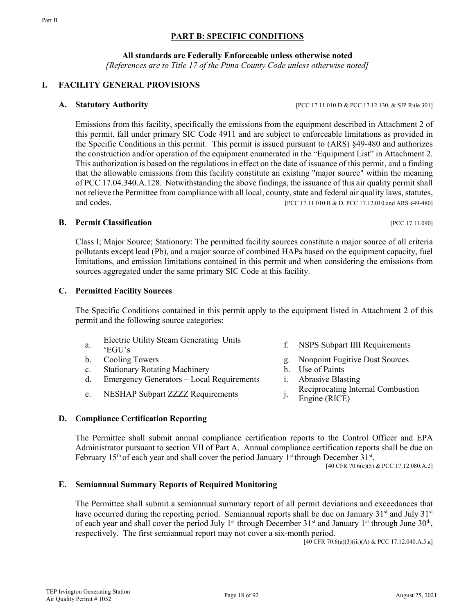### **PART B: SPECIFIC CONDITIONS**

**All standards are Federally Enforceable unless otherwise noted**

*[References are to Title 17 of the Pima County Code unless otherwise noted]*

# **I. FACILITY GENERAL PROVISIONS**

Emissions from this facility, specifically the emissions from the equipment described in Attachment 2 of this permit, fall under primary SIC Code 4911 and are subject to enforceable limitations as provided in the Specific Conditions in this permit. This permit is issued pursuant to (ARS) §49-480 and authorizes the construction and/or operation of the equipment enumerated in the "Equipment List" in Attachment 2. This authorization is based on the regulations in effect on the date of issuance of this permit, and a finding that the allowable emissions from this facility constitute an existing "major source" within the meaning of PCC 17.04.340.A.128. Notwithstanding the above findings, the issuance of this air quality permit shall not relieve the Permittee from compliance with all local, county, state and federal air quality laws, statutes, and codes. **EXECUTER 2008 EXECUTER EXECUTER EXECUTER EXECUTER EXECUTER EXECUTER EXECUTER EXECUTER EXECUTER EXECUTER EXECUTER EXECUTER EXECUTER EXECUTER EXECUTER EXECUTER EXECUTER EXECUTE** 

#### **B. Permit Classification IPCC 17.11.090]**

Class I; Major Source; Stationary: The permitted facility sources constitute a major source of all criteria pollutants except lead (Pb), and a major source of combined HAPs based on the equipment capacity, fuel limitations, and emission limitations contained in this permit and when considering the emissions from sources aggregated under the same primary SIC Code at this facility.

#### **C. Permitted Facility Sources**

The Specific Conditions contained in this permit apply to the equipment listed in Attachment 2 of this permit and the following source categories:

- Electric Utility Steam Generating Units
- a.
- 
- c. Stationary Rotating Machinery h. Use of Paints
- d. Emergency Generators Local Requirements i. Abrasive Blasting
- 
- Effective Unity Steam Ocherating Units<br>
f. NSPS Subpart IIII Requirements<br>
f.
- b. Cooling Towers g. Nonpoint Fugitive Dust Sources
	-
	-
- e. NESHAP Subpart ZZZZ Requirements j. Reciprocating Internal Combustion
	- Engine (RICE)

#### **D. Compliance Certification Reporting**

The Permittee shall submit annual compliance certification reports to the Control Officer and EPA Administrator pursuant to section VII of Part A. Annual compliance certification reports shall be due on February 15<sup>th</sup> of each year and shall cover the period January 1<sup>st</sup> through December 31<sup>st</sup>.

[40 CFR 70.6(c)(5) & PCC 17.12.080.A.2]

#### **E. Semiannual Summary Reports of Required Monitoring**

The Permittee shall submit a semiannual summary report of all permit deviations and exceedances that have occurred during the reporting period. Semiannual reports shall be due on January  $31<sup>st</sup>$  and July  $31<sup>st</sup>$ of each year and shall cover the period July 1<sup>st</sup> through December 31<sup>st</sup> and January 1<sup>st</sup> through June 30<sup>th</sup>, respectively. The first semiannual report may not cover a six-month period.

 $[40 \text{ CFR } 70.6(a)(3)(iii)(A)$  & PCC 17.12.040.A.5.a]

**A. Statutory Authority and** *IPCC 17.11.010.D & PCC 17.12.130, & SIP Rule 301]*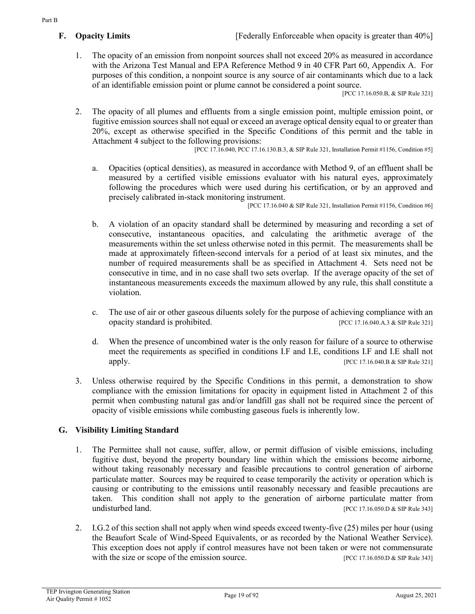1. The opacity of an emission from nonpoint sources shall not exceed 20% as measured in accordance with the Arizona Test Manual and EPA Reference Method 9 in 40 CFR Part 60, Appendix A. For purposes of this condition, a nonpoint source is any source of air contaminants which due to a lack of an identifiable emission point or plume cannot be considered a point source.

[PCC 17.16.050.B, & SIP Rule 321]

2. The opacity of all plumes and effluents from a single emission point, multiple emission point, or fugitive emission sources shall not equal or exceed an average optical density equal to or greater than 20%, except as otherwise specified in the Specific Conditions of this permit and the table in Attachment 4 subject to the following provisions:

[PCC 17.16.040, PCC 17.16.130.B.3, & SIP Rule 321, Installation Permit #1156, Condition #5]

a. Opacities (optical densities), as measured in accordance with Method 9, of an effluent shall be measured by a certified visible emissions evaluator with his natural eyes, approximately following the procedures which were used during his certification, or by an approved and precisely calibrated in-stack monitoring instrument.

[PCC 17.16.040 & SIP Rule 321, Installation Permit #1156, Condition #6]

- b. A violation of an opacity standard shall be determined by measuring and recording a set of consecutive, instantaneous opacities, and calculating the arithmetic average of the measurements within the set unless otherwise noted in this permit. The measurements shall be made at approximately fifteen-second intervals for a period of at least six minutes, and the number of required measurements shall be as specified in Attachment 4. Sets need not be consecutive in time, and in no case shall two sets overlap. If the average opacity of the set of instantaneous measurements exceeds the maximum allowed by any rule, this shall constitute a violation.
- c. The use of air or other gaseous diluents solely for the purpose of achieving compliance with an opacity standard is prohibited. [PCC 17.16.040.A.3 & SIP Rule 321]
- d. When the presence of uncombined water is the only reason for failure of a source to otherwise meet the requirements as specified in conditions I.F and I.E, conditions I.F and I.E shall not apply. [PCC 17.16.040.B & SIP Rule 321]
- 3. Unless otherwise required by the Specific Conditions in this permit, a demonstration to show compliance with the emission limitations for opacity in equipment listed in Attachment 2 of this permit when combusting natural gas and/or landfill gas shall not be required since the percent of opacity of visible emissions while combusting gaseous fuels is inherently low.

# **G. Visibility Limiting Standard**

- 1. The Permittee shall not cause, suffer, allow, or permit diffusion of visible emissions, including fugitive dust, beyond the property boundary line within which the emissions become airborne, without taking reasonably necessary and feasible precautions to control generation of airborne particulate matter. Sources may be required to cease temporarily the activity or operation which is causing or contributing to the emissions until reasonably necessary and feasible precautions are taken. This condition shall not apply to the generation of airborne particulate matter from undisturbed land. [PCC 17.16.050.D & SIP Rule 343]
- 2. I.G.2 of this section shall not apply when wind speeds exceed twenty-five (25) miles per hour (using the Beaufort Scale of Wind-Speed Equivalents, or as recorded by the National Weather Service). This exception does not apply if control measures have not been taken or were not commensurate with the size or scope of the emission source. [PCC 17.16.050.D & SIP Rule 343]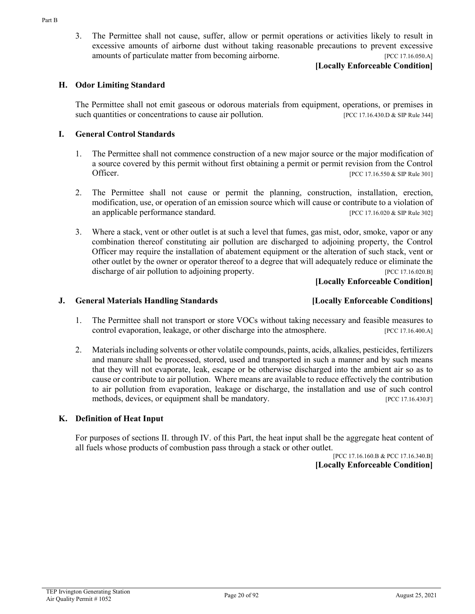3. The Permittee shall not cause, suffer, allow or permit operations or activities likely to result in excessive amounts of airborne dust without taking reasonable precautions to prevent excessive amounts of particulate matter from becoming airborne. [PCC 17.16.050.A]

#### **[Locally Enforceable Condition]**

#### **H. Odor Limiting Standard**

The Permittee shall not emit gaseous or odorous materials from equipment, operations, or premises in such quantities or concentrations to cause air pollution. [PCC 17.16.430.D & SIP Rule 344]

#### **I. General Control Standards**

- 1. The Permittee shall not commence construction of a new major source or the major modification of a source covered by this permit without first obtaining a permit or permit revision from the Control Officer. [PCC 17.16.550 & SIP Rule 301]
- 2. The Permittee shall not cause or permit the planning, construction, installation, erection, modification, use, or operation of an emission source which will cause or contribute to a violation of an applicable performance standard. [PCC 17.16.020 & SIP Rule 302]
- 3. Where a stack, vent or other outlet is at such a level that fumes, gas mist, odor, smoke, vapor or any combination thereof constituting air pollution are discharged to adjoining property, the Control Officer may require the installation of abatement equipment or the alteration of such stack, vent or other outlet by the owner or operator thereof to a degree that will adequately reduce or eliminate the discharge of air pollution to adjoining property. [PCC 17.16.020.B]

**[Locally Enforceable Condition]**

#### **J. General Materials Handling Standards [Locally Enforceable Conditions]**

- 1. The Permittee shall not transport or store VOCs without taking necessary and feasible measures to control evaporation, leakage, or other discharge into the atmosphere. [PCC 17.16.400.A]
- 2. Materials including solvents or other volatile compounds, paints, acids, alkalies, pesticides, fertilizers and manure shall be processed, stored, used and transported in such a manner and by such means that they will not evaporate, leak, escape or be otherwise discharged into the ambient air so as to cause or contribute to air pollution. Where means are available to reduce effectively the contribution to air pollution from evaporation, leakage or discharge, the installation and use of such control methods, devices, or equipment shall be mandatory. [PCC 17.16.430.F]

#### **K. Definition of Heat Input**

For purposes of sections II. through IV. of this Part, the heat input shall be the aggregate heat content of all fuels whose products of combustion pass through a stack or other outlet.

#### [PCC 17.16.160.B & PCC 17.16.340.B] **[Locally Enforceable Condition]**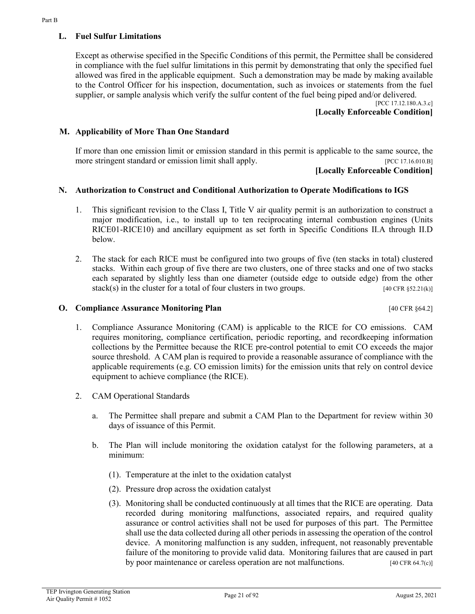# **L. Fuel Sulfur Limitations**

Except as otherwise specified in the Specific Conditions of this permit, the Permittee shall be considered in compliance with the fuel sulfur limitations in this permit by demonstrating that only the specified fuel allowed was fired in the applicable equipment. Such a demonstration may be made by making available to the Control Officer for his inspection, documentation, such as invoices or statements from the fuel supplier, or sample analysis which verify the sulfur content of the fuel being piped and/or delivered.

[PCC 17.12.180.A.3.c] **[Locally Enforceable Condition]**

#### **M. Applicability of More Than One Standard**

If more than one emission limit or emission standard in this permit is applicable to the same source, the more stringent standard or emission limit shall apply. [PCC 17.16.010.B]

#### **[Locally Enforceable Condition]**

#### **N. Authorization to Construct and Conditional Authorization to Operate Modifications to IGS**

- 1. This significant revision to the Class I, Title V air quality permit is an authorization to construct a major modification, i.e., to install up to ten reciprocating internal combustion engines (Units RICE01-RICE10) and ancillary equipment as set forth in Specific Conditions II.A through II.D below.
- 2. The stack for each RICE must be configured into two groups of five (ten stacks in total) clustered stacks. Within each group of five there are two clusters, one of three stacks and one of two stacks each separated by slightly less than one diameter (outside edge to outside edge) from the other stack(s) in the cluster for a total of four clusters in two groups. [40 CFR §52.21(k)]

#### **O. Compliance Assurance Monitoring Plan Compliance Assurance Monitoring Plan**

- 1. Compliance Assurance Monitoring (CAM) is applicable to the RICE for CO emissions. CAM requires monitoring, compliance certification, periodic reporting, and recordkeeping information collections by the Permittee because the RICE pre-control potential to emit CO exceeds the major source threshold. A CAM plan is required to provide a reasonable assurance of compliance with the applicable requirements (e.g. CO emission limits) for the emission units that rely on control device equipment to achieve compliance (the RICE).
- 2. CAM Operational Standards
	- a. The Permittee shall prepare and submit a CAM Plan to the Department for review within 30 days of issuance of this Permit.
	- b. The Plan will include monitoring the oxidation catalyst for the following parameters, at a minimum:
		- (1). Temperature at the inlet to the oxidation catalyst
		- (2). Pressure drop across the oxidation catalyst
		- (3). Monitoring shall be conducted continuously at all times that the RICE are operating. Data recorded during monitoring malfunctions, associated repairs, and required quality assurance or control activities shall not be used for purposes of this part. The Permittee shall use the data collected during all other periods in assessing the operation of the control device. A monitoring malfunction is any sudden, infrequent, not reasonably preventable failure of the monitoring to provide valid data. Monitoring failures that are caused in part by poor maintenance or careless operation are not malfunctions. [40 CFR 64.7(c)]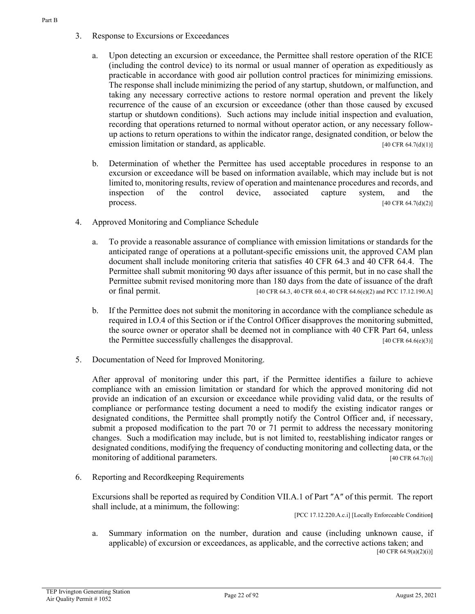- 3. Response to Excursions or Exceedances
	- a. Upon detecting an excursion or exceedance, the Permittee shall restore operation of the RICE (including the control device) to its normal or usual manner of operation as expeditiously as practicable in accordance with good air pollution control practices for minimizing emissions. The response shall include minimizing the period of any startup, shutdown, or malfunction, and taking any necessary corrective actions to restore normal operation and prevent the likely recurrence of the cause of an excursion or exceedance (other than those caused by excused startup or shutdown conditions). Such actions may include initial inspection and evaluation, recording that operations returned to normal without operator action, or any necessary followup actions to return operations to within the indicator range, designated condition, or below the emission limitation or standard, as applicable. [40 CFR 64.7(d)(1)]
	- b. Determination of whether the Permittee has used acceptable procedures in response to an excursion or exceedance will be based on information available, which may include but is not limited to, monitoring results, review of operation and maintenance procedures and records, and inspection of the control device, associated capture system, and the process.  $[40 \text{ CFR } 64.7(d)(2)]$
- 4. Approved Monitoring and Compliance Schedule
	- a. To provide a reasonable assurance of compliance with emission limitations or standards for the anticipated range of operations at a pollutant-specific emissions unit, the approved CAM plan document shall include monitoring criteria that satisfies 40 CFR 64.3 and 40 CFR 64.4. The Permittee shall submit monitoring 90 days after issuance of this permit, but in no case shall the Permittee submit revised monitoring more than 180 days from the date of issuance of the draft or final permit. [40 CFR 64.3, 40 CFR 60.4, 40 CFR 64.6(e)(2) and PCC 17.12.190.A]
	- b. If the Permittee does not submit the monitoring in accordance with the compliance schedule as required in I.O.4 of this Section or if the Control Officer disapproves the monitoring submitted, the source owner or operator shall be deemed not in compliance with 40 CFR Part 64, unless the Permittee successfully challenges the disapproval. [40 CFR 64.6(e)(3)]
- 5. Documentation of Need for Improved Monitoring.

After approval of monitoring under this part, if the Permittee identifies a failure to achieve compliance with an emission limitation or standard for which the approved monitoring did not provide an indication of an excursion or exceedance while providing valid data, or the results of compliance or performance testing document a need to modify the existing indicator ranges or designated conditions, the Permittee shall promptly notify the Control Officer and, if necessary, submit a proposed modification to the part 70 or 71 permit to address the necessary monitoring changes. Such a modification may include, but is not limited to, reestablishing indicator ranges or designated conditions, modifying the frequency of conducting monitoring and collecting data, or the monitoring of additional parameters. [40 CFR 64.7(e)]

6. Reporting and Recordkeeping Requirements

Excursions shall be reported as required by Condition VII.A.1 of Part ″A″ of this permit. The report shall include, at a minimum, the following:

[PCC 17.12.220.A.c.i] [Locally Enforceable Condition**]**

a. Summary information on the number, duration and cause (including unknown cause, if applicable) of excursion or exceedances, as applicable, and the corrective actions taken; and [40 CFR 64.9(a)(2)(i)]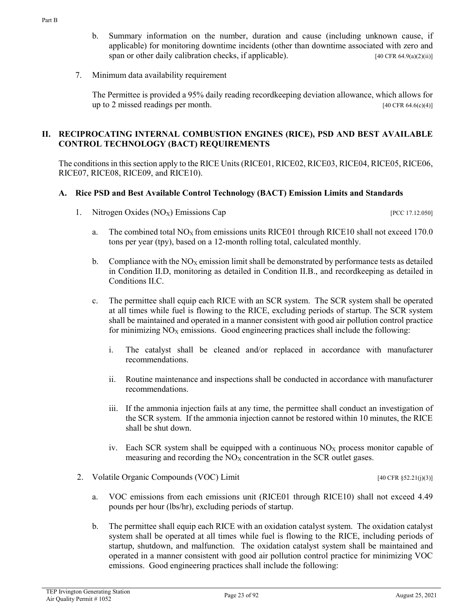- b. Summary information on the number, duration and cause (including unknown cause, if applicable) for monitoring downtime incidents (other than downtime associated with zero and span or other daily calibration checks, if applicable).  $[40 \text{ CFR } 64.9(a)(2)(ii)]$
- 7. Minimum data availability requirement

The Permittee is provided a 95% daily reading recordkeeping deviation allowance, which allows for up to 2 missed readings per month.  $[40 \text{ CFR } 64.6(c)(4)]$ 

#### **II. RECIPROCATING INTERNAL COMBUSTION ENGINES (RICE), PSD AND BEST AVAILABLE CONTROL TECHNOLOGY (BACT) REQUIREMENTS**

The conditions in this section apply to the RICE Units (RICE01, RICE02, RICE03, RICE04, RICE05, RICE06, RICE07, RICE08, RICE09, and RICE10).

#### **A. Rice PSD and Best Available Control Technology (BACT) Emission Limits and Standards**

1. Nitrogen Oxides (NO<sub>X</sub>) Emissions Cap [PCC 17.12.050]

- a. The combined total  $NO<sub>X</sub>$  from emissions units RICE01 through RICE10 shall not exceed 170.0 tons per year (tpy), based on a 12-month rolling total, calculated monthly.
- b. Compliance with the  $NO<sub>x</sub>$  emission limit shall be demonstrated by performance tests as detailed in Condition II.D, monitoring as detailed in Condition II.B., and recordkeeping as detailed in Conditions II.C.
- c. The permittee shall equip each RICE with an SCR system. The SCR system shall be operated at all times while fuel is flowing to the RICE, excluding periods of startup. The SCR system shall be maintained and operated in a manner consistent with good air pollution control practice for minimizing  $NO<sub>X</sub>$  emissions. Good engineering practices shall include the following:
	- i. The catalyst shall be cleaned and/or replaced in accordance with manufacturer recommendations.
	- ii. Routine maintenance and inspections shall be conducted in accordance with manufacturer recommendations.
	- iii. If the ammonia injection fails at any time, the permittee shall conduct an investigation of the SCR system. If the ammonia injection cannot be restored within 10 minutes, the RICE shall be shut down.
	- iv. Each SCR system shall be equipped with a continuous  $NO<sub>X</sub>$  process monitor capable of measuring and recording the  $NO<sub>X</sub>$  concentration in the SCR outlet gases.
- 2. Volatile Organic Compounds (VOC) Limit [40 CFR §52.21(j)(3)]

- a. VOC emissions from each emissions unit (RICE01 through RICE10) shall not exceed 4.49 pounds per hour (lbs/hr), excluding periods of startup.
- b. The permittee shall equip each RICE with an oxidation catalyst system. The oxidation catalyst system shall be operated at all times while fuel is flowing to the RICE, including periods of startup, shutdown, and malfunction. The oxidation catalyst system shall be maintained and operated in a manner consistent with good air pollution control practice for minimizing VOC emissions. Good engineering practices shall include the following: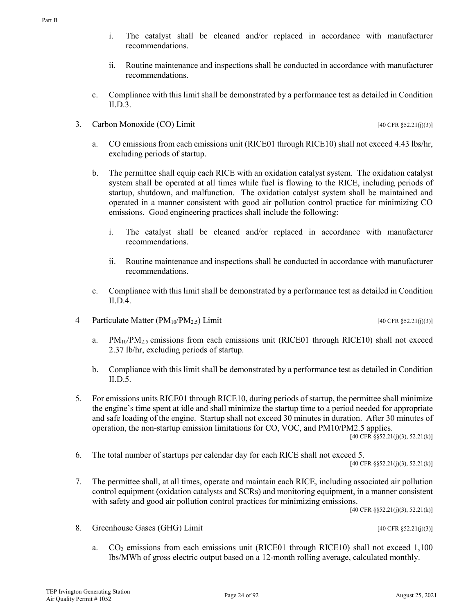- i. The catalyst shall be cleaned and/or replaced in accordance with manufacturer recommendations.
- ii. Routine maintenance and inspections shall be conducted in accordance with manufacturer recommendations.
- c. Compliance with this limit shall be demonstrated by a performance test as detailed in Condition II.D.3.
- 3. Carbon Monoxide  $(CO)$  Limit [40 CFR §52.21(j)(3)]
	- a. CO emissions from each emissions unit (RICE01 through RICE10) shall not exceed 4.43 lbs/hr, excluding periods of startup.
	- b. The permittee shall equip each RICE with an oxidation catalyst system. The oxidation catalyst system shall be operated at all times while fuel is flowing to the RICE, including periods of startup, shutdown, and malfunction. The oxidation catalyst system shall be maintained and operated in a manner consistent with good air pollution control practice for minimizing CO emissions. Good engineering practices shall include the following:
		- i. The catalyst shall be cleaned and/or replaced in accordance with manufacturer recommendations.
		- ii. Routine maintenance and inspections shall be conducted in accordance with manufacturer recommendations.
	- c. Compliance with this limit shall be demonstrated by a performance test as detailed in Condition II.D.4.
- 4 Particulate Matter  $(PM_{10}/PM_{2.5})$  Limit [40 CFR §52.21(j)(3)]
	- a.  $PM_{10}/PM_{2.5}$  emissions from each emissions unit (RICE01 through RICE10) shall not exceed 2.37 lb/hr, excluding periods of startup.
	- b. Compliance with this limit shall be demonstrated by a performance test as detailed in Condition II.D.5.
- 5. For emissions units RICE01 through RICE10, during periods of startup, the permittee shall minimize the engine's time spent at idle and shall minimize the startup time to a period needed for appropriate and safe loading of the engine. Startup shall not exceed 30 minutes in duration. After 30 minutes of operation, the non-startup emission limitations for CO, VOC, and PM10/PM2.5 applies.

[40 CFR §§52.21(j)(3), 52.21(k)]

6. The total number of startups per calendar day for each RICE shall not exceed 5.

[40 CFR §§52.21(j)(3), 52.21(k)]

7. The permittee shall, at all times, operate and maintain each RICE, including associated air pollution control equipment (oxidation catalysts and SCRs) and monitoring equipment, in a manner consistent with safety and good air pollution control practices for minimizing emissions.

[40 CFR §§52.21(j)(3), 52.21(k)]

8. Greenhouse Gases (GHG) Limit [40 CFR §52.21(j)(3)]

a. CO2 emissions from each emissions unit (RICE01 through RICE10) shall not exceed 1,100 lbs/MWh of gross electric output based on a 12-month rolling average, calculated monthly.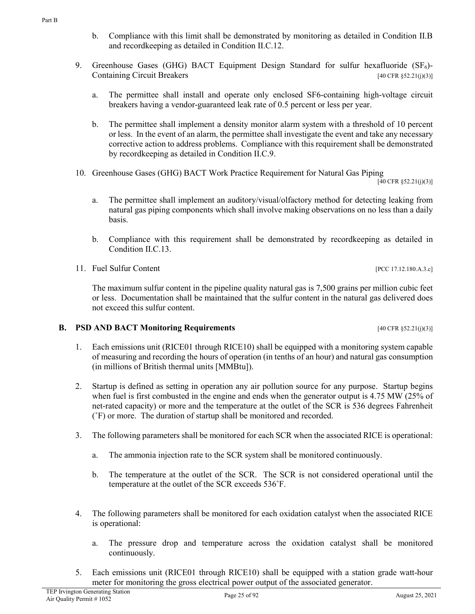- b. Compliance with this limit shall be demonstrated by monitoring as detailed in Condition II.B and recordkeeping as detailed in Condition II.C.12.
- 9. Greenhouse Gases (GHG) BACT Equipment Design Standard for sulfur hexafluoride (SF<sub>6</sub>)-Containing Circuit Breakers  $[40 \text{ CFR } $52.21(j)(3)]$ 
	- a. The permittee shall install and operate only enclosed SF6-containing high-voltage circuit breakers having a vendor-guaranteed leak rate of 0.5 percent or less per year.
	- b. The permittee shall implement a density monitor alarm system with a threshold of 10 percent or less. In the event of an alarm, the permittee shall investigate the event and take any necessary corrective action to address problems. Compliance with this requirement shall be demonstrated by recordkeeping as detailed in Condition II.C.9.
- 10. Greenhouse Gases (GHG) BACT Work Practice Requirement for Natural Gas Piping

 $[40 \text{ CFR } \S 52.21(j)(3)]$ 

- a. The permittee shall implement an auditory/visual/olfactory method for detecting leaking from natural gas piping components which shall involve making observations on no less than a daily basis.
- b. Compliance with this requirement shall be demonstrated by recordkeeping as detailed in Condition II.C.13.
- 11. Fuel Sulfur Content [PCC 17.12.180.A.3.c]

The maximum sulfur content in the pipeline quality natural gas is 7,500 grains per million cubic feet or less. Documentation shall be maintained that the sulfur content in the natural gas delivered does not exceed this sulfur content.

#### **B. PSD AND BACT Monitoring Requirements** [40 CFR §52.21(j)(3)]

- 1. Each emissions unit (RICE01 through RICE10) shall be equipped with a monitoring system capable of measuring and recording the hours of operation (in tenths of an hour) and natural gas consumption (in millions of British thermal units [MMBtu]).
- 2. Startup is defined as setting in operation any air pollution source for any purpose. Startup begins when fuel is first combusted in the engine and ends when the generator output is 4.75 MW (25% of net-rated capacity) or more and the temperature at the outlet of the SCR is 536 degrees Fahrenheit (˚F) or more. The duration of startup shall be monitored and recorded.
- 3. The following parameters shall be monitored for each SCR when the associated RICE is operational:
	- a. The ammonia injection rate to the SCR system shall be monitored continuously.
	- b. The temperature at the outlet of the SCR. The SCR is not considered operational until the temperature at the outlet of the SCR exceeds 536˚F.
- 4. The following parameters shall be monitored for each oxidation catalyst when the associated RICE is operational:
	- a. The pressure drop and temperature across the oxidation catalyst shall be monitored continuously.
- 5. Each emissions unit (RICE01 through RICE10) shall be equipped with a station grade watt-hour meter for monitoring the gross electrical power output of the associated generator.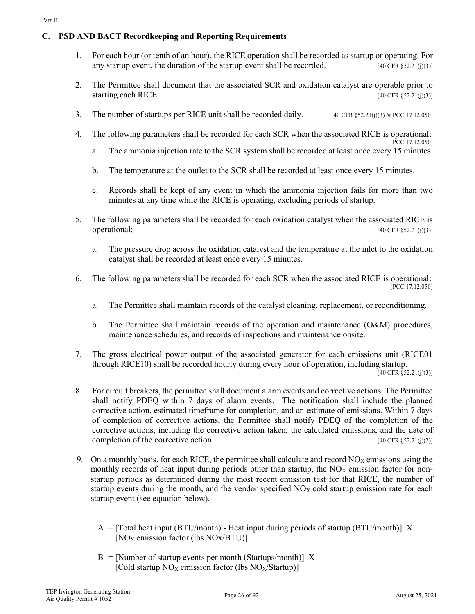# **C. PSD AND BACT Recordkeeping and Reporting Requirements**

- 1. For each hour (or tenth of an hour), the RICE operation shall be recorded as startup or operating. For any startup event, the duration of the startup event shall be recorded.  $[40 \text{ CFR } $52.21 \text{ (i)}(3)]$
- 2. The Permittee shall document that the associated SCR and oxidation catalyst are operable prior to starting each RICE.  $[40 \text{ CFR } $52.21(i)(3)]$
- 3. The number of startups per RICE unit shall be recorded daily. [40 CFR §52.21(j)(3) & PCC 17.12.050]
- 4. The following parameters shall be recorded for each SCR when the associated RICE is operational: [PCC 17.12.050]
	- a. The ammonia injection rate to the SCR system shall be recorded at least once every 15 minutes.
	- b. The temperature at the outlet to the SCR shall be recorded at least once every 15 minutes.
	- c. Records shall be kept of any event in which the ammonia injection fails for more than two minutes at any time while the RICE is operating, excluding periods of startup.
- 5. The following parameters shall be recorded for each oxidation catalyst when the associated RICE is operational:  $[40 \text{ CFR }\frac{852.21(i)(3)}{3}]$ 
	- a. The pressure drop across the oxidation catalyst and the temperature at the inlet to the oxidation catalyst shall be recorded at least once every 15 minutes.
- 6. The following parameters shall be recorded for each SCR when the associated RICE is operational: [PCC 17.12.050]
	- a. The Permittee shall maintain records of the catalyst cleaning, replacement, or reconditioning.
	- b. The Permittee shall maintain records of the operation and maintenance (O&M) procedures, maintenance schedules, and records of inspections and maintenance onsite.
- 7. The gross electrical power output of the associated generator for each emissions unit (RICE01 through RICE10) shall be recorded hourly during every hour of operation, including startup.
	- $[40 \text{ CFR } \frac{2}{3}$ 52.21(j)(3)]
- 8. For circuit breakers, the permittee shall document alarm events and corrective actions. The Permittee shall notify PDEQ within 7 days of alarm events. The notification shall include the planned corrective action, estimated timeframe for completion, and an estimate of emissions. Within 7 days of completion of corrective actions, the Permittee shall notify PDEQ of the completion of the corrective actions, including the corrective action taken, the calculated emissions, and the date of completion of the corrective action.  $[40 \text{ CFR } $52.21(i)(2)]$
- 9. On a monthly basis, for each RICE, the permittee shall calculate and record  $NO<sub>X</sub>$  emissions using the monthly records of heat input during periods other than startup, the  $NO<sub>X</sub>$  emission factor for nonstartup periods as determined during the most recent emission test for that RICE, the number of startup events during the month, and the vendor specified  $NO<sub>X</sub>$  cold startup emission rate for each startup event (see equation below).
	- $A = [Total heat input (BTU/month) Heat input during periods of startup (BTU/month)] X$  $[NO<sub>X</sub>$  emission factor (lbs  $NO<sub>X</sub>/B<sub>T</sub>U$ )]
	- $B =$ [Number of startup events per month (Startups/month)] X [Cold startup  $NO<sub>X</sub>$  emission factor (lbs  $NO<sub>X</sub>/Startup$ )]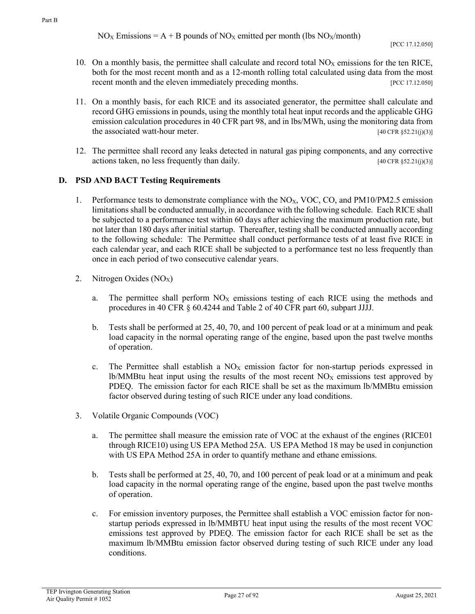- 10. On a monthly basis, the permittee shall calculate and record total  $NO<sub>X</sub>$  emissions for the ten RICE, both for the most recent month and as a 12-month rolling total calculated using data from the most recent month and the eleven immediately preceding months. [PCC 17.12.050]
- 11. On a monthly basis, for each RICE and its associated generator, the permittee shall calculate and record GHG emissions in pounds, using the monthly total heat input records and the applicable GHG emission calculation procedures in 40 CFR part 98, and in lbs/MWh, using the monitoring data from the associated watt-hour meter.  $[40 \text{ CFR }\frac{52.21(j)(3)}{3}]$
- 12. The permittee shall record any leaks detected in natural gas piping components, and any corrective actions taken, no less frequently than daily.  $[40 \text{ CFR }\frac{52.21(j)(3)}{3}]$

#### **D. PSD AND BACT Testing Requirements**

- 1. Performance tests to demonstrate compliance with the NO<sub>X</sub>, VOC, CO, and PM10/PM2.5 emission limitations shall be conducted annually, in accordance with the following schedule. Each RICE shall be subjected to a performance test within 60 days after achieving the maximum production rate, but not later than 180 days after initial startup. Thereafter, testing shall be conducted annually according to the following schedule: The Permittee shall conduct performance tests of at least five RICE in each calendar year, and each RICE shall be subjected to a performance test no less frequently than once in each period of two consecutive calendar years.
- 2. Nitrogen Oxides  $(NO<sub>X</sub>)$ 
	- a. The permittee shall perform  $NO<sub>X</sub>$  emissions testing of each RICE using the methods and procedures in 40 CFR § 60.4244 and Table 2 of 40 CFR part 60, subpart JJJJ.
	- b. Tests shall be performed at 25, 40, 70, and 100 percent of peak load or at a minimum and peak load capacity in the normal operating range of the engine, based upon the past twelve months of operation.
	- c. The Permittee shall establish a  $NO<sub>X</sub>$  emission factor for non-startup periods expressed in lb/MMBtu heat input using the results of the most recent  $NO<sub>X</sub>$  emissions test approved by PDEQ. The emission factor for each RICE shall be set as the maximum lb/MMBtu emission factor observed during testing of such RICE under any load conditions.
- 3. Volatile Organic Compounds (VOC)
	- a. The permittee shall measure the emission rate of VOC at the exhaust of the engines (RICE01 through RICE10) using US EPA Method 25A. US EPA Method 18 may be used in conjunction with US EPA Method 25A in order to quantify methane and ethane emissions.
	- b. Tests shall be performed at 25, 40, 70, and 100 percent of peak load or at a minimum and peak load capacity in the normal operating range of the engine, based upon the past twelve months of operation.
	- c. For emission inventory purposes, the Permittee shall establish a VOC emission factor for nonstartup periods expressed in lb/MMBTU heat input using the results of the most recent VOC emissions test approved by PDEQ. The emission factor for each RICE shall be set as the maximum lb/MMBtu emission factor observed during testing of such RICE under any load conditions.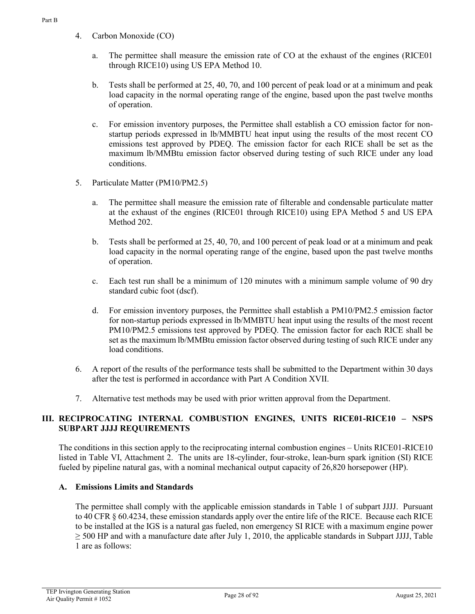- a. The permittee shall measure the emission rate of CO at the exhaust of the engines (RICE01 through RICE10) using US EPA Method 10.
- b. Tests shall be performed at 25, 40, 70, and 100 percent of peak load or at a minimum and peak load capacity in the normal operating range of the engine, based upon the past twelve months of operation.
- c. For emission inventory purposes, the Permittee shall establish a CO emission factor for nonstartup periods expressed in lb/MMBTU heat input using the results of the most recent CO emissions test approved by PDEQ. The emission factor for each RICE shall be set as the maximum lb/MMBtu emission factor observed during testing of such RICE under any load conditions.
- 5. Particulate Matter (PM10/PM2.5)
	- a. The permittee shall measure the emission rate of filterable and condensable particulate matter at the exhaust of the engines (RICE01 through RICE10) using EPA Method 5 and US EPA Method 202.
	- b. Tests shall be performed at 25, 40, 70, and 100 percent of peak load or at a minimum and peak load capacity in the normal operating range of the engine, based upon the past twelve months of operation.
	- c. Each test run shall be a minimum of 120 minutes with a minimum sample volume of 90 dry standard cubic foot (dscf).
	- d. For emission inventory purposes, the Permittee shall establish a PM10/PM2.5 emission factor for non-startup periods expressed in lb/MMBTU heat input using the results of the most recent PM10/PM2.5 emissions test approved by PDEQ. The emission factor for each RICE shall be set as the maximum lb/MMBtu emission factor observed during testing of such RICE under any load conditions.
- 6. A report of the results of the performance tests shall be submitted to the Department within 30 days after the test is performed in accordance with Part A Condition XVII.
- 7. Alternative test methods may be used with prior written approval from the Department.

# **III. RECIPROCATING INTERNAL COMBUSTION ENGINES, UNITS RICE01-RICE10 – NSPS SUBPART JJJJ REQUIREMENTS**

The conditions in this section apply to the reciprocating internal combustion engines – Units RICE01-RICE10 listed in Table VI, Attachment 2. The units are 18-cylinder, four-stroke, lean-burn spark ignition (SI) RICE fueled by pipeline natural gas, with a nominal mechanical output capacity of 26,820 horsepower (HP).

# **A. Emissions Limits and Standards**

The permittee shall comply with the applicable emission standards in Table 1 of subpart JJJJ. Pursuant to 40 CFR § 60.4234, these emission standards apply over the entire life of the RICE. Because each RICE to be installed at the IGS is a natural gas fueled, non emergency SI RICE with a maximum engine power  $\geq$  500 HP and with a manufacture date after July 1, 2010, the applicable standards in Subpart JJJJ, Table 1 are as follows: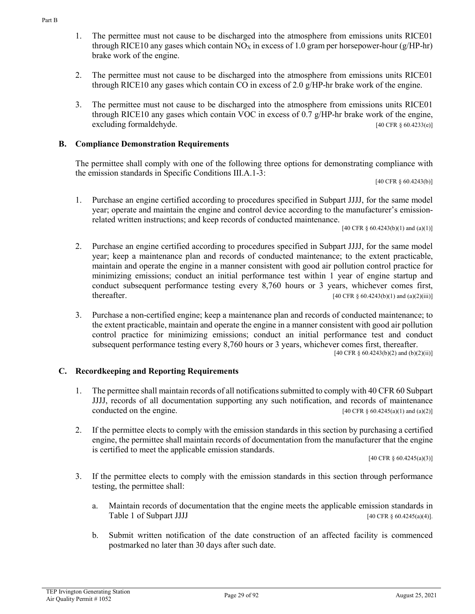- 2. The permittee must not cause to be discharged into the atmosphere from emissions units RICE01 through RICE10 any gases which contain CO in excess of 2.0 g/HP-hr brake work of the engine.
- 3. The permittee must not cause to be discharged into the atmosphere from emissions units RICE01 through RICE10 any gases which contain VOC in excess of 0.7  $g$ /HP-hr brake work of the engine,  $\alpha$ excluding formaldehyde. [40 CFR § 60.4233(e)]

### **B. Compliance Demonstration Requirements**

The permittee shall comply with one of the following three options for demonstrating compliance with the emission standards in Specific Conditions III.A.1-3:

[40 CFR § 60.4243(b)]

1. Purchase an engine certified according to procedures specified in Subpart JJJJ, for the same model year; operate and maintain the engine and control device according to the manufacturer's emissionrelated written instructions; and keep records of conducted maintenance.

[40 CFR § 60.4243(b)(1) and (a)(1)]

- 2. Purchase an engine certified according to procedures specified in Subpart JJJJ, for the same model year; keep a maintenance plan and records of conducted maintenance; to the extent practicable, maintain and operate the engine in a manner consistent with good air pollution control practice for minimizing emissions; conduct an initial performance test within 1 year of engine startup and conduct subsequent performance testing every 8,760 hours or 3 years, whichever comes first, thereafter. [40 CFR § 60.4243(b)(1) and (a)(2)(iii)]
- 3. Purchase a non-certified engine; keep a maintenance plan and records of conducted maintenance; to the extent practicable, maintain and operate the engine in a manner consistent with good air pollution control practice for minimizing emissions; conduct an initial performance test and conduct subsequent performance testing every 8,760 hours or 3 years, whichever comes first, thereafter.

[40 CFR § 60.4243(b)(2) and (b)(2)(ii)]

#### **C. Recordkeeping and Reporting Requirements**

- 1. The permittee shall maintain records of all notifications submitted to comply with 40 CFR 60 Subpart JJJJ, records of all documentation supporting any such notification, and records of maintenance conducted on the engine.  $[40 \text{ CFR } \frac{8}{3} \cdot 60.4245(a)(1) \text{ and } (a)(2)]$
- 2. If the permittee elects to comply with the emission standards in this section by purchasing a certified engine, the permittee shall maintain records of documentation from the manufacturer that the engine is certified to meet the applicable emission standards.

[40 CFR § 60.4245(a)(3)]

- 3. If the permittee elects to comply with the emission standards in this section through performance testing, the permittee shall:
	- a. Maintain records of documentation that the engine meets the applicable emission standards in Table 1 of Subpart JJJJ [40 CFR § 60.4245(a)(4)].
	- b. Submit written notification of the date construction of an affected facility is commenced postmarked no later than 30 days after such date.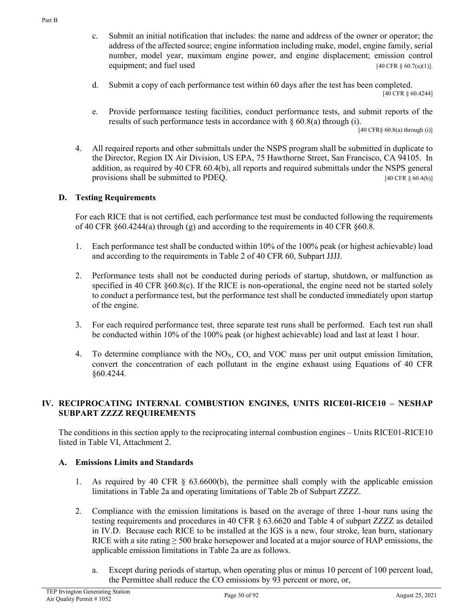- c. Submit an initial notification that includes: the name and address of the owner or operator; the address of the affected source; engine information including make, model, engine family, serial number, model year, maximum engine power, and engine displacement; emission control equipment; and fuel used  $[40 \text{ CFR } \frac{860.7(a)(1)}{1}$ .
- d. Submit a copy of each performance test within 60 days after the test has been completed. [40 CFR § 60.4244]
- e. Provide performance testing facilities, conduct performance tests, and submit reports of the results of such performance tests in accordance with § 60.8(a) through (i).

 $[40 \text{ CFR} \S 60.8(a)$  through (i)]

4. All required reports and other submittals under the NSPS program shall be submitted in duplicate to the Director, Region IX Air Division, US EPA, 75 Hawthorne Street, San Francisco, CA 94105. In addition, as required by 40 CFR 60.4(b), all reports and required submittals under the NSPS general provisions shall be submitted to PDEQ. [40 CFR § 60.4(b)]

#### **D. Testing Requirements**

For each RICE that is not certified, each performance test must be conducted following the requirements of 40 CFR  $\S 60.4244(a)$  through (g) and according to the requirements in 40 CFR  $\S 60.8$ .

- 1. Each performance test shall be conducted within 10% of the 100% peak (or highest achievable) load and according to the requirements in Table 2 of 40 CFR 60, Subpart JJJJ.
- 2. Performance tests shall not be conducted during periods of startup, shutdown, or malfunction as specified in 40 CFR §60.8(c). If the RICE is non-operational, the engine need not be started solely to conduct a performance test, but the performance test shall be conducted immediately upon startup of the engine.
- 3. For each required performance test, three separate test runs shall be performed. Each test run shall be conducted within 10% of the 100% peak (or highest achievable) load and last at least 1 hour.
- 4. To determine compliance with the NO<sub>X</sub>, CO, and VOC mass per unit output emission limitation, convert the concentration of each pollutant in the engine exhaust using Equations of 40 CFR §60.4244.

#### **IV. RECIPROCATING INTERNAL COMBUSTION ENGINES, UNITS RICE01-RICE10 – NESHAP SUBPART ZZZZ REQUIREMENTS**

The conditions in this section apply to the reciprocating internal combustion engines – Units RICE01-RICE10 listed in Table VI, Attachment 2.

#### **A. Emissions Limits and Standards**

- 1. As required by 40 CFR § 63.6600(b), the permittee shall comply with the applicable emission limitations in Table 2a and operating limitations of Table 2b of Subpart ZZZZ.
- 2. Compliance with the emission limitations is based on the average of three 1-hour runs using the testing requirements and procedures in 40 CFR § 63.6620 and Table 4 of subpart ZZZZ as detailed in IV.D. Because each RICE to be installed at the IGS is a new, four stroke, lean burn, stationary RICE with a site rating  $\geq$  500 brake horsepower and located at a major source of HAP emissions, the applicable emission limitations in Table 2a are as follows.
	- a. Except during periods of startup, when operating plus or minus 10 percent of 100 percent load, the Permittee shall reduce the CO emissions by 93 percent or more, or,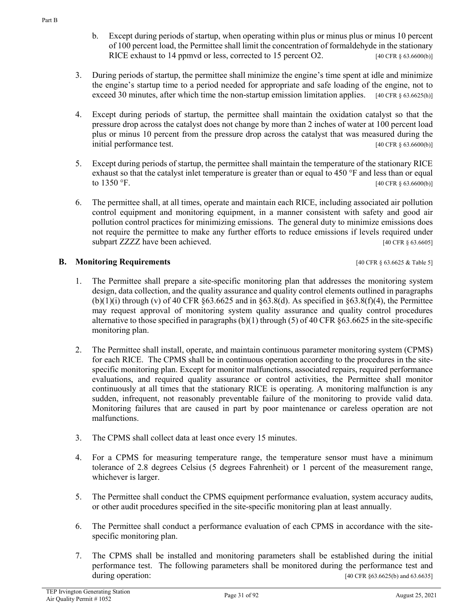b. Except during periods of startup, when operating within plus or minus plus or minus 10 percent of 100 percent load, the Permittee shall limit the concentration of formaldehyde in the stationary RICE exhaust to 14 ppmvd or less, corrected to 15 percent O2. [40 CFR § 63.6600(b)]

- 3. During periods of startup, the permittee shall minimize the engine's time spent at idle and minimize the engine's startup time to a period needed for appropriate and safe loading of the engine, not to exceed 30 minutes, after which time the non-startup emission limitation applies. [40 CFR § 63.6625(h)]
- 4. Except during periods of startup, the permittee shall maintain the oxidation catalyst so that the pressure drop across the catalyst does not change by more than 2 inches of water at 100 percent load plus or minus 10 percent from the pressure drop across the catalyst that was measured during the initial performance test. [40 CFR § 63.6600(b)]
- 5. Except during periods of startup, the permittee shall maintain the temperature of the stationary RICE exhaust so that the catalyst inlet temperature is greater than or equal to 450 °F and less than or equal to  $1350 \text{ }^{\circ}\text{F}$ . [40 CFR § 63.6600(b)]
- 6. The permittee shall, at all times, operate and maintain each RICE, including associated air pollution control equipment and monitoring equipment, in a manner consistent with safety and good air pollution control practices for minimizing emissions. The general duty to minimize emissions does not require the permittee to make any further efforts to reduce emissions if levels required under subpart ZZZZ have been achieved. [40 CFR § 63.6605]

# **B. Monitoring Requirements and the sequence of the sequence of the sequence of the sequence of the sequence of the sequence of the sequence of the sequence of the sequence of the sequence of the sequence of the sequen**

- 1. The Permittee shall prepare a site-specific monitoring plan that addresses the monitoring system design, data collection, and the quality assurance and quality control elements outlined in paragraphs (b)(1)(i) through (v) of 40 CFR §63.6625 and in §63.8(d). As specified in §63.8(f)(4), the Permittee may request approval of monitoring system quality assurance and quality control procedures alternative to those specified in paragraphs (b)(1) through (5) of 40 CFR §63.6625 in the site-specific monitoring plan.
- 2. The Permittee shall install, operate, and maintain continuous parameter monitoring system (CPMS) for each RICE. The CPMS shall be in continuous operation according to the procedures in the sitespecific monitoring plan. Except for monitor malfunctions, associated repairs, required performance evaluations, and required quality assurance or control activities, the Permittee shall monitor continuously at all times that the stationary RICE is operating. A monitoring malfunction is any sudden, infrequent, not reasonably preventable failure of the monitoring to provide valid data. Monitoring failures that are caused in part by poor maintenance or careless operation are not malfunctions.
- 3. The CPMS shall collect data at least once every 15 minutes.
- 4. For a CPMS for measuring temperature range, the temperature sensor must have a minimum tolerance of 2.8 degrees Celsius (5 degrees Fahrenheit) or 1 percent of the measurement range, whichever is larger.
- 5. The Permittee shall conduct the CPMS equipment performance evaluation, system accuracy audits, or other audit procedures specified in the site-specific monitoring plan at least annually.
- 6. The Permittee shall conduct a performance evaluation of each CPMS in accordance with the sitespecific monitoring plan.
- 7. The CPMS shall be installed and monitoring parameters shall be established during the initial performance test. The following parameters shall be monitored during the performance test and during operation: [40 CFR §63.6625(b) and 63.6635]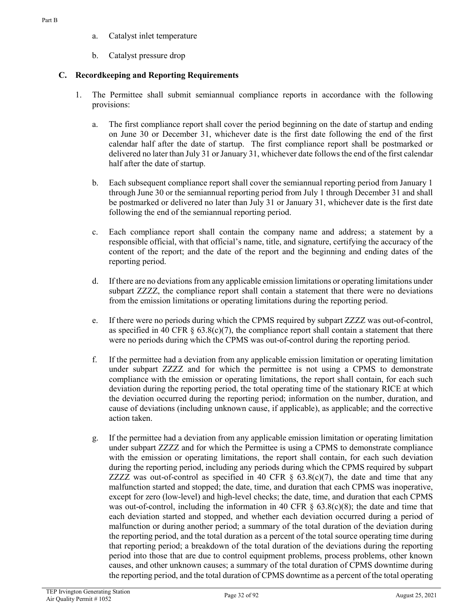- a. Catalyst inlet temperature
- b. Catalyst pressure drop

# **C. Recordkeeping and Reporting Requirements**

- 1. The Permittee shall submit semiannual compliance reports in accordance with the following provisions:
	- a. The first compliance report shall cover the period beginning on the date of startup and ending on June 30 or December 31, whichever date is the first date following the end of the first calendar half after the date of startup. The first compliance report shall be postmarked or delivered no later than July 31 or January 31, whichever date follows the end of the first calendar half after the date of startup.
	- b. Each subsequent compliance report shall cover the semiannual reporting period from January 1 through June 30 or the semiannual reporting period from July 1 through December 31 and shall be postmarked or delivered no later than July 31 or January 31, whichever date is the first date following the end of the semiannual reporting period.
	- c. Each compliance report shall contain the company name and address; a statement by a responsible official, with that official's name, title, and signature, certifying the accuracy of the content of the report; and the date of the report and the beginning and ending dates of the reporting period.
	- d. If there are no deviations from any applicable emission limitations or operating limitations under subpart ZZZZ, the compliance report shall contain a statement that there were no deviations from the emission limitations or operating limitations during the reporting period.
	- e. If there were no periods during which the CPMS required by subpart ZZZZ was out-of-control, as specified in 40 CFR  $\S$  63.8(c)(7), the compliance report shall contain a statement that there were no periods during which the CPMS was out-of-control during the reporting period.
	- f. If the permittee had a deviation from any applicable emission limitation or operating limitation under subpart ZZZZ and for which the permittee is not using a CPMS to demonstrate compliance with the emission or operating limitations, the report shall contain, for each such deviation during the reporting period, the total operating time of the stationary RICE at which the deviation occurred during the reporting period; information on the number, duration, and cause of deviations (including unknown cause, if applicable), as applicable; and the corrective action taken.
	- g. If the permittee had a deviation from any applicable emission limitation or operating limitation under subpart ZZZZ and for which the Permittee is using a CPMS to demonstrate compliance with the emission or operating limitations, the report shall contain, for each such deviation during the reporting period, including any periods during which the CPMS required by subpart ZZZZ was out-of-control as specified in 40 CFR  $\S$  63.8(c)(7), the date and time that any malfunction started and stopped; the date, time, and duration that each CPMS was inoperative, except for zero (low-level) and high-level checks; the date, time, and duration that each CPMS was out-of-control, including the information in 40 CFR  $\S$  63.8(c)(8); the date and time that each deviation started and stopped, and whether each deviation occurred during a period of malfunction or during another period; a summary of the total duration of the deviation during the reporting period, and the total duration as a percent of the total source operating time during that reporting period; a breakdown of the total duration of the deviations during the reporting period into those that are due to control equipment problems, process problems, other known causes, and other unknown causes; a summary of the total duration of CPMS downtime during the reporting period, and the total duration of CPMS downtime as a percent of the total operating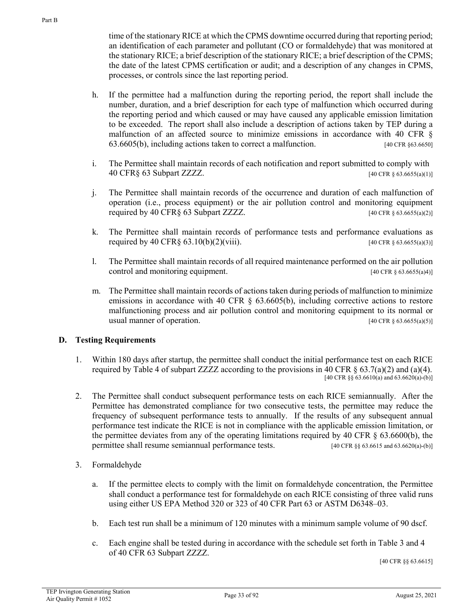time of the stationary RICE at which the CPMS downtime occurred during that reporting period; an identification of each parameter and pollutant (CO or formaldehyde) that was monitored at the stationary RICE; a brief description of the stationary RICE; a brief description of the CPMS; the date of the latest CPMS certification or audit; and a description of any changes in CPMS, processes, or controls since the last reporting period.

- h. If the permittee had a malfunction during the reporting period, the report shall include the number, duration, and a brief description for each type of malfunction which occurred during the reporting period and which caused or may have caused any applicable emission limitation to be exceeded. The report shall also include a description of actions taken by TEP during a malfunction of an affected source to minimize emissions in accordance with 40 CFR  $\S$ 63.6605(b), including actions taken to correct a malfunction. [40 CFR §63.6650]
- i. The Permittee shall maintain records of each notification and report submitted to comply with 40 CFR§ 63 Subpart ZZZZ. [40 CFR § 63.6655(a)(1)]
- j. The Permittee shall maintain records of the occurrence and duration of each malfunction of operation (i.e., process equipment) or the air pollution control and monitoring equipment required by 40 CFR§ 63 Subpart ZZZZ.  $[40 \text{ CFR } \frac{1}{2}]$
- k. The Permittee shall maintain records of performance tests and performance evaluations as required by 40 CFR§ 63.10(b)(2)(viii). [40 CFR § 63.6655(a)(3)]
- l. The Permittee shall maintain records of all required maintenance performed on the air pollution control and monitoring equipment. [40 CFR § 63.6655(a)4)]
- m. The Permittee shall maintain records of actions taken during periods of malfunction to minimize emissions in accordance with 40 CFR § 63.6605(b), including corrective actions to restore malfunctioning process and air pollution control and monitoring equipment to its normal or usual manner of operation.  $[40 \text{ CFR } \S 63.6655(a)(5)]$

#### **D. Testing Requirements**

- 1. Within 180 days after startup, the permittee shall conduct the initial performance test on each RICE required by Table 4 of subpart ZZZZ according to the provisions in 40 CFR  $\S$  63.7(a)(2) and (a)(4). [40 CFR §§ 63.6610(a) and 63.6620(a)-(b)]
- 2. The Permittee shall conduct subsequent performance tests on each RICE semiannually. After the Permittee has demonstrated compliance for two consecutive tests, the permittee may reduce the frequency of subsequent performance tests to annually. If the results of any subsequent annual performance test indicate the RICE is not in compliance with the applicable emission limitation, or the permittee deviates from any of the operating limitations required by 40 CFR § 63.6600(b), the permittee shall resume semiannual performance tests. [40 CFR §§ 63.6615 and 63.6620(a)-(b)]
- 3. Formaldehyde
	- a. If the permittee elects to comply with the limit on formaldehyde concentration, the Permittee shall conduct a performance test for formaldehyde on each RICE consisting of three valid runs using either US EPA Method 320 or 323 of 40 CFR Part 63 or ASTM D6348–03.
	- b. Each test run shall be a minimum of 120 minutes with a minimum sample volume of 90 dscf.
	- c. Each engine shall be tested during in accordance with the schedule set forth in Table 3 and 4 of 40 CFR 63 Subpart ZZZZ. [40 CFR §§ 63.6615]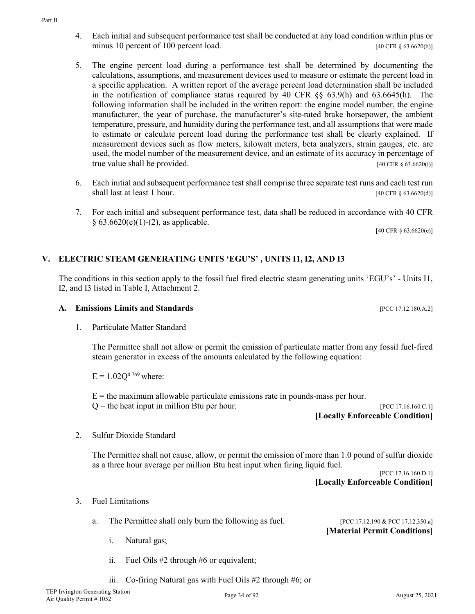Part B

- 4. Each initial and subsequent performance test shall be conducted at any load condition within plus or minus 10 percent of 100 percent load. [40 CFR § 63.6620(b)]
- 5. The engine percent load during a performance test shall be determined by documenting the calculations, assumptions, and measurement devices used to measure or estimate the percent load in a specific application. A written report of the average percent load determination shall be included in the notification of compliance status required by 40 CFR §§ 63.9(h) and 63.6645(h). The following information shall be included in the written report: the engine model number, the engine manufacturer, the year of purchase, the manufacturer's site-rated brake horsepower, the ambient temperature, pressure, and humidity during the performance test, and all assumptions that were made to estimate or calculate percent load during the performance test shall be clearly explained. If measurement devices such as flow meters, kilowatt meters, beta analyzers, strain gauges, etc. are used, the model number of the measurement device, and an estimate of its accuracy in percentage of true value shall be provided.  $[40 \text{ CFR } \S 63.6620(i)]$
- 6. Each initial and subsequent performance test shall comprise three separate test runs and each test run shall last at least 1 hour. [40 CFR § 63.6620(d)]
- 7. For each initial and subsequent performance test, data shall be reduced in accordance with 40 CFR  $§ 63.6620(e)(1)-(2)$ , as applicable.

[40 CFR § 63.6620(e)]

# **V. ELECTRIC STEAM GENERATING UNITS 'EGU'S' , UNITS I1, I2, AND I3**

The conditions in this section apply to the fossil fuel fired electric steam generating units 'EGU's' - Units I1, I2, and I3 listed in Table I, Attachment 2.

1. Particulate Matter Standard

The Permittee shall not allow or permit the emission of particulate matter from any fossil fuel-fired steam generator in excess of the amounts calculated by the following equation:

- $E = 1.02O^{0.769}$  where:
- $E =$  the maximum allowable particulate emissions rate in pounds-mass per hour.

 $Q =$  the heat input in million Btu per hour. [PCC 17.16.160.C.1] **[Locally Enforceable Condition]**

2. Sulfur Dioxide Standard

The Permittee shall not cause, allow, or permit the emission of more than 1.0 pound of sulfur dioxide as a three hour average per million Btu heat input when firing liquid fuel.

[PCC 17.16.160.D.1] **[Locally Enforceable Condition]**

**[Material Permit Conditions]**

- 3. Fuel Limitations
	- a. The Permittee shall only burn the following as fuel. [PCC 17.12.190 & PCC 17.12.350.a]

i. Natural gas;

- ii. Fuel Oils #2 through #6 or equivalent;
- iii. Co-firing Natural gas with Fuel Oils #2 through #6; or

**A. Emissions Limits and Standards** [PCC 17.12.180.A.2]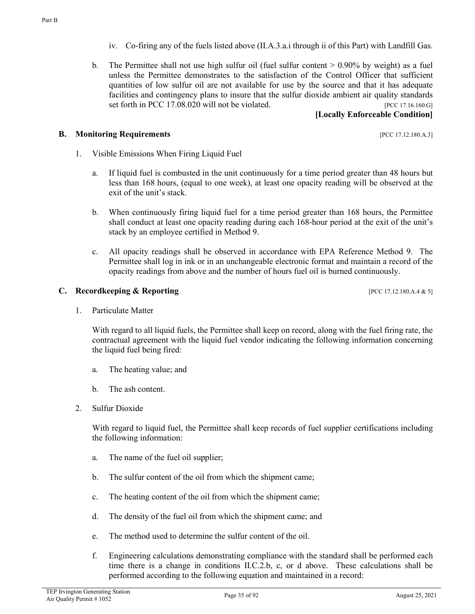- iv. Co-firing any of the fuels listed above (II.A.3.a.i through ii of this Part) with Landfill Gas.
- b. The Permittee shall not use high sulfur oil (fuel sulfur content  $> 0.90\%$  by weight) as a fuel unless the Permittee demonstrates to the satisfaction of the Control Officer that sufficient quantities of low sulfur oil are not available for use by the source and that it has adequate facilities and contingency plans to insure that the sulfur dioxide ambient air quality standards set forth in PCC 17.08.020 will not be violated. [PCC 17.16.160.G]

### **[Locally Enforceable Condition]**

#### **B. Monitoring Requirements pcc** 17.12.180.A.3]

- 1. Visible Emissions When Firing Liquid Fuel
	- a. If liquid fuel is combusted in the unit continuously for a time period greater than 48 hours but less than 168 hours, (equal to one week), at least one opacity reading will be observed at the exit of the unit's stack.
	- b. When continuously firing liquid fuel for a time period greater than 168 hours, the Permittee shall conduct at least one opacity reading during each 168-hour period at the exit of the unit's stack by an employee certified in Method 9.
	- c. All opacity readings shall be observed in accordance with EPA Reference Method 9. The Permittee shall log in ink or in an unchangeable electronic format and maintain a record of the opacity readings from above and the number of hours fuel oil is burned continuously.

#### **C. Recordkeeping & Reporting** *C.* **<b>Recording** *PCC 17.12.180.A.4 & 5]*

1. Particulate Matter

With regard to all liquid fuels, the Permittee shall keep on record, along with the fuel firing rate, the contractual agreement with the liquid fuel vendor indicating the following information concerning the liquid fuel being fired:

- a. The heating value; and
- b. The ash content.
- 2. Sulfur Dioxide

With regard to liquid fuel, the Permittee shall keep records of fuel supplier certifications including the following information:

- a. The name of the fuel oil supplier;
- b. The sulfur content of the oil from which the shipment came;
- c. The heating content of the oil from which the shipment came;
- d. The density of the fuel oil from which the shipment came; and
- e. The method used to determine the sulfur content of the oil.
- f. Engineering calculations demonstrating compliance with the standard shall be performed each time there is a change in conditions II.C.2.b, c, or d above. These calculations shall be performed according to the following equation and maintained in a record: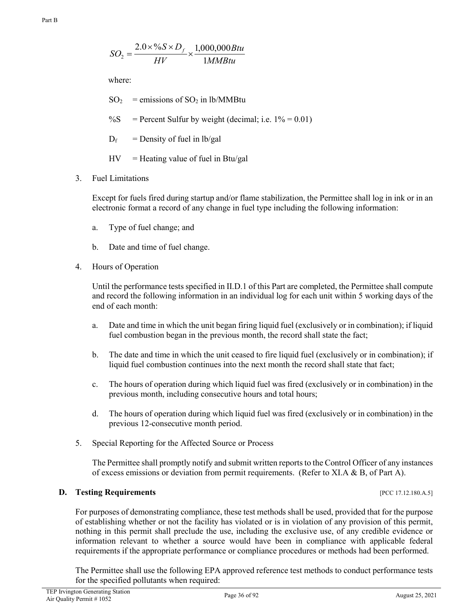$$
SO_2 = \frac{2.0 \times \%S \times D_f}{HV} \times \frac{1,000,000Btu}{1MMBtu}
$$

where:

 $SO_2$  = emissions of  $SO_2$  in lb/MMBtu

%S = Percent Sulfur by weight (decimal; i.e.  $1\% = 0.01$ )

 $D_f$  = Density of fuel in lb/gal

 $HV =$  Heating value of fuel in Btu/gal

3. Fuel Limitations

Except for fuels fired during startup and/or flame stabilization, the Permittee shall log in ink or in an electronic format a record of any change in fuel type including the following information:

- a. Type of fuel change; and
- b. Date and time of fuel change.
- 4. Hours of Operation

Until the performance tests specified in II.D.1 of this Part are completed, the Permittee shall compute and record the following information in an individual log for each unit within 5 working days of the end of each month:

- a. Date and time in which the unit began firing liquid fuel (exclusively or in combination); if liquid fuel combustion began in the previous month, the record shall state the fact;
- b. The date and time in which the unit ceased to fire liquid fuel (exclusively or in combination); if liquid fuel combustion continues into the next month the record shall state that fact;
- c. The hours of operation during which liquid fuel was fired (exclusively or in combination) in the previous month, including consecutive hours and total hours;
- d. The hours of operation during which liquid fuel was fired (exclusively or in combination) in the previous 12-consecutive month period.
- 5. Special Reporting for the Affected Source or Process

The Permittee shall promptly notify and submit written reports to the Control Officer of any instances of excess emissions or deviation from permit requirements. (Refer to XI.A & B, of Part A).

#### **D. Testing Requirements** [PCC 17.12.180.A.5]

For purposes of demonstrating compliance, these test methods shall be used, provided that for the purpose of establishing whether or not the facility has violated or is in violation of any provision of this permit, nothing in this permit shall preclude the use, including the exclusive use, of any credible evidence or information relevant to whether a source would have been in compliance with applicable federal requirements if the appropriate performance or compliance procedures or methods had been performed.

The Permittee shall use the following EPA approved reference test methods to conduct performance tests for the specified pollutants when required: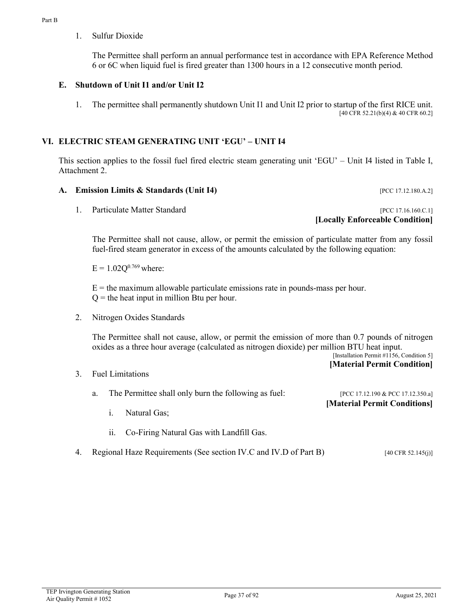1. Sulfur Dioxide

The Permittee shall perform an annual performance test in accordance with EPA Reference Method 6 or 6C when liquid fuel is fired greater than 1300 hours in a 12 consecutive month period.

## **E. Shutdown of Unit I1 and/or Unit I2**

1. The permittee shall permanently shutdown Unit I1 and Unit I2 prior to startup of the first RICE unit. [40 CFR 52.21(b)(4) & 40 CFR 60.2]

## **VI. ELECTRIC STEAM GENERATING UNIT 'EGU' – UNIT I4**

This section applies to the fossil fuel fired electric steam generating unit 'EGU' – Unit I4 listed in Table I, Attachment 2.

## **A. Emission Limits & Standards (Unit I4)** [PCC 17.12.180.A.2]

1. Particulate Matter Standard **Internal Contract Contract Contract Contract Contract Contract Contract Contract Contract Contract Contract Contract PCC 17.16.160.C.1]** 

**[Locally Enforceable Condition]**

The Permittee shall not cause, allow, or permit the emission of particulate matter from any fossil fuel-fired steam generator in excess of the amounts calculated by the following equation:

 $E = 1.02Q^{0.769}$  where:

 $E =$  the maximum allowable particulate emissions rate in pounds-mass per hour.  $Q =$  the heat input in million Btu per hour.

2. Nitrogen Oxides Standards

The Permittee shall not cause, allow, or permit the emission of more than 0.7 pounds of nitrogen oxides as a three hour average (calculated as nitrogen dioxide) per million BTU heat input.

[Installation Permit  $\#1156$ , Condition 5] **[Material Permit Condition]**

3. Fuel Limitations

|  | a. The Permittee shall only burn the following as fuel: | [PCC 17.12.190 & PCC 17.12.350.a] |
|--|---------------------------------------------------------|-----------------------------------|
|  |                                                         | [Material Permit Conditions]      |
|  | Natural Gas;                                            |                                   |

- ii. Co-Firing Natural Gas with Landfill Gas.
- 4. Regional Haze Requirements (See section IV.C and IV.D of Part B) [40 CFR 52.145(j)]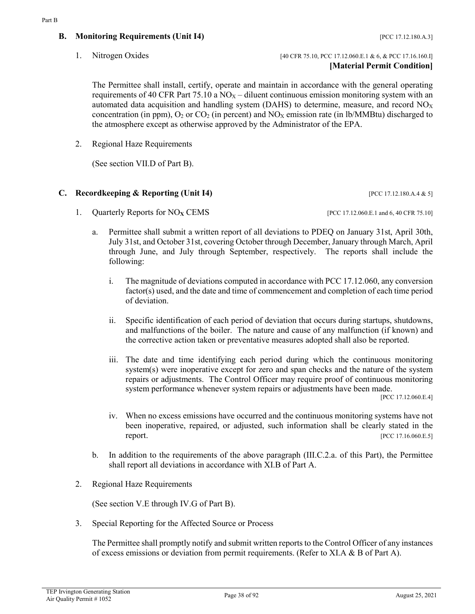## **B. Monitoring Requirements (Unit I4)** [PCC 17.12.180.A.3]

The Permittee shall install, certify, operate and maintain in accordance with the general operating requirements of 40 CFR Part 75.10 a  $NO<sub>X</sub>$  – diluent continuous emission monitoring system with an automated data acquisition and handling system (DAHS) to determine, measure, and record  $NO<sub>X</sub>$ concentration (in ppm),  $O_2$  or  $CO_2$  (in percent) and  $NO<sub>X</sub>$  emission rate (in lb/MMBtu) discharged to the atmosphere except as otherwise approved by the Administrator of the EPA.

2. Regional Haze Requirements

(See section VII.D of Part B).

## **C. Recordkeeping & Reporting (Unit I4)** [PCC 17.12.180.A.4 & 5]

- 1. Quarterly Reports for NO<sub>X</sub> CEMS [PCC 17.12.060.E.1 and 6, 40 CFR 75.10]
	-
	- a. Permittee shall submit a written report of all deviations to PDEQ on January 31st, April 30th, July 31st, and October 31st, covering October through December, January through March, April through June, and July through September, respectively. The reports shall include the following:
		- i. The magnitude of deviations computed in accordance with PCC 17.12.060, any conversion factor(s) used, and the date and time of commencement and completion of each time period of deviation.
		- ii. Specific identification of each period of deviation that occurs during startups, shutdowns, and malfunctions of the boiler. The nature and cause of any malfunction (if known) and the corrective action taken or preventative measures adopted shall also be reported.
		- iii. The date and time identifying each period during which the continuous monitoring system(s) were inoperative except for zero and span checks and the nature of the system repairs or adjustments. The Control Officer may require proof of continuous monitoring system performance whenever system repairs or adjustments have been made.

[PCC 17.12.060.E.4]

- iv. When no excess emissions have occurred and the continuous monitoring systems have not been inoperative, repaired, or adjusted, such information shall be clearly stated in the **report.** [PCC 17.16.060.E.5]
- b. In addition to the requirements of the above paragraph (III.C.2.a. of this Part), the Permittee shall report all deviations in accordance with XI.B of Part A.
- 2. Regional Haze Requirements

(See section V.E through IV.G of Part B).

3. Special Reporting for the Affected Source or Process

The Permittee shall promptly notify and submit written reports to the Control Officer of any instances of excess emissions or deviation from permit requirements. (Refer to XI.A & B of Part A).

**[Material Permit Condition]**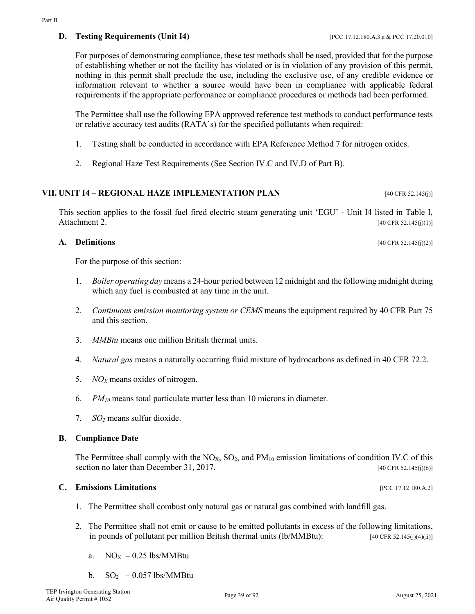## **D. Testing Requirements (Unit I4)** [PCC 17.12.180.A.3.a & PCC 17.20.010]

For purposes of demonstrating compliance, these test methods shall be used, provided that for the purpose of establishing whether or not the facility has violated or is in violation of any provision of this permit, nothing in this permit shall preclude the use, including the exclusive use, of any credible evidence or information relevant to whether a source would have been in compliance with applicable federal requirements if the appropriate performance or compliance procedures or methods had been performed.

The Permittee shall use the following EPA approved reference test methods to conduct performance tests or relative accuracy test audits (RATA's) for the specified pollutants when required:

- 1. Testing shall be conducted in accordance with EPA Reference Method 7 for nitrogen oxides.
- 2. Regional Haze Test Requirements (See Section IV.C and IV.D of Part B).

### **VII.** UNIT I4 – **REGIONAL HAZE IMPLEMENTATION PLAN** [40 CFR 52.145(j)]

This section applies to the fossil fuel fired electric steam generating unit 'EGU' - Unit I4 listed in Table I, Attachment 2. [40 CFR 52.145(j)(1)]

### **A. Definitions** [40 CFR 52.145(j)(2)]

For the purpose of this section:

- 1. *Boiler operating day* means a 24-hour period between 12 midnight and the following midnight during which any fuel is combusted at any time in the unit.
- 2. *Continuous emission monitoring system or CEMS* means the equipment required by 40 CFR Part 75 and this section.
- 3. *MMBtu* means one million British thermal units.
- 4. *Natural gas* means a naturally occurring fluid mixture of hydrocarbons as defined in 40 CFR 72.2.
- 5. *NOX* means oxides of nitrogen.
- 6. *PM10* means total particulate matter less than 10 microns in diameter.
- 7. *SO2* means sulfur dioxide.

### **B. Compliance Date**

The Permittee shall comply with the  $NO<sub>X</sub>$ ,  $SO<sub>2</sub>$ , and  $PM<sub>10</sub>$  emission limitations of condition IV.C of this section no later than December 31, 2017. [40 CFR 52.145(j)(6)]

## **C. Emissions Limitations** [PCC 17.12.180.A.2]

- 1. The Permittee shall combust only natural gas or natural gas combined with landfill gas.
- 2. The Permittee shall not emit or cause to be emitted pollutants in excess of the following limitations, in pounds of pollutant per million British thermal units (lb/MMBtu): [40 CFR 52.145(j)(4)(ii)]
	- a.  $NO<sub>X</sub> 0.25$  lbs/MMBtu
	- b.  $SO_2$  0.057 lbs/MMBtu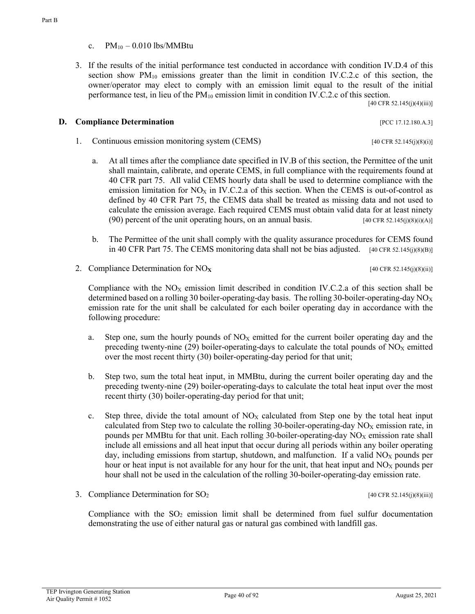- c.  $PM_{10} 0.010$  lbs/MMBtu
- 3. If the results of the initial performance test conducted in accordance with condition IV.D.4 of this section show  $PM_{10}$  emissions greater than the limit in condition IV.C.2.c of this section, the owner/operator may elect to comply with an emission limit equal to the result of the initial performance test, in lieu of the  $PM_{10}$  emission limit in condition IV.C.2.c of this section.

[40 CFR 52.145(j)(4)(iii)]

### **D. Compliance Determination** [PCC 17.12.180.A.3]

- 1. Continuous emission monitoring system (CEMS) [40 CFR 52.145(j)(8)(i)]
	- a. At all times after the compliance date specified in IV.B of this section, the Permittee of the unit shall maintain, calibrate, and operate CEMS, in full compliance with the requirements found at 40 CFR part 75. All valid CEMS hourly data shall be used to determine compliance with the emission limitation for NO<sub>X</sub> in IV.C.2.a of this section. When the CEMS is out-of-control as defined by 40 CFR Part 75, the CEMS data shall be treated as missing data and not used to calculate the emission average. Each required CEMS must obtain valid data for at least ninety (90) percent of the unit operating hours, on an annual basis.  $[40 \text{ CFR } 52.145(j)(8)(i)(A)]$
	- b. The Permittee of the unit shall comply with the quality assurance procedures for CEMS found in 40 CFR Part 75. The CEMS monitoring data shall not be bias adjusted. [40 CFR 52.145(j)(8)(B)]
- 2. Compliance Determination for NO<sub>X</sub> [40 CFR 52.145(j)(8)(ii)]

Compliance with the  $NO<sub>X</sub>$  emission limit described in condition IV.C.2.a of this section shall be determined based on a rolling 30 boiler-operating-day basis. The rolling 30-boiler-operating-day  $NO<sub>X</sub>$ emission rate for the unit shall be calculated for each boiler operating day in accordance with the following procedure:

- a. Step one, sum the hourly pounds of  $NO<sub>X</sub>$  emitted for the current boiler operating day and the preceding twenty-nine (29) boiler-operating-days to calculate the total pounds of  $NO<sub>X</sub>$  emitted over the most recent thirty (30) boiler-operating-day period for that unit;
- b. Step two, sum the total heat input, in MMBtu, during the current boiler operating day and the preceding twenty-nine (29) boiler-operating-days to calculate the total heat input over the most recent thirty (30) boiler-operating-day period for that unit;
- c. Step three, divide the total amount of  $NO<sub>X</sub>$  calculated from Step one by the total heat input calculated from Step two to calculate the rolling 30-boiler-operating-day  $NO<sub>X</sub>$  emission rate, in pounds per MMBtu for that unit. Each rolling 30-boiler-operating-day  $NO<sub>X</sub>$  emission rate shall include all emissions and all heat input that occur during all periods within any boiler operating day, including emissions from startup, shutdown, and malfunction. If a valid  $NO<sub>X</sub>$  pounds per hour or heat input is not available for any hour for the unit, that heat input and  $NO<sub>X</sub>$  pounds per hour shall not be used in the calculation of the rolling 30-boiler-operating-day emission rate.
- 3. Compliance Determination for  $SO_2$  [40 CFR 52.145(j)(8)(iii)]

Compliance with the  $SO_2$  emission limit shall be determined from fuel sulfur documentation demonstrating the use of either natural gas or natural gas combined with landfill gas.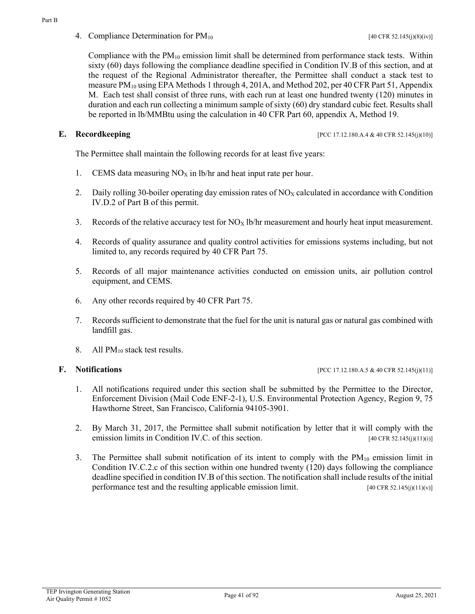4. Compliance Determination for  $PM_{10}$  [40 CFR 52.145(j)(8)(iv)]

Compliance with the  $PM_{10}$  emission limit shall be determined from performance stack tests. Within sixty (60) days following the compliance deadline specified in Condition IV.B of this section, and at the request of the Regional Administrator thereafter, the Permittee shall conduct a stack test to measure PM<sub>10</sub> using EPA Methods 1 through 4, 201A, and Method 202, per 40 CFR Part 51, Appendix M. Each test shall consist of three runs, with each run at least one hundred twenty (120) minutes in duration and each run collecting a minimum sample of sixty (60) dry standard cubic feet. Results shall be reported in lb/MMBtu using the calculation in 40 CFR Part 60, appendix A, Method 19.

**E. Recordkeeping interval in the set of the set of the set of the set of the set of the set of the set of the set of the set of the set of the set of the set of the set of the set of the set of the set of the set of t** 

The Permittee shall maintain the following records for at least five years:

- 1. CEMS data measuring  $NO<sub>X</sub>$  in lb/hr and heat input rate per hour.
- 2. Daily rolling 30-boiler operating day emission rates of  $NO<sub>X</sub>$  calculated in accordance with Condition IV.D.2 of Part B of this permit.
- 3. Records of the relative accuracy test for  $NO_X$  lb/hr measurement and hourly heat input measurement.
- 4. Records of quality assurance and quality control activities for emissions systems including, but not limited to, any records required by 40 CFR Part 75.
- 5. Records of all major maintenance activities conducted on emission units, air pollution control equipment, and CEMS.
- 6. Any other records required by 40 CFR Part 75.
- 7. Records sufficient to demonstrate that the fuel for the unit is natural gas or natural gas combined with landfill gas.
- 8. All PM<sub>10</sub> stack test results.

**F. Notifications** [PCC 17.12.180.A.5 & 40 CFR 52.145(j)(11)]

- 1. All notifications required under this section shall be submitted by the Permittee to the Director, Enforcement Division (Mail Code ENF-2-1), U.S. Environmental Protection Agency, Region 9, 75 Hawthorne Street, San Francisco, California 94105-3901.
- 2. By March 31, 2017, the Permittee shall submit notification by letter that it will comply with the emission limits in Condition IV.C. of this section.  $[40 \text{ CFR } 52.145(j)(11)(i)]$
- 3. The Permittee shall submit notification of its intent to comply with the  $PM_{10}$  emission limit in Condition IV.C.2.c of this section within one hundred twenty (120) days following the compliance deadline specified in condition IV.B of this section. The notification shall include results of the initial performance test and the resulting applicable emission limit. [40 CFR 52.145(j)(11)(v)]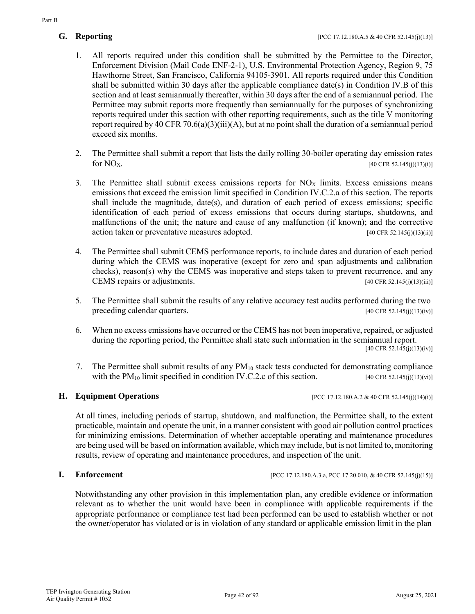- 1. All reports required under this condition shall be submitted by the Permittee to the Director, Enforcement Division (Mail Code ENF-2-1), U.S. Environmental Protection Agency, Region 9, 75 Hawthorne Street, San Francisco, California 94105-3901. All reports required under this Condition shall be submitted within 30 days after the applicable compliance date(s) in Condition IV.B of this section and at least semiannually thereafter, within 30 days after the end of a semiannual period. The Permittee may submit reports more frequently than semiannually for the purposes of synchronizing reports required under this section with other reporting requirements, such as the title V monitoring report required by 40 CFR 70.6(a)(3)(iii)(A), but at no point shall the duration of a semiannual period exceed six months.
- 2. The Permittee shall submit a report that lists the daily rolling 30-boiler operating day emission rates for  $NO_{X}$ . [40 CFR 52.145(j)(13)(i)]
- 3. The Permittee shall submit excess emissions reports for  $NO<sub>X</sub>$  limits. Excess emissions means emissions that exceed the emission limit specified in Condition IV.C.2.a of this section. The reports shall include the magnitude, date(s), and duration of each period of excess emissions; specific identification of each period of excess emissions that occurs during startups, shutdowns, and malfunctions of the unit; the nature and cause of any malfunction (if known); and the corrective action taken or preventative measures adopted.  $[40 \text{ CFR } 52.145(j)(13)(ii)]$
- 4. The Permittee shall submit CEMS performance reports, to include dates and duration of each period during which the CEMS was inoperative (except for zero and span adjustments and calibration checks), reason(s) why the CEMS was inoperative and steps taken to prevent recurrence, and any CEMS repairs or adjustments. [40 CFR 52.145(j)(13)(iii)]
- 5. The Permittee shall submit the results of any relative accuracy test audits performed during the two preceding calendar quarters. [40 CFR 52.145(j)(13)(iv)]
- 6. When no excess emissions have occurred or the CEMS has not been inoperative, repaired, or adjusted during the reporting period, the Permittee shall state such information in the semiannual report.
	- $[40 \text{ CFR } 52.145(j)(13)(iv)]$
- 7. The Permittee shall submit results of any PM<sub>10</sub> stack tests conducted for demonstrating compliance with the PM<sub>10</sub> limit specified in condition IV.C.2.c of this section. [40 CFR 52.145(j)(13)(vi)]

**H. Equipment Operations properations [PCC 17.12.180.A.2 & 40 CFR 52.145(j)(14)(i)]** 

At all times, including periods of startup, shutdown, and malfunction, the Permittee shall, to the extent practicable, maintain and operate the unit, in a manner consistent with good air pollution control practices for minimizing emissions. Determination of whether acceptable operating and maintenance procedures are being used will be based on information available, which may include, but is not limited to, monitoring results, review of operating and maintenance procedures, and inspection of the unit.

**I. Enforcement in Fig. 2.145(j)(15)] [PCC 17.12.180.A.3.a, PCC 17.20.010, & 40 CFR 52.145(j)(15)]** 

Notwithstanding any other provision in this implementation plan, any credible evidence or information relevant as to whether the unit would have been in compliance with applicable requirements if the appropriate performance or compliance test had been performed can be used to establish whether or not the owner/operator has violated or is in violation of any standard or applicable emission limit in the plan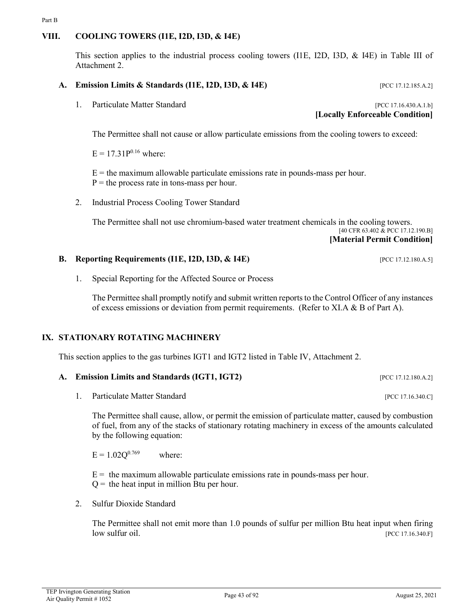## **VIII. COOLING TOWERS (I1E, I2D, I3D, & I4E)**

Part B

This section applies to the industrial process cooling towers (I1E, I2D, I3D, & I4E) in Table III of Attachment 2.

### **A. Emission Limits & Standards (I1E, I2D, I3D, & I4E)** [PCC 17.12.185.A.2]

1. Particulate Matter Standard [PCC 17.16.430.A.1.b] **[Locally Enforceable Condition]**

The Permittee shall not cause or allow particulate emissions from the cooling towers to exceed:

 $E = 17.31P^{0.16}$  where:

 $E =$  the maximum allowable particulate emissions rate in pounds-mass per hour.  $P =$  the process rate in tons-mass per hour.

2. Industrial Process Cooling Tower Standard

The Permittee shall not use chromium-based water treatment chemicals in the cooling towers. [40 CFR 63.402 & PCC 17.12.190.B] **[Material Permit Condition]**

#### **B. Reporting Requirements (I1E, I2D, I3D, & I4E)** [PCC 17.12.180.A.5]

1. Special Reporting for the Affected Source or Process

The Permittee shall promptly notify and submit written reports to the Control Officer of any instances of excess emissions or deviation from permit requirements. (Refer to XI.A & B of Part A).

### **IX. STATIONARY ROTATING MACHINERY**

This section applies to the gas turbines IGT1 and IGT2 listed in Table IV, Attachment 2.

#### **A. Emission Limits and Standards (IGT1, IGT2)** [PCC 17.12.180.A.2]

1. Particulate Matter Standard [PCC 17.16.340.C]

The Permittee shall cause, allow, or permit the emission of particulate matter, caused by combustion of fuel, from any of the stacks of stationary rotating machinery in excess of the amounts calculated by the following equation:

 $E = 1.02Q^{0.769}$  where:

 $E =$  the maximum allowable particulate emissions rate in pounds-mass per hour.

 $Q =$  the heat input in million Btu per hour.

2. Sulfur Dioxide Standard

The Permittee shall not emit more than 1.0 pounds of sulfur per million Btu heat input when firing low sulfur oil. [PCC 17.16.340.F]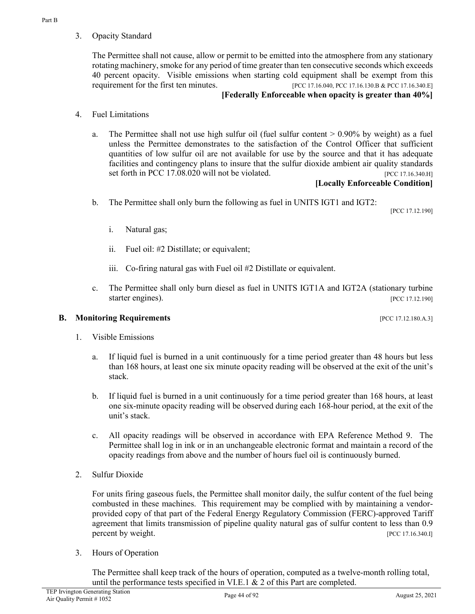3. Opacity Standard

The Permittee shall not cause, allow or permit to be emitted into the atmosphere from any stationary rotating machinery, smoke for any period of time greater than ten consecutive seconds which exceeds 40 percent opacity. Visible emissions when starting cold equipment shall be exempt from this requirement for the first ten minutes. [PCC 17.16.040, PCC 17.16.130.B & PCC 17.16.340.E]

## **[Federally Enforceable when opacity is greater than 40%]**

- 4. Fuel Limitations
	- a. The Permittee shall not use high sulfur oil (fuel sulfur content > 0.90% by weight) as a fuel unless the Permittee demonstrates to the satisfaction of the Control Officer that sufficient quantities of low sulfur oil are not available for use by the source and that it has adequate facilities and contingency plans to insure that the sulfur dioxide ambient air quality standards set forth in PCC 17.08.020 will not be violated. [PCC 17.16.340.H]

## **[Locally Enforceable Condition]**

b. The Permittee shall only burn the following as fuel in UNITS IGT1 and IGT2:

[PCC 17.12.190]

- i. Natural gas;
- ii. Fuel oil: #2 Distillate; or equivalent;
- iii. Co-firing natural gas with Fuel oil #2 Distillate or equivalent.
- c. The Permittee shall only burn diesel as fuel in UNITS IGT1A and IGT2A (stationary turbine starter engines). [PCC 17.12.190]

## **B. Monitoring Requirements pcc** 17.12.180.A.3]

- 1. Visible Emissions
	- a. If liquid fuel is burned in a unit continuously for a time period greater than 48 hours but less than 168 hours, at least one six minute opacity reading will be observed at the exit of the unit's stack.
	- b. If liquid fuel is burned in a unit continuously for a time period greater than 168 hours, at least one six-minute opacity reading will be observed during each 168-hour period, at the exit of the unit's stack.
	- c. All opacity readings will be observed in accordance with EPA Reference Method 9. The Permittee shall log in ink or in an unchangeable electronic format and maintain a record of the opacity readings from above and the number of hours fuel oil is continuously burned.
- 2. Sulfur Dioxide

For units firing gaseous fuels, the Permittee shall monitor daily, the sulfur content of the fuel being combusted in these machines. This requirement may be complied with by maintaining a vendorprovided copy of that part of the Federal Energy Regulatory Commission (FERC)-approved Tariff agreement that limits transmission of pipeline quality natural gas of sulfur content to less than 0.9 percent by weight. [PCC 17.16.340.I]

3. Hours of Operation

The Permittee shall keep track of the hours of operation, computed as a twelve-month rolling total, until the performance tests specified in VI.E.1 & 2 of this Part are completed.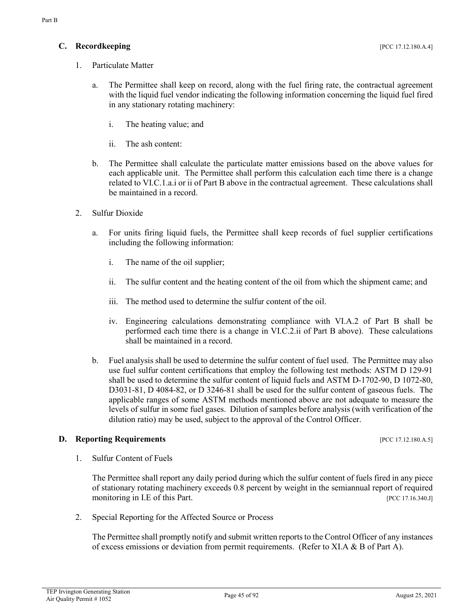- 1. Particulate Matter
	- a. The Permittee shall keep on record, along with the fuel firing rate, the contractual agreement with the liquid fuel vendor indicating the following information concerning the liquid fuel fired in any stationary rotating machinery:
		- i. The heating value; and
		- ii. The ash content:
	- b. The Permittee shall calculate the particulate matter emissions based on the above values for each applicable unit. The Permittee shall perform this calculation each time there is a change related to VI.C.1.a.i or ii of Part B above in the contractual agreement. These calculations shall be maintained in a record.
- 2. Sulfur Dioxide
	- a. For units firing liquid fuels, the Permittee shall keep records of fuel supplier certifications including the following information:
		- i. The name of the oil supplier;
		- ii. The sulfur content and the heating content of the oil from which the shipment came; and
		- iii. The method used to determine the sulfur content of the oil.
		- iv. Engineering calculations demonstrating compliance with VI.A.2 of Part B shall be performed each time there is a change in VI.C.2.ii of Part B above). These calculations shall be maintained in a record.
	- b. Fuel analysis shall be used to determine the sulfur content of fuel used. The Permittee may also use fuel sulfur content certifications that employ the following test methods: ASTM D 129-91 shall be used to determine the sulfur content of liquid fuels and ASTM D-1702-90, D 1072-80, D3031-81, D 4084-82, or D 3246-81 shall be used for the sulfur content of gaseous fuels. The applicable ranges of some ASTM methods mentioned above are not adequate to measure the levels of sulfur in some fuel gases. Dilution of samples before analysis (with verification of the dilution ratio) may be used, subject to the approval of the Control Officer.

## **D. Reporting Requirements IPCC 17.12.180.A.5**]

1. Sulfur Content of Fuels

The Permittee shall report any daily period during which the sulfur content of fuels fired in any piece of stationary rotating machinery exceeds 0.8 percent by weight in the semiannual report of required monitoring in I.E of this Part. [PCC 17.16.340.J]

2. Special Reporting for the Affected Source or Process

The Permittee shall promptly notify and submit written reports to the Control Officer of any instances of excess emissions or deviation from permit requirements. (Refer to XI.A & B of Part A).

Part B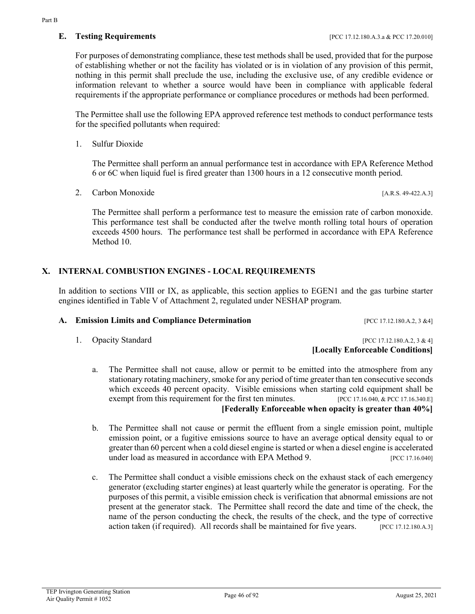Part B

For purposes of demonstrating compliance, these test methods shall be used, provided that for the purpose of establishing whether or not the facility has violated or is in violation of any provision of this permit, nothing in this permit shall preclude the use, including the exclusive use, of any credible evidence or information relevant to whether a source would have been in compliance with applicable federal requirements if the appropriate performance or compliance procedures or methods had been performed.

The Permittee shall use the following EPA approved reference test methods to conduct performance tests for the specified pollutants when required:

1. Sulfur Dioxide

The Permittee shall perform an annual performance test in accordance with EPA Reference Method 6 or 6C when liquid fuel is fired greater than 1300 hours in a 12 consecutive month period.

2. Carbon Monoxide [A.R.S. 49-422.A.3]

The Permittee shall perform a performance test to measure the emission rate of carbon monoxide. This performance test shall be conducted after the twelve month rolling total hours of operation exceeds 4500 hours. The performance test shall be performed in accordance with EPA Reference Method 10.

## **X. INTERNAL COMBUSTION ENGINES - LOCAL REQUIREMENTS**

In addition to sections VIII or IX, as applicable, this section applies to EGEN1 and the gas turbine starter engines identified in Table V of Attachment 2, regulated under NESHAP program.

## A. **Emission Limits and Compliance Determination** [PCC 17.12.180.A.2, 3 &4]

1. Opacity Standard [PCC 17.12.180.A.2, 3 & 4] **[Locally Enforceable Conditions]**

- a. The Permittee shall not cause, allow or permit to be emitted into the atmosphere from any stationary rotating machinery, smoke for any period of time greater than ten consecutive seconds which exceeds 40 percent opacity. Visible emissions when starting cold equipment shall be exempt from this requirement for the first ten minutes. [PCC 17.16.040, & PCC 17.16.340.E] **[Federally Enforceable when opacity is greater than 40%]**
- b. The Permittee shall not cause or permit the effluent from a single emission point, multiple emission point, or a fugitive emissions source to have an average optical density equal to or greater than 60 percent when a cold diesel engine is started or when a diesel engine is accelerated under load as measured in accordance with EPA Method 9. [PCC 17.16.040]
- c. The Permittee shall conduct a visible emissions check on the exhaust stack of each emergency generator (excluding starter engines) at least quarterly while the generator is operating. For the purposes of this permit, a visible emission check is verification that abnormal emissions are not present at the generator stack. The Permittee shall record the date and time of the check, the name of the person conducting the check, the results of the check, and the type of corrective action taken (if required). All records shall be maintained for five years. [PCC 17.12.180.A.3]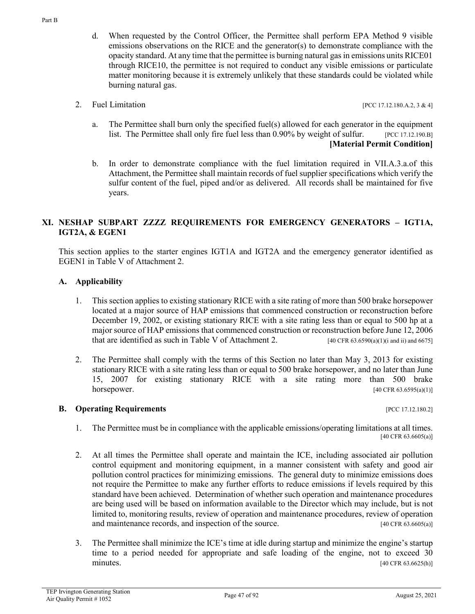- d. When requested by the Control Officer, the Permittee shall perform EPA Method 9 visible emissions observations on the RICE and the generator(s) to demonstrate compliance with the opacity standard. At any time that the permittee is burning natural gas in emissions units RICE01 through RICE10, the permittee is not required to conduct any visible emissions or particulate matter monitoring because it is extremely unlikely that these standards could be violated while burning natural gas.
- 2. Fuel Limitation [PCC 17.12.180.A.2, 3 & 4]

- a. The Permittee shall burn only the specified fuel(s) allowed for each generator in the equipment list. The Permittee shall only fire fuel less than 0.90% by weight of sulfur. [PCC 17.12.190.B] **[Material Permit Condition]**
- b. In order to demonstrate compliance with the fuel limitation required in VII.A.3.a.of this Attachment, the Permittee shall maintain records of fuel supplier specifications which verify the sulfur content of the fuel, piped and/or as delivered. All records shall be maintained for five years.

## **XI. NESHAP SUBPART ZZZZ REQUIREMENTS FOR EMERGENCY GENERATORS – IGT1A, IGT2A, & EGEN1**

This section applies to the starter engines IGT1A and IGT2A and the emergency generator identified as EGEN1 in Table V of Attachment 2.

## **A. Applicability**

- 1. This section applies to existing stationary RICE with a site rating of more than 500 brake horsepower located at a major source of HAP emissions that commenced construction or reconstruction before December 19, 2002, or existing stationary RICE with a site rating less than or equal to 500 hp at a major source of HAP emissions that commenced construction or reconstruction before June 12, 2006 that are identified as such in Table V of Attachment 2. [40 CFR 63.6590(a)(1)(i and ii) and 6675]
- 2. The Permittee shall comply with the terms of this Section no later than May 3, 2013 for existing stationary RICE with a site rating less than or equal to 500 brake horsepower, and no later than June 15, 2007 for existing stationary RICE with a site rating more than 500 brake horsepower. [40 CFR 63.6595(a)(1)]

### **B. Operating Requirements** [PCC 17.12.180.2]

- 1. The Permittee must be in compliance with the applicable emissions/operating limitations at all times. [40 CFR 63.6605(a)]
- 2. At all times the Permittee shall operate and maintain the ICE, including associated air pollution control equipment and monitoring equipment, in a manner consistent with safety and good air pollution control practices for minimizing emissions. The general duty to minimize emissions does not require the Permittee to make any further efforts to reduce emissions if levels required by this standard have been achieved. Determination of whether such operation and maintenance procedures are being used will be based on information available to the Director which may include, but is not limited to, monitoring results, review of operation and maintenance procedures, review of operation and maintenance records, and inspection of the source. [40 CFR 63.6605(a)]
- 3. The Permittee shall minimize the ICE's time at idle during startup and minimize the engine's startup time to a period needed for appropriate and safe loading of the engine, not to exceed 30 minutes. [40 CFR 63.6625(h)]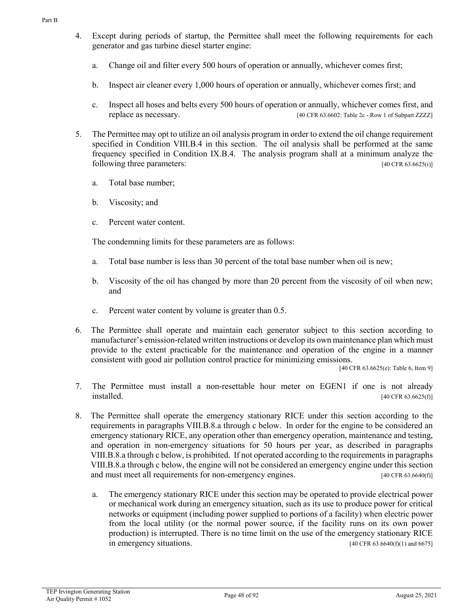- 4. Except during periods of startup, the Permittee shall meet the following requirements for each generator and gas turbine diesel starter engine:
	- a. Change oil and filter every 500 hours of operation or annually, whichever comes first;
	- b. Inspect air cleaner every 1,000 hours of operation or annually, whichever comes first; and
	- c. Inspect all hoses and belts every 500 hours of operation or annually, whichever comes first, and replace as necessary. [40 CFR 63.6602: Table 2c - Row 1 of Subpart ZZZZ]
- 5. The Permittee may opt to utilize an oil analysis program in order to extend the oil change requirement specified in Condition VIII.B.4 in this section. The oil analysis shall be performed at the same frequency specified in Condition IX.B.4. The analysis program shall at a minimum analyze the following three parameters: [40 CFR 63.6625(i)]
	- a. Total base number;
	- b. Viscosity; and
	- c. Percent water content.

The condemning limits for these parameters are as follows:

- a. Total base number is less than 30 percent of the total base number when oil is new;
- b. Viscosity of the oil has changed by more than 20 percent from the viscosity of oil when new; and
- c. Percent water content by volume is greater than 0.5.
- 6. The Permittee shall operate and maintain each generator subject to this section according to manufacturer's emission-related written instructions or develop its own maintenance plan which must provide to the extent practicable for the maintenance and operation of the engine in a manner consistent with good air pollution control practice for minimizing emissions.

[40 CFR 63.6625(e): Table 6, Item 9]

- 7. The Permittee must install a non-resettable hour meter on EGEN1 if one is not already  $[40 \text{ CFR } 63.6625(f)]$
- 8. The Permittee shall operate the emergency stationary RICE under this section according to the requirements in paragraphs VIII.B.8.a through c below. In order for the engine to be considered an emergency stationary RICE, any operation other than emergency operation, maintenance and testing, and operation in non-emergency situations for 50 hours per year, as described in paragraphs VIII.B.8.a through c below, is prohibited. If not operated according to the requirements in paragraphs VIII.B.8.a through c below, the engine will not be considered an emergency engine under this section and must meet all requirements for non-emergency engines. [40 CFR 63.6640(f)]
	- a. The emergency stationary RICE under this section may be operated to provide electrical power or mechanical work during an emergency situation, such as its use to produce power for critical networks or equipment (including power supplied to portions of a facility) when electric power from the local utility (or the normal power source, if the facility runs on its own power production) is interrupted. There is no time limit on the use of the emergency stationary RICE in emergency situations.  $[40 \text{ CFR } 63.6640(f)(1) \text{ and } 6675]$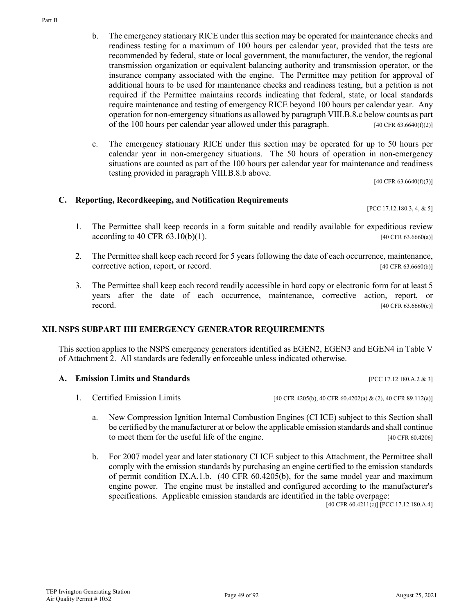Part B

- b. The emergency stationary RICE under this section may be operated for maintenance checks and readiness testing for a maximum of 100 hours per calendar year, provided that the tests are recommended by federal, state or local government, the manufacturer, the vendor, the regional transmission organization or equivalent balancing authority and transmission operator, or the insurance company associated with the engine. The Permittee may petition for approval of additional hours to be used for maintenance checks and readiness testing, but a petition is not required if the Permittee maintains records indicating that federal, state, or local standards require maintenance and testing of emergency RICE beyond 100 hours per calendar year. Any operation for non-emergency situations as allowed by paragraph VIII.B.8.c below counts as part of the 100 hours per calendar year allowed under this paragraph.  $[40 \text{ CFR } 63.6640(f)(2)]$
- c. The emergency stationary RICE under this section may be operated for up to 50 hours per calendar year in non-emergency situations. The 50 hours of operation in non-emergency situations are counted as part of the 100 hours per calendar year for maintenance and readiness testing provided in paragraph VIII.B.8.b above.

[40 CFR 63.6640(f)(3)]

### **C. Reporting, Recordkeeping, and Notification Requirements**

[PCC 17.12.180.3, 4, & 5]

- 1. The Permittee shall keep records in a form suitable and readily available for expeditious review  $\alpha$  according to 40 CFR 63.10(b)(1). [40 CFR 63.6660(a)]
- 2. The Permittee shall keep each record for 5 years following the date of each occurrence, maintenance, corrective action, report, or record. [40 CFR 63.6660(b)]
- 3. The Permittee shall keep each record readily accessible in hard copy or electronic form for at least 5 years after the date of each occurrence, maintenance, corrective action, report, or **record.** [40 CFR 63.6660(c)]

### **XII. NSPS SUBPART IIII EMERGENCY GENERATOR REQUIREMENTS**

This section applies to the NSPS emergency generators identified as EGEN2, EGEN3 and EGEN4 in Table V of Attachment 2. All standards are federally enforceable unless indicated otherwise.

#### **A. Emission Limits and Standards** [PCC 17.12.180.A.2 & 3]

- 1. Certified Emission Limits [40 CFR 4205(b), 40 CFR 60.4202(a) & (2), 40 CFR 89.112(a)]
	- a. New Compression Ignition Internal Combustion Engines (CI ICE) subject to this Section shall be certified by the manufacturer at or below the applicable emission standards and shall continue to meet them for the useful life of the engine. [40 CFR 60.4206]
	- b. For 2007 model year and later stationary CI ICE subject to this Attachment, the Permittee shall comply with the emission standards by purchasing an engine certified to the emission standards of permit condition IX.A.1.b. (40 CFR 60.4205(b), for the same model year and maximum engine power. The engine must be installed and configured according to the manufacturer's specifications. Applicable emission standards are identified in the table overpage:

[40 CFR 60.4211(c)] [PCC 17.12.180.A.4]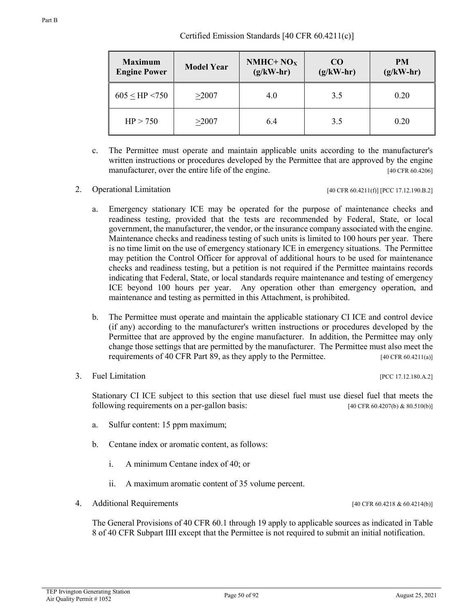| <b>Maximum</b><br><b>Engine Power</b> | <b>Model Year</b> | NMHC+ $NOX$<br>$(g/kW-hr)$ | CO <sub>0</sub><br>$(g/kW-hr)$ | <b>PM</b><br>$(g/kW-hr)$ |
|---------------------------------------|-------------------|----------------------------|--------------------------------|--------------------------|
| $605 <$ HP $< 750$                    | >2007             | 4.0                        | 3.5                            | 0.20                     |
| HP > 750                              | >2007             | 6.4                        | 3.5                            | 0.20                     |

- c. The Permittee must operate and maintain applicable units according to the manufacturer's written instructions or procedures developed by the Permittee that are approved by the engine manufacturer, over the entire life of the engine. [40 CFR 60.4206]
- 

2. Operational Limitation  $[40 \text{ CFR } 60.4211(f)]$   $[PCC 17.12.190.B.2]$ 

- a. Emergency stationary ICE may be operated for the purpose of maintenance checks and readiness testing, provided that the tests are recommended by Federal, State, or local government, the manufacturer, the vendor, or the insurance company associated with the engine. Maintenance checks and readiness testing of such units is limited to 100 hours per year. There is no time limit on the use of emergency stationary ICE in emergency situations. The Permittee may petition the Control Officer for approval of additional hours to be used for maintenance checks and readiness testing, but a petition is not required if the Permittee maintains records indicating that Federal, State, or local standards require maintenance and testing of emergency ICE beyond 100 hours per year. Any operation other than emergency operation, and maintenance and testing as permitted in this Attachment, is prohibited.
- b. The Permittee must operate and maintain the applicable stationary CI ICE and control device (if any) according to the manufacturer's written instructions or procedures developed by the Permittee that are approved by the engine manufacturer. In addition, the Permittee may only change those settings that are permitted by the manufacturer. The Permittee must also meet the requirements of 40 CFR Part 89, as they apply to the Permittee. [40 CFR 60.4211(a)]
- 3. Fuel Limitation **[PCC 17.12.180.A.2]**

Stationary CI ICE subject to this section that use diesel fuel must use diesel fuel that meets the following requirements on a per-gallon basis: [40 CFR 60.4207(b) & 80.510(b)]

- a. Sulfur content: 15 ppm maximum;
- b. Centane index or aromatic content, as follows:
	- i. A minimum Centane index of 40; or
	- ii. A maximum aromatic content of 35 volume percent.
- 4. Additional Requirements [40 CFR 60.4218 & 60.4214(b)]

The General Provisions of 40 CFR 60.1 through 19 apply to applicable sources as indicated in Table 8 of 40 CFR Subpart IIII except that the Permittee is not required to submit an initial notification.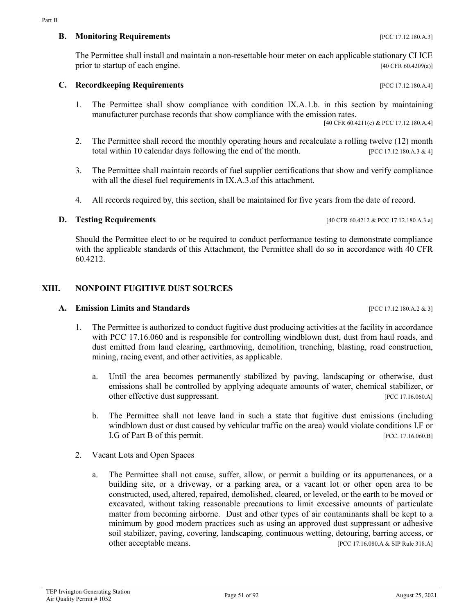## **C.** Recordkeeping Requirements **EXECUTER 2008** [PCC 17.12.180.A.4]

1. The Permittee shall show compliance with condition IX.A.1.b. in this section by maintaining manufacturer purchase records that show compliance with the emission rates.

The Permittee shall install and maintain a non-resettable hour meter on each applicable stationary CI ICE prior to startup of each engine. [40 CFR 60.4209(a)]

- 2. The Permittee shall record the monthly operating hours and recalculate a rolling twelve (12) month total within 10 calendar days following the end of the month. [PCC 17.12.180.A.3  $\& 4$ ]
- 3. The Permittee shall maintain records of fuel supplier certifications that show and verify compliance with all the diesel fuel requirements in IX.A.3.of this attachment.
- 4. All records required by, this section, shall be maintained for five years from the date of record.

## **D. Testing Requirements** [40 CFR 60.4212 & PCC 17.12.180.A.3.a]

Should the Permittee elect to or be required to conduct performance testing to demonstrate compliance with the applicable standards of this Attachment, the Permittee shall do so in accordance with 40 CFR 60.4212.

## **XIII. NONPOINT FUGITIVE DUST SOURCES**

#### **A. Emission Limits and Standards Contract 2008** [PCC 17.12.180.A.2 & 3]

- 1. The Permittee is authorized to conduct fugitive dust producing activities at the facility in accordance with PCC 17.16.060 and is responsible for controlling windblown dust, dust from haul roads, and dust emitted from land clearing, earthmoving, demolition, trenching, blasting, road construction, mining, racing event, and other activities, as applicable.
	- a. Until the area becomes permanently stabilized by paving, landscaping or otherwise, dust emissions shall be controlled by applying adequate amounts of water, chemical stabilizer, or other effective dust suppressant. [PCC 17.16.060.A]
	- b. The Permittee shall not leave land in such a state that fugitive dust emissions (including windblown dust or dust caused by vehicular traffic on the area) would violate conditions I.F or I.G of Part B of this permit. [PCC. 17.16.060.B]
- 2. Vacant Lots and Open Spaces
	- a. The Permittee shall not cause, suffer, allow, or permit a building or its appurtenances, or a building site, or a driveway, or a parking area, or a vacant lot or other open area to be constructed, used, altered, repaired, demolished, cleared, or leveled, or the earth to be moved or excavated, without taking reasonable precautions to limit excessive amounts of particulate matter from becoming airborne. Dust and other types of air contaminants shall be kept to a minimum by good modern practices such as using an approved dust suppressant or adhesive soil stabilizer, paving, covering, landscaping, continuous wetting, detouring, barring access, or other acceptable means. [PCC 17.16.080.A & SIP Rule 318.A]

[40 CFR 60.4211(c) & PCC 17.12.180.A.4]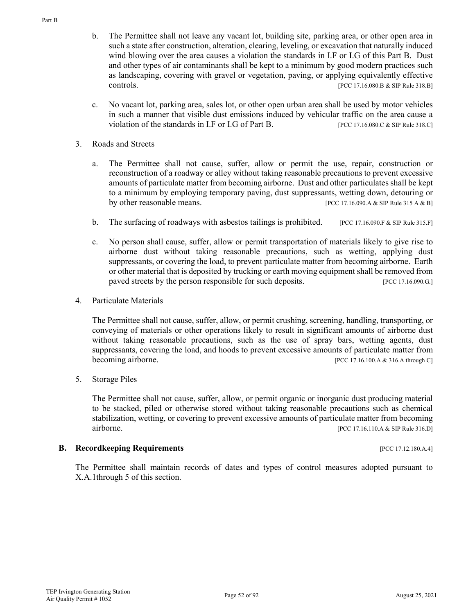- b. The Permittee shall not leave any vacant lot, building site, parking area, or other open area in such a state after construction, alteration, clearing, leveling, or excavation that naturally induced wind blowing over the area causes a violation the standards in I.F or I.G of this Part B. Dust and other types of air contaminants shall be kept to a minimum by good modern practices such as landscaping, covering with gravel or vegetation, paving, or applying equivalently effective controls. [PCC 17.16.080.B & SIP Rule 318.B]
- c. No vacant lot, parking area, sales lot, or other open urban area shall be used by motor vehicles in such a manner that visible dust emissions induced by vehicular traffic on the area cause a violation of the standards in I.F or I.G of Part B. [PCC 17.16.080.C & SIP Rule 318.C]
- 3. Roads and Streets
	- a. The Permittee shall not cause, suffer, allow or permit the use, repair, construction or reconstruction of a roadway or alley without taking reasonable precautions to prevent excessive amounts of particulate matter from becoming airborne. Dust and other particulates shall be kept to a minimum by employing temporary paving, dust suppressants, wetting down, detouring or by other reasonable means. [PCC 17.16.090.A & SIP Rule 315 A & B]
	- b. The surfacing of roadways with asbestos tailings is prohibited.  $[PCC 17.16.090.F & SP Rule 315.F]$
	- c. No person shall cause, suffer, allow or permit transportation of materials likely to give rise to airborne dust without taking reasonable precautions, such as wetting, applying dust suppressants, or covering the load, to prevent particulate matter from becoming airborne. Earth or other material that is deposited by trucking or earth moving equipment shall be removed from paved streets by the person responsible for such deposits. [PCC 17.16.090.G.]
- 4. Particulate Materials

The Permittee shall not cause, suffer, allow, or permit crushing, screening, handling, transporting, or conveying of materials or other operations likely to result in significant amounts of airborne dust without taking reasonable precautions, such as the use of spray bars, wetting agents, dust suppressants, covering the load, and hoods to prevent excessive amounts of particulate matter from becoming airborne. [PCC 17.16.100.A & 316.A through C]

5. Storage Piles

The Permittee shall not cause, suffer, allow, or permit organic or inorganic dust producing material to be stacked, piled or otherwise stored without taking reasonable precautions such as chemical stabilization, wetting, or covering to prevent excessive amounts of particulate matter from becoming airborne. [PCC 17.16.110.A & SIP Rule 316.D]

### **B.** Recordkeeping Requirements **EXECUTER 2008** [PCC 17.12.180.A.4]

The Permittee shall maintain records of dates and types of control measures adopted pursuant to X.A.1through 5 of this section.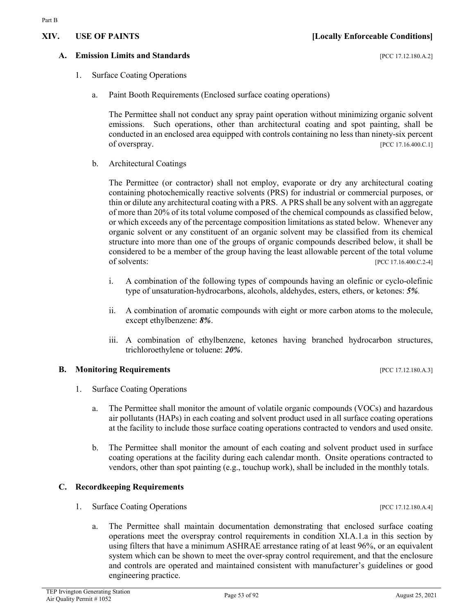# 1. Surface Coating Operations

TEP Irvington Generating Station Page 53 of 92<br>Air Quality Permit # 1052 August 25, 2021

a. Paint Booth Requirements (Enclosed surface coating operations)

The Permittee shall not conduct any spray paint operation without minimizing organic solvent emissions. Such operations, other than architectural coating and spot painting, shall be conducted in an enclosed area equipped with controls containing no less than ninety-six percent of overspray. [PCC 17.16.400.C.1]

b. Architectural Coatings

The Permittee (or contractor) shall not employ, evaporate or dry any architectural coating containing photochemically reactive solvents (PRS) for industrial or commercial purposes, or thin or dilute any architectural coating with a PRS. A PRS shall be any solvent with an aggregate of more than 20% of its total volume composed of the chemical compounds as classified below, or which exceeds any of the percentage composition limitations as stated below. Whenever any organic solvent or any constituent of an organic solvent may be classified from its chemical structure into more than one of the groups of organic compounds described below, it shall be considered to be a member of the group having the least allowable percent of the total volume of solvents: [PCC 17.16.400.C.2-4]

- i. A combination of the following types of compounds having an olefinic or cyclo-olefinic type of unsaturation-hydrocarbons, alcohols, aldehydes, esters, ethers, or ketones: *5%.*
- ii. A combination of aromatic compounds with eight or more carbon atoms to the molecule, except ethylbenzene: *8%*.
- iii. A combination of ethylbenzene, ketones having branched hydrocarbon structures, trichloroethylene or toluene: *20%*.

## **B. Monitoring Requirements Exercise 2.12.180.A.3**]

- 1. Surface Coating Operations
	- a. The Permittee shall monitor the amount of volatile organic compounds (VOCs) and hazardous air pollutants (HAPs) in each coating and solvent product used in all surface coating operations at the facility to include those surface coating operations contracted to vendors and used onsite.
	- b. The Permittee shall monitor the amount of each coating and solvent product used in surface coating operations at the facility during each calendar month. Onsite operations contracted to vendors, other than spot painting (e.g., touchup work), shall be included in the monthly totals.

## **C. Recordkeeping Requirements**

- 1. Surface Coating Operations [PCC 17.12.180.A.4]
	- a. The Permittee shall maintain documentation demonstrating that enclosed surface coating operations meet the overspray control requirements in condition XI.A.1.a in this section by using filters that have a minimum ASHRAE arrestance rating of at least 96%, or an equivalent system which can be shown to meet the over-spray control requirement, and that the enclosure and controls are operated and maintained consistent with manufacturer's guidelines or good engineering practice.

**A. Emission Limits and Standards CONSERVING PROPERTY ASSESSED FOR A 21 INCLUSION PROPERTY**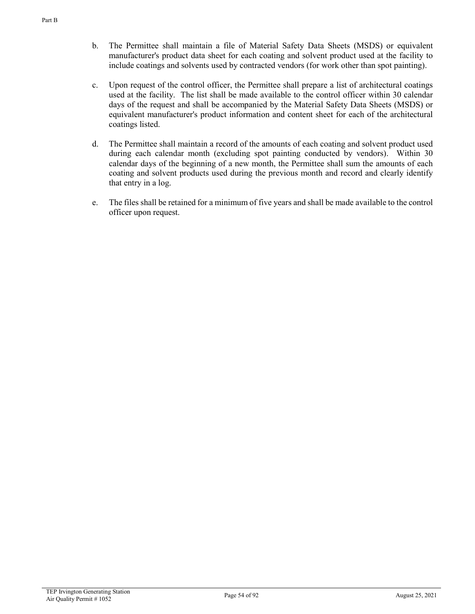- b. The Permittee shall maintain a file of Material Safety Data Sheets (MSDS) or equivalent manufacturer's product data sheet for each coating and solvent product used at the facility to include coatings and solvents used by contracted vendors (for work other than spot painting).
- c. Upon request of the control officer, the Permittee shall prepare a list of architectural coatings used at the facility. The list shall be made available to the control officer within 30 calendar days of the request and shall be accompanied by the Material Safety Data Sheets (MSDS) or equivalent manufacturer's product information and content sheet for each of the architectural coatings listed.
- d. The Permittee shall maintain a record of the amounts of each coating and solvent product used during each calendar month (excluding spot painting conducted by vendors). Within 30 calendar days of the beginning of a new month, the Permittee shall sum the amounts of each coating and solvent products used during the previous month and record and clearly identify that entry in a log.
- e. The files shall be retained for a minimum of five years and shall be made available to the control officer upon request.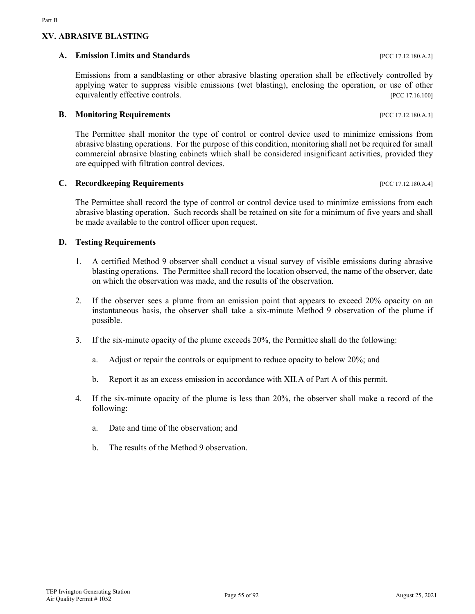## **XV. ABRASIVE BLASTING**

Part B

## **A. Emission Limits and Standards CONSERVING PROPERTY (PCC 17.12.180.A.2]**

Emissions from a sandblasting or other abrasive blasting operation shall be effectively controlled by applying water to suppress visible emissions (wet blasting), enclosing the operation, or use of other equivalently effective controls. [PCC 17.16.100]

## **B. Monitoring Requirements** [PCC 17.12.180.A.3]

The Permittee shall monitor the type of control or control device used to minimize emissions from abrasive blasting operations. For the purpose of this condition, monitoring shall not be required for small commercial abrasive blasting cabinets which shall be considered insignificant activities, provided they are equipped with filtration control devices.

## **C. Recordkeeping Requirements** [PCC 17.12.180.A.4]

The Permittee shall record the type of control or control device used to minimize emissions from each abrasive blasting operation. Such records shall be retained on site for a minimum of five years and shall be made available to the control officer upon request.

## **D. Testing Requirements**

- 1. A certified Method 9 observer shall conduct a visual survey of visible emissions during abrasive blasting operations. The Permittee shall record the location observed, the name of the observer, date on which the observation was made, and the results of the observation.
- 2. If the observer sees a plume from an emission point that appears to exceed 20% opacity on an instantaneous basis, the observer shall take a six-minute Method 9 observation of the plume if possible.
- 3. If the six-minute opacity of the plume exceeds 20%, the Permittee shall do the following:
	- a. Adjust or repair the controls or equipment to reduce opacity to below 20%; and
	- b. Report it as an excess emission in accordance with XII.A of Part A of this permit.
- 4. If the six-minute opacity of the plume is less than 20%, the observer shall make a record of the following:
	- a. Date and time of the observation; and
	- b. The results of the Method 9 observation.

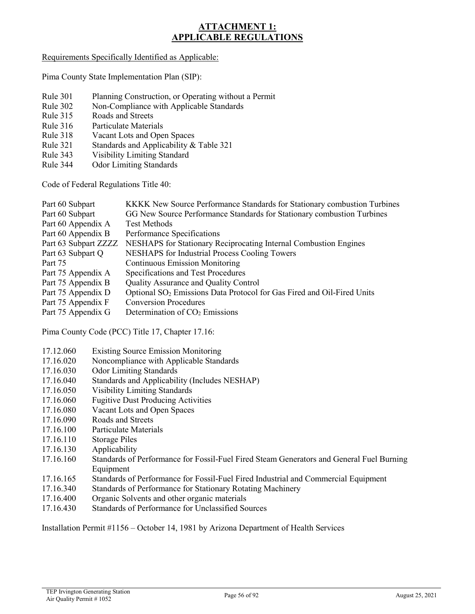## **ATTACHMENT 1: APPLICABLE REGULATIONS**

### Requirements Specifically Identified as Applicable:

Pima County State Implementation Plan (SIP):

- Rule 301 Planning Construction, or Operating without a Permit
- Rule 302 Non-Compliance with Applicable Standards
- Rule 315 Roads and Streets
- Rule 316 Particulate Materials
- Rule 318 Vacant Lots and Open Spaces
- Rule 321 Standards and Applicability & Table 321
- Rule 343 Visibility Limiting Standard<br>Rule 344 Odor Limiting Standards
- **Odor Limiting Standards**

Code of Federal Regulations Title 40:

| Part 60 Subpart      | KKKK New Source Performance Standards for Stationary combustion Turbines           |
|----------------------|------------------------------------------------------------------------------------|
| Part 60 Subpart      | GG New Source Performance Standards for Stationary combustion Turbines             |
| Part 60 Appendix A   | <b>Test Methods</b>                                                                |
| Part 60 Appendix B   | Performance Specifications                                                         |
| Part 63 Subpart ZZZZ | NESHAPS for Stationary Reciprocating Internal Combustion Engines                   |
| Part 63 Subpart Q    | <b>NESHAPS</b> for Industrial Process Cooling Towers                               |
| Part 75              | <b>Continuous Emission Monitoring</b>                                              |
| Part 75 Appendix A   | Specifications and Test Procedures                                                 |
| Part 75 Appendix B   | Quality Assurance and Quality Control                                              |
| Part 75 Appendix D   | Optional SO <sub>2</sub> Emissions Data Protocol for Gas Fired and Oil-Fired Units |
| Part 75 Appendix F   | <b>Conversion Procedures</b>                                                       |
| Part 75 Appendix G   | Determination of $CO2$ Emissions                                                   |
|                      |                                                                                    |

Pima County Code (PCC) Title 17, Chapter 17.16:

- 17.12.060 Existing Source Emission Monitoring
- 17.16.020 Noncompliance with Applicable Standards
- 17.16.030 Odor Limiting Standards
- 17.16.040 Standards and Applicability (Includes NESHAP)
- 17.16.050 Visibility Limiting Standards
- 17.16.060 Fugitive Dust Producing Activities
- 17.16.080 Vacant Lots and Open Spaces
- 17.16.090 Roads and Streets
- 17.16.100 Particulate Materials
- 17.16.110 Storage Piles
- 17.16.130 Applicability
- 17.16.160 Standards of Performance for Fossil-Fuel Fired Steam Generators and General Fuel Burning Equipment
- 17.16.165 Standards of Performance for Fossil-Fuel Fired Industrial and Commercial Equipment
- 17.16.340 Standards of Performance for Stationary Rotating Machinery
- 17.16.400 Organic Solvents and other organic materials
- 17.16.430 Standards of Performance for Unclassified Sources

Installation Permit #1156 – October 14, 1981 by Arizona Department of Health Services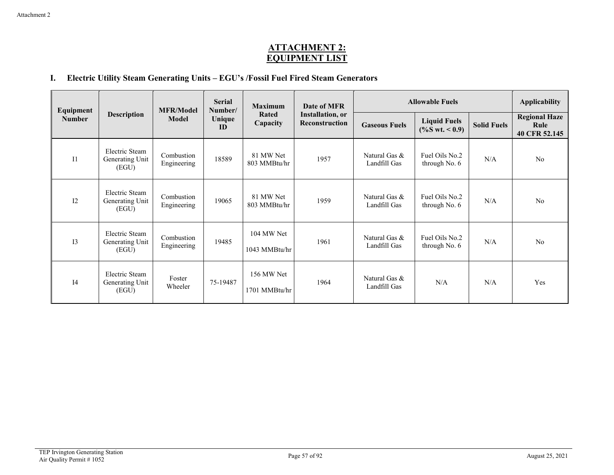## **ATTACHMENT 2: EQUIPMENT LIST**

## **I. Electric Utility Steam Generating Units – EGU's /Fossil Fuel Fired Steam Generators**

| Equipment      |                                            | <b>MFR/Model</b>          | <b>Serial</b><br>Number/ |                             | <b>Maximum</b><br>Date of MFR              |                               | <b>Allowable Fuels</b>                   |                    |                                               |  |
|----------------|--------------------------------------------|---------------------------|--------------------------|-----------------------------|--------------------------------------------|-------------------------------|------------------------------------------|--------------------|-----------------------------------------------|--|
| <b>Number</b>  | <b>Description</b>                         | <b>Model</b>              | Unique<br>ID             | Rated<br>Capacity           | <b>Installation</b> , or<br>Reconstruction | <b>Gaseous Fuels</b>          | <b>Liquid Fuels</b><br>$(\%S wt. < 0.9)$ | <b>Solid Fuels</b> | <b>Regional Haze</b><br>Rule<br>40 CFR 52.145 |  |
| I <sub>1</sub> | Electric Steam<br>Generating Unit<br>(EGU) | Combustion<br>Engineering | 18589                    | 81 MW Net<br>803 MMBtu/hr   | 1957                                       | Natural Gas &<br>Landfill Gas | Fuel Oils No.2<br>through No. 6          | N/A                | No                                            |  |
| 12             | Electric Steam<br>Generating Unit<br>(EGU) | Combustion<br>Engineering | 19065                    | 81 MW Net<br>803 MMBtu/hr   | 1959                                       | Natural Gas &<br>Landfill Gas | Fuel Oils No.2<br>through No. 6          | N/A                | No                                            |  |
| I3             | Electric Steam<br>Generating Unit<br>(EGU) | Combustion<br>Engineering | 19485                    | 104 MW Net<br>1043 MMBtu/hr | 1961                                       | Natural Gas &<br>Landfill Gas | Fuel Oils No.2<br>through No. 6          | N/A                | No                                            |  |
| I4             | Electric Steam<br>Generating Unit<br>(EGU) | Foster<br>Wheeler         | 75-19487                 | 156 MW Net<br>1701 MMBtu/hr | 1964                                       | Natural Gas &<br>Landfill Gas | N/A                                      | N/A                | Yes                                           |  |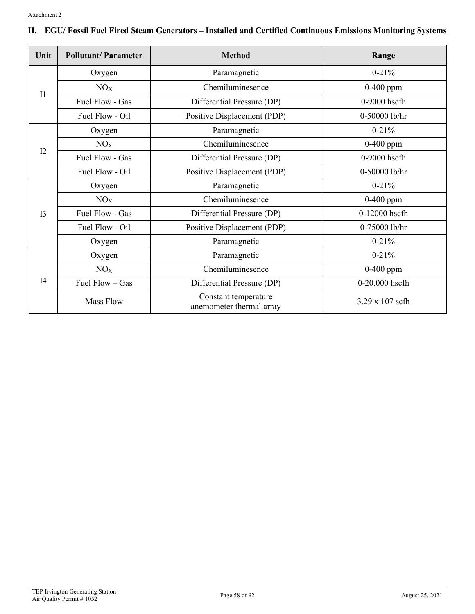|  | II. EGU/ Fossil Fuel Fired Steam Generators – Installed and Certified Continuous Emissions Monitoring Systems |  |
|--|---------------------------------------------------------------------------------------------------------------|--|
|  |                                                                                                               |  |

| Unit           | <b>Pollutant/Parameter</b> | <b>Method</b>                                    | Range           |  |
|----------------|----------------------------|--------------------------------------------------|-----------------|--|
|                | Oxygen                     | Paramagnetic                                     | $0 - 21%$       |  |
| I <sub>1</sub> | NO <sub>X</sub>            | Chemiluminesence                                 | $0-400$ ppm     |  |
|                | Fuel Flow - Gas            | Differential Pressure (DP)                       | $0-9000$ hscfh  |  |
|                | Fuel Flow - Oil            | Positive Displacement (PDP)                      | 0-50000 lb/hr   |  |
|                | Oxygen                     | Paramagnetic                                     | $0 - 21%$       |  |
|                | NO <sub>X</sub>            | Chemiluminesence                                 | $0-400$ ppm     |  |
| I2             | Fuel Flow - Gas            | Differential Pressure (DP)                       | 0-9000 hscfh    |  |
|                | Fuel Flow - Oil            | Positive Displacement (PDP)                      | 0-50000 lb/hr   |  |
|                | Oxygen                     | Paramagnetic                                     | $0 - 21%$       |  |
|                | NO <sub>X</sub>            | Chemiluminesence                                 | $0-400$ ppm     |  |
| I <sub>3</sub> | Fuel Flow - Gas            | Differential Pressure (DP)                       | 0-12000 hscfh   |  |
|                | Fuel Flow - Oil            | Positive Displacement (PDP)                      | 0-75000 lb/hr   |  |
|                | Oxygen                     | Paramagnetic                                     | $0 - 21%$       |  |
|                | Oxygen                     | Paramagnetic                                     | $0 - 21\%$      |  |
|                | NO <sub>X</sub>            | Chemiluminesence                                 | $0-400$ ppm     |  |
| I4             | Fuel Flow - Gas            | Differential Pressure (DP)                       | 0-20,000 hscfh  |  |
|                | <b>Mass Flow</b>           | Constant temperature<br>anemometer thermal array | 3.29 x 107 scfh |  |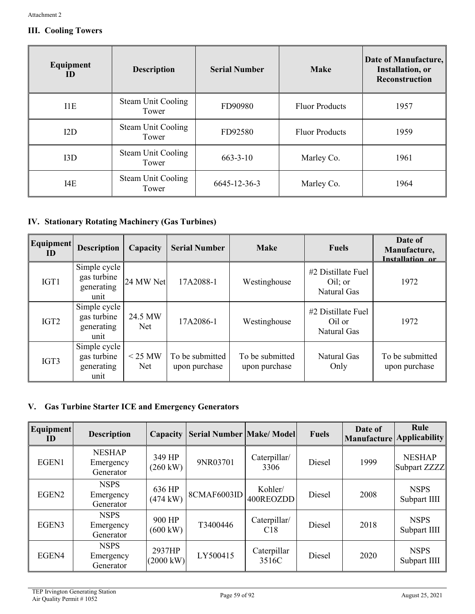## **III. Cooling Towers**

| Equipment<br>ID | <b>Description</b>                 | <b>Serial Number</b> | <b>Make</b>           | Date of Manufacture,<br><b>Installation</b> , or<br><b>Reconstruction</b> |
|-----------------|------------------------------------|----------------------|-----------------------|---------------------------------------------------------------------------|
| I1E             | <b>Steam Unit Cooling</b><br>Tower | FD90980              | <b>Fluor Products</b> | 1957                                                                      |
| I2D             | <b>Steam Unit Cooling</b><br>Tower | FD92580              | <b>Fluor Products</b> | 1959                                                                      |
| 13D             | <b>Steam Unit Cooling</b><br>Tower | $663 - 3 - 10$       | Marley Co.            | 1961                                                                      |
| I4E             | <b>Steam Unit Cooling</b><br>Tower | 6645-12-36-3         | Marley Co.            | 1964                                                                      |

## **IV. Stationary Rotating Machinery (Gas Turbines)**

| <b>Equipment</b><br>$\mathbf{ID}$ | <b>Description</b>                                | Capacity         | <b>Serial Number</b>             | <b>Make</b>                      | <b>Fuels</b>                                 | Date of<br>Manufacture,<br>Installation or |
|-----------------------------------|---------------------------------------------------|------------------|----------------------------------|----------------------------------|----------------------------------------------|--------------------------------------------|
| IGT1                              | Simple cycle<br>gas turbine<br>generating<br>unit | 24 MW Net        | 17A2088-1                        | Westinghouse                     | #2 Distillate Fuel<br>Oil; or<br>Natural Gas | 1972                                       |
| IGT <sub>2</sub>                  | Simple cycle<br>gas turbine<br>generating<br>unit | 24.5 MW<br>Net   | 17A2086-1                        | Westinghouse                     | #2 Distillate Fuel<br>Oil or<br>Natural Gas  | 1972                                       |
| IGT3                              | Simple cycle<br>gas turbine<br>generating<br>unit | $<$ 25 MW<br>Net | To be submitted<br>upon purchase | To be submitted<br>upon purchase | Natural Gas<br>Only                          | To be submitted<br>upon purchase           |

## **V. Gas Turbine Starter ICE and Emergency Generators**

| Equipment<br>ID   | <b>Description</b>                      | Capacity                      | <b>Serial Number Make/Model</b> |                      | <b>Fuels</b>  | Date of<br><b>Manufacture</b> | Rule<br><b>Applicability</b>  |
|-------------------|-----------------------------------------|-------------------------------|---------------------------------|----------------------|---------------|-------------------------------|-------------------------------|
| EGEN1             | <b>NESHAP</b><br>Emergency<br>Generator | 349 HP<br>$(260 \text{ kW})$  | 9NR03701                        | Caterpillar/<br>3306 | <b>Diesel</b> | 1999                          | <b>NESHAP</b><br>Subpart ZZZZ |
| EGEN <sub>2</sub> | <b>NSPS</b><br>Emergency<br>Generator   | 636 HP<br>$(474 \text{ kW})$  | 8CMAF6003ID                     | Kohler/<br>400REOZDD | <b>Diesel</b> | 2008                          | <b>NSPS</b><br>Subpart IIII   |
| EGEN3             | <b>NSPS</b><br>Emergency<br>Generator   | 900 HP<br>$(600 \text{ kW})$  | T3400446                        | Caterpillar/<br>C18  | Diesel        | 2018                          | <b>NSPS</b><br>Subpart IIII   |
| EGEN4             | <b>NSPS</b><br>Emergency<br>Generator   | 2937HP<br>$(2000 \text{ kW})$ | LY500415                        | Caterpillar<br>3516C | Diesel        | 2020                          | <b>NSPS</b><br>Subpart IIII   |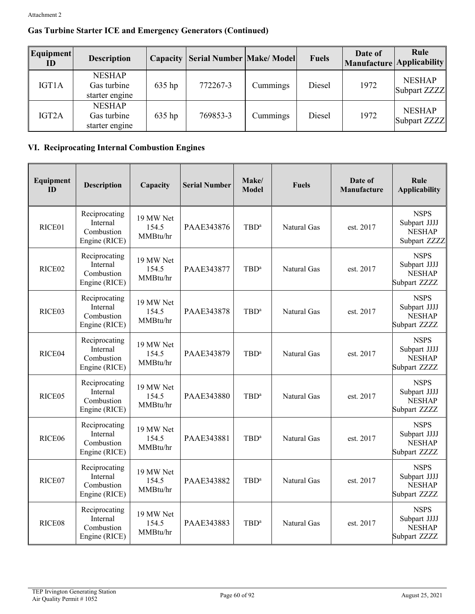## **Gas Turbine Starter ICE and Emergency Generators (Continued)**

| Equipment<br>ID | <b>Description</b>                             | Capacity | <b>Serial Number   Make/ Model</b> |          | <b>Fuels</b> | Date of<br>Manufacture Applicability | Rule                          |
|-----------------|------------------------------------------------|----------|------------------------------------|----------|--------------|--------------------------------------|-------------------------------|
| IGT1A           | <b>NESHAP</b><br>Gas turbine<br>starter engine | 635 hp   | 772267-3                           | Cummings | Diesel       | 1972                                 | <b>NESHAP</b><br>Subpart ZZZZ |
| IGT2A           | <b>NESHAP</b><br>Gas turbine<br>starter engine | 635 hp   | 769853-3                           | Cummings | Diesel       | 1972                                 | <b>NESHAP</b><br>Subpart ZZZZ |

## **VI. Reciprocating Internal Combustion Engines**

| Equipment<br>ID    | <b>Description</b>                                       | Capacity                       | <b>Serial Number</b> | Make/<br><b>Model</b> | <b>Fuels</b> | Date of<br>Manufacture | Rule<br><b>Applicability</b>                                 |
|--------------------|----------------------------------------------------------|--------------------------------|----------------------|-----------------------|--------------|------------------------|--------------------------------------------------------------|
| RICE01             | Reciprocating<br>Internal<br>Combustion<br>Engine (RICE) | 19 MW Net<br>154.5<br>MMBtu/hr | PAAE343876           | $TBD^a$               | Natural Gas  | est. 2017              | <b>NSPS</b><br>Subpart JJJJ<br><b>NESHAP</b><br>Subpart ZZZZ |
| RICE <sub>02</sub> | Reciprocating<br>Internal<br>Combustion<br>Engine (RICE) | 19 MW Net<br>154.5<br>MMBtu/hr | PAAE343877           | $TBD^a$               | Natural Gas  | est. 2017              | <b>NSPS</b><br>Subpart JJJJ<br><b>NESHAP</b><br>Subpart ZZZZ |
| RICE03             | Reciprocating<br>Internal<br>Combustion<br>Engine (RICE) | 19 MW Net<br>154.5<br>MMBtu/hr | PAAE343878           | $TBD^a$               | Natural Gas  | est. 2017              | <b>NSPS</b><br>Subpart JJJJ<br><b>NESHAP</b><br>Subpart ZZZZ |
| RICE04             | Reciprocating<br>Internal<br>Combustion<br>Engine (RICE) | 19 MW Net<br>154.5<br>MMBtu/hr | PAAE343879           | $TBD^a$               | Natural Gas  | est. 2017              | <b>NSPS</b><br>Subpart JJJJ<br><b>NESHAP</b><br>Subpart ZZZZ |
| RICE <sub>05</sub> | Reciprocating<br>Internal<br>Combustion<br>Engine (RICE) | 19 MW Net<br>154.5<br>MMBtu/hr | PAAE343880           | $TBD^a$               | Natural Gas  | est. 2017              | <b>NSPS</b><br>Subpart JJJJ<br><b>NESHAP</b><br>Subpart ZZZZ |
| RICE <sub>06</sub> | Reciprocating<br>Internal<br>Combustion<br>Engine (RICE) | 19 MW Net<br>154.5<br>MMBtu/hr | PAAE343881           | TBD <sup>a</sup>      | Natural Gas  | est. 2017              | <b>NSPS</b><br>Subpart JJJJ<br><b>NESHAP</b><br>Subpart ZZZZ |
| RICE07             | Reciprocating<br>Internal<br>Combustion<br>Engine (RICE) | 19 MW Net<br>154.5<br>MMBtu/hr | PAAE343882           | $TBD^a$               | Natural Gas  | est. 2017              | <b>NSPS</b><br>Subpart JJJJ<br><b>NESHAP</b><br>Subpart ZZZZ |
| RICE08             | Reciprocating<br>Internal<br>Combustion<br>Engine (RICE) | 19 MW Net<br>154.5<br>MMBtu/hr | PAAE343883           | $TBD^a$               | Natural Gas  | est. 2017              | <b>NSPS</b><br>Subpart JJJJ<br><b>NESHAP</b><br>Subpart ZZZZ |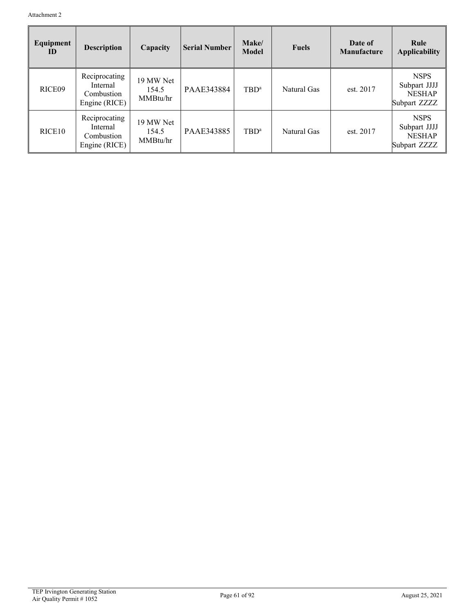| Equipment<br>ID    | <b>Description</b>                                       | Capacity                       | <b>Serial Number</b> | Make/<br><b>Model</b> | <b>Fuels</b> | Date of<br><b>Manufacture</b> | Rule<br><b>Applicability</b>                                 |
|--------------------|----------------------------------------------------------|--------------------------------|----------------------|-----------------------|--------------|-------------------------------|--------------------------------------------------------------|
| RICE <sub>09</sub> | Reciprocating<br>Internal<br>Combustion<br>Engine (RICE) | 19 MW Net<br>154.5<br>MMBtu/hr | PAAE343884           | $TBD^a$               | Natural Gas  | est. 2017                     | <b>NSPS</b><br>Subpart JJJJ<br><b>NESHAP</b><br>Subpart ZZZZ |
| RICE <sub>10</sub> | Reciprocating<br>Internal<br>Combustion<br>Engine (RICE) | 19 MW Net<br>154.5<br>MMBtu/hr | PAAE343885           | $TBD^a$               | Natural Gas  | est. 2017                     | <b>NSPS</b><br>Subpart JJJJ<br><b>NESHAP</b><br>Subpart ZZZZ |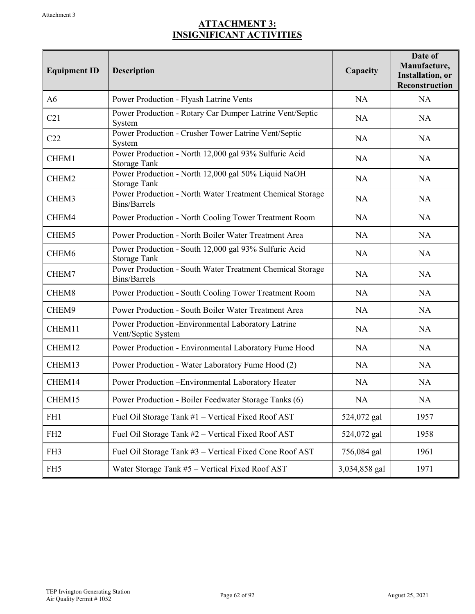## **ATTACHMENT 3: INSIGNIFICANT ACTIVITIES**

| <b>Equipment ID</b> | Description                                                                      | Capacity      | Date of<br>Manufacture,<br><b>Installation</b> , or<br>Reconstruction |
|---------------------|----------------------------------------------------------------------------------|---------------|-----------------------------------------------------------------------|
| A <sub>6</sub>      | Power Production - Flyash Latrine Vents                                          | <b>NA</b>     | NA                                                                    |
| C21                 | Power Production - Rotary Car Dumper Latrine Vent/Septic<br>System               | <b>NA</b>     | NA                                                                    |
| C22                 | Power Production - Crusher Tower Latrine Vent/Septic<br>System                   | <b>NA</b>     | <b>NA</b>                                                             |
| CHEM1               | Power Production - North 12,000 gal 93% Sulfuric Acid<br><b>Storage Tank</b>     | <b>NA</b>     | <b>NA</b>                                                             |
| CHEM2               | Power Production - North 12,000 gal 50% Liquid NaOH<br><b>Storage Tank</b>       | <b>NA</b>     | <b>NA</b>                                                             |
| CHEM3               | Power Production - North Water Treatment Chemical Storage<br><b>Bins/Barrels</b> | <b>NA</b>     | <b>NA</b>                                                             |
| CHEM4               | Power Production - North Cooling Tower Treatment Room                            | <b>NA</b>     | NA                                                                    |
| CHEM5               | Power Production - North Boiler Water Treatment Area                             | <b>NA</b>     | NA                                                                    |
| CHEM6               | Power Production - South 12,000 gal 93% Sulfuric Acid<br><b>Storage Tank</b>     | <b>NA</b>     | NA                                                                    |
| CHEM7               | Power Production - South Water Treatment Chemical Storage<br><b>Bins/Barrels</b> | <b>NA</b>     | NA                                                                    |
| CHEM8               | Power Production - South Cooling Tower Treatment Room                            | <b>NA</b>     | <b>NA</b>                                                             |
| CHEM9               | Power Production - South Boiler Water Treatment Area                             | <b>NA</b>     | NA                                                                    |
| CHEM11              | Power Production -Environmental Laboratory Latrine<br>Vent/Septic System         | <b>NA</b>     | <b>NA</b>                                                             |
| CHEM12              | Power Production - Environmental Laboratory Fume Hood                            | <b>NA</b>     | <b>NA</b>                                                             |
| CHEM13              | Power Production - Water Laboratory Fume Hood (2)                                | <b>NA</b>     | NA                                                                    |
| CHEM14              | Power Production - Environmental Laboratory Heater                               | <b>NA</b>     | NA                                                                    |
| CHEM15              | Power Production - Boiler Feedwater Storage Tanks (6)                            | <b>NA</b>     | NA                                                                    |
| FH1                 | Fuel Oil Storage Tank #1 - Vertical Fixed Roof AST                               | 524,072 gal   | 1957                                                                  |
| FH <sub>2</sub>     | Fuel Oil Storage Tank #2 - Vertical Fixed Roof AST                               | 524,072 gal   | 1958                                                                  |
| FH3                 | Fuel Oil Storage Tank #3 - Vertical Fixed Cone Roof AST                          | 756,084 gal   | 1961                                                                  |
| FH <sub>5</sub>     | Water Storage Tank #5 - Vertical Fixed Roof AST                                  | 3,034,858 gal | 1971                                                                  |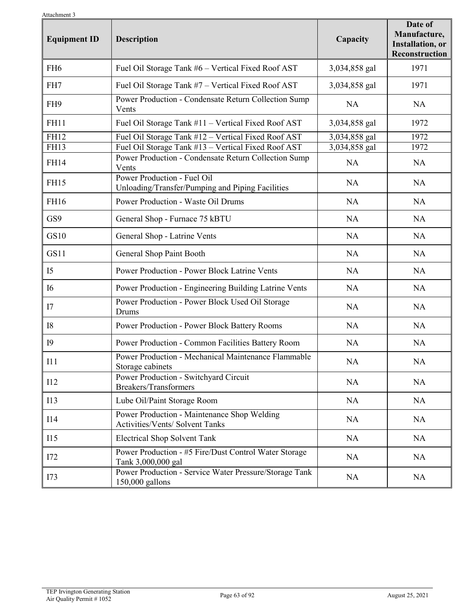| Attachment 5<br><b>Equipment ID</b> | Description                                                                     | Capacity      | Date of<br>Manufacture,<br><b>Installation</b> , or<br><b>Reconstruction</b> |
|-------------------------------------|---------------------------------------------------------------------------------|---------------|------------------------------------------------------------------------------|
| FH <sub>6</sub>                     | Fuel Oil Storage Tank #6 - Vertical Fixed Roof AST                              | 3,034,858 gal | 1971                                                                         |
| FH7                                 | Fuel Oil Storage Tank #7 - Vertical Fixed Roof AST                              | 3,034,858 gal | 1971                                                                         |
| FH <sub>9</sub>                     | Power Production - Condensate Return Collection Sump<br>Vents                   | NA            | <b>NA</b>                                                                    |
| <b>FH11</b>                         | Fuel Oil Storage Tank #11 - Vertical Fixed Roof AST                             | 3,034,858 gal | 1972                                                                         |
| <b>FH12</b>                         | Fuel Oil Storage Tank #12 - Vertical Fixed Roof AST                             | 3,034,858 gal | 1972                                                                         |
| <b>FH13</b>                         | Fuel Oil Storage Tank #13 - Vertical Fixed Roof AST                             | 3,034,858 gal | 1972                                                                         |
| <b>FH14</b>                         | Power Production - Condensate Return Collection Sump<br>Vents                   | <b>NA</b>     | NA                                                                           |
| <b>FH15</b>                         | Power Production - Fuel Oil<br>Unloading/Transfer/Pumping and Piping Facilities | <b>NA</b>     | <b>NA</b>                                                                    |
| FH16                                | Power Production - Waste Oil Drums                                              | <b>NA</b>     | <b>NA</b>                                                                    |
| GS9                                 | General Shop - Furnace 75 kBTU                                                  | NA            | NA                                                                           |
| GS10                                | General Shop - Latrine Vents                                                    | <b>NA</b>     | NA                                                                           |
| GS11                                | General Shop Paint Booth                                                        | <b>NA</b>     | NA                                                                           |
| I <sub>5</sub>                      | <b>Power Production - Power Block Latrine Vents</b>                             | NA            | NA                                                                           |
| <b>I6</b>                           | Power Production - Engineering Building Latrine Vents                           | <b>NA</b>     | <b>NA</b>                                                                    |
| I7                                  | Power Production - Power Block Used Oil Storage<br>Drums                        | <b>NA</b>     | <b>NA</b>                                                                    |
| 18                                  | Power Production - Power Block Battery Rooms                                    | NA            | <b>NA</b>                                                                    |
| <b>I9</b>                           | Power Production - Common Facilities Battery Room                               | <b>NA</b>     | <b>NA</b>                                                                    |
| I11                                 | Power Production - Mechanical Maintenance Flammable<br>Storage cabinets         | <b>NA</b>     | <b>NA</b>                                                                    |
| I12                                 | Power Production - Switchyard Circuit<br>Breakers/Transformers                  | NA            | <b>NA</b>                                                                    |
| I13                                 | Lube Oil/Paint Storage Room                                                     | NA            | NA                                                                           |
| <b>I14</b>                          | Power Production - Maintenance Shop Welding<br>Activities/Vents/ Solvent Tanks  | NA            | <b>NA</b>                                                                    |
| <b>I15</b>                          | <b>Electrical Shop Solvent Tank</b>                                             | <b>NA</b>     | NA                                                                           |
| I72                                 | Power Production - #5 Fire/Dust Control Water Storage<br>Tank 3,000,000 gal     | <b>NA</b>     | <b>NA</b>                                                                    |
| I73                                 | Power Production - Service Water Pressure/Storage Tank<br>$150,000$ gallons     | <b>NA</b>     | NA                                                                           |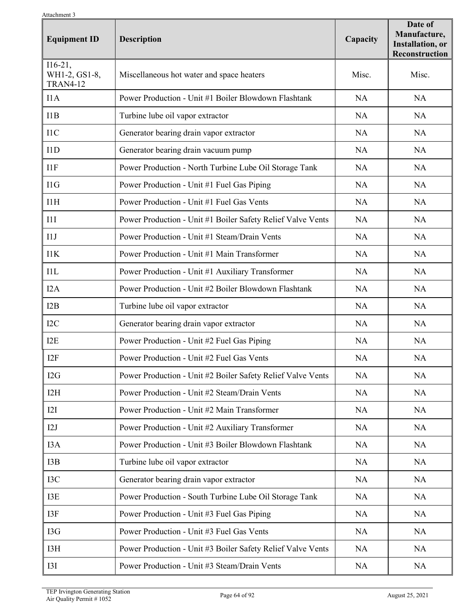| лиаспппент э<br><b>Equipment ID</b>           | <b>Description</b>                                          | Capacity  | Date of<br>Manufacture,<br><b>Installation</b> , or<br>Reconstruction |
|-----------------------------------------------|-------------------------------------------------------------|-----------|-----------------------------------------------------------------------|
| $I16-21,$<br>WH1-2, GS1-8,<br><b>TRAN4-12</b> | Miscellaneous hot water and space heaters                   | Misc.     | Misc.                                                                 |
| IIA                                           | Power Production - Unit #1 Boiler Blowdown Flashtank        | NA        | <b>NA</b>                                                             |
| 11B                                           | Turbine lube oil vapor extractor                            | NA        | <b>NA</b>                                                             |
| 11C                                           | Generator bearing drain vapor extractor                     | <b>NA</b> | <b>NA</b>                                                             |
| 11D                                           | Generator bearing drain vacuum pump                         | <b>NA</b> | <b>NA</b>                                                             |
| I1F                                           | Power Production - North Turbine Lube Oil Storage Tank      | <b>NA</b> | <b>NA</b>                                                             |
| I1G                                           | Power Production - Unit #1 Fuel Gas Piping                  | <b>NA</b> | <b>NA</b>                                                             |
| I1H                                           | Power Production - Unit #1 Fuel Gas Vents                   | <b>NA</b> | <b>NA</b>                                                             |
| 11I                                           | Power Production - Unit #1 Boiler Safety Relief Valve Vents | NA        | <b>NA</b>                                                             |
| 11J                                           | Power Production - Unit #1 Steam/Drain Vents                | NA        | <b>NA</b>                                                             |
| 11K                                           | Power Production - Unit #1 Main Transformer                 | NA        | NA                                                                    |
| 11L                                           | Power Production - Unit #1 Auxiliary Transformer            | <b>NA</b> | <b>NA</b>                                                             |
| I2A                                           | Power Production - Unit #2 Boiler Blowdown Flashtank        | <b>NA</b> | <b>NA</b>                                                             |
| 12B                                           | Turbine lube oil vapor extractor                            | <b>NA</b> | <b>NA</b>                                                             |
| I2C                                           | Generator bearing drain vapor extractor                     | <b>NA</b> | <b>NA</b>                                                             |
| I <sub>2</sub> E                              | Power Production - Unit #2 Fuel Gas Piping                  | NA        | <b>NA</b>                                                             |
| I <sub>2F</sub>                               | Power Production - Unit #2 Fuel Gas Vents                   | <b>NA</b> | <b>NA</b>                                                             |
| I2G                                           | Power Production - Unit #2 Boiler Safety Relief Valve Vents | <b>NA</b> | <b>NA</b>                                                             |
| I2H                                           | Power Production - Unit #2 Steam/Drain Vents                | <b>NA</b> | <b>NA</b>                                                             |
| 12I                                           | Power Production - Unit #2 Main Transformer                 | NA        | <b>NA</b>                                                             |
| I2J                                           | Power Production - Unit #2 Auxiliary Transformer            | <b>NA</b> | <b>NA</b>                                                             |
| I3A                                           | Power Production - Unit #3 Boiler Blowdown Flashtank        | <b>NA</b> | NA                                                                    |
| I3B                                           | Turbine lube oil vapor extractor                            | <b>NA</b> | <b>NA</b>                                                             |
| $_{\rm{IC}}$                                  | Generator bearing drain vapor extractor                     | <b>NA</b> | <b>NA</b>                                                             |
| I3E                                           | Power Production - South Turbine Lube Oil Storage Tank      | NA        | <b>NA</b>                                                             |
| 13F                                           | Power Production - Unit #3 Fuel Gas Piping                  | NA        | <b>NA</b>                                                             |
| I3G                                           | Power Production - Unit #3 Fuel Gas Vents                   | NA        | <b>NA</b>                                                             |
| I3H                                           | Power Production - Unit #3 Boiler Safety Relief Valve Vents | NA        | <b>NA</b>                                                             |
| I3I                                           | Power Production - Unit #3 Steam/Drain Vents                | <b>NA</b> | NA                                                                    |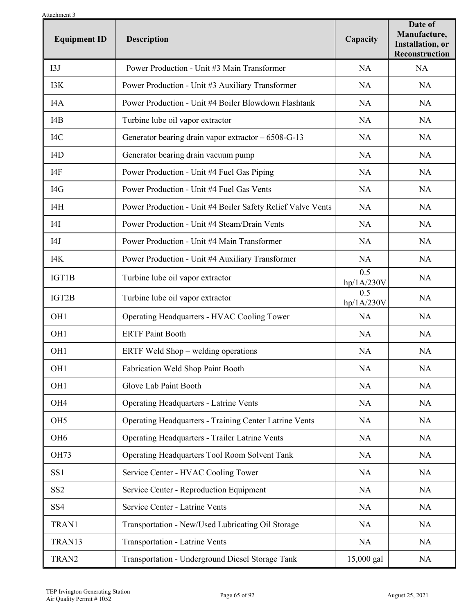| Attachment 3<br><b>Equipment ID</b> | <b>Description</b>                                            | Capacity          | Date of<br>Manufacture,<br><b>Installation</b> , or<br>Reconstruction |
|-------------------------------------|---------------------------------------------------------------|-------------------|-----------------------------------------------------------------------|
| I3J                                 | Power Production - Unit #3 Main Transformer                   | <b>NA</b>         | NA                                                                    |
| I3K                                 | Power Production - Unit #3 Auxiliary Transformer              | <b>NA</b>         | <b>NA</b>                                                             |
| I4A                                 | Power Production - Unit #4 Boiler Blowdown Flashtank          | <b>NA</b>         | <b>NA</b>                                                             |
| I4B                                 | Turbine lube oil vapor extractor                              | <b>NA</b>         | <b>NA</b>                                                             |
| I <sub>4</sub> C                    | Generator bearing drain vapor extractor $-6508-G-13$          | <b>NA</b>         | <b>NA</b>                                                             |
| I <sub>4</sub> D                    | Generator bearing drain vacuum pump                           | <b>NA</b>         | NA                                                                    |
| I4F                                 | Power Production - Unit #4 Fuel Gas Piping                    | <b>NA</b>         | <b>NA</b>                                                             |
| I4G                                 | Power Production - Unit #4 Fuel Gas Vents                     | <b>NA</b>         | NA                                                                    |
| I4H                                 | Power Production - Unit #4 Boiler Safety Relief Valve Vents   | NA                | <b>NA</b>                                                             |
| I4I                                 | Power Production - Unit #4 Steam/Drain Vents                  | <b>NA</b>         | <b>NA</b>                                                             |
| I4J                                 | Power Production - Unit #4 Main Transformer                   | <b>NA</b>         | <b>NA</b>                                                             |
| I4K                                 | Power Production - Unit #4 Auxiliary Transformer              | <b>NA</b>         | <b>NA</b>                                                             |
| IGT1B                               | Turbine lube oil vapor extractor                              | 0.5<br>hp/1A/230V | <b>NA</b>                                                             |
| IGT2B                               | Turbine lube oil vapor extractor                              | 0.5<br>hp/1A/230V | NA                                                                    |
| OH <sub>1</sub>                     | Operating Headquarters - HVAC Cooling Tower                   | <b>NA</b>         | <b>NA</b>                                                             |
| OH <sub>1</sub>                     | <b>ERTF Paint Booth</b>                                       | <b>NA</b>         | <b>NA</b>                                                             |
| OH <sub>1</sub>                     | ERTF Weld $Show -$ welding operations                         | <b>NA</b>         | <b>NA</b>                                                             |
| OH <sub>1</sub>                     | Fabrication Weld Shop Paint Booth                             | NA                | NA                                                                    |
| OH <sub>1</sub>                     | Glove Lab Paint Booth                                         | <b>NA</b>         | NA                                                                    |
| OH <sub>4</sub>                     | <b>Operating Headquarters - Latrine Vents</b>                 | <b>NA</b>         | <b>NA</b>                                                             |
| OH <sub>5</sub>                     | <b>Operating Headquarters - Training Center Latrine Vents</b> | <b>NA</b>         | <b>NA</b>                                                             |
| OH <sub>6</sub>                     | <b>Operating Headquarters - Trailer Latrine Vents</b>         | <b>NA</b>         | <b>NA</b>                                                             |
| <b>OH73</b>                         | Operating Headquarters Tool Room Solvent Tank                 | <b>NA</b>         | <b>NA</b>                                                             |
| SS <sub>1</sub>                     | Service Center - HVAC Cooling Tower                           | <b>NA</b>         | <b>NA</b>                                                             |
| SS <sub>2</sub>                     | Service Center - Reproduction Equipment                       | <b>NA</b>         | <b>NA</b>                                                             |
| SS <sub>4</sub>                     | Service Center - Latrine Vents                                | <b>NA</b>         | <b>NA</b>                                                             |
| TRAN1                               | Transportation - New/Used Lubricating Oil Storage             | <b>NA</b>         | <b>NA</b>                                                             |
| TRAN13                              | <b>Transportation - Latrine Vents</b>                         | <b>NA</b>         | <b>NA</b>                                                             |
| TRAN2                               | Transportation - Underground Diesel Storage Tank              | 15,000 gal        | <b>NA</b>                                                             |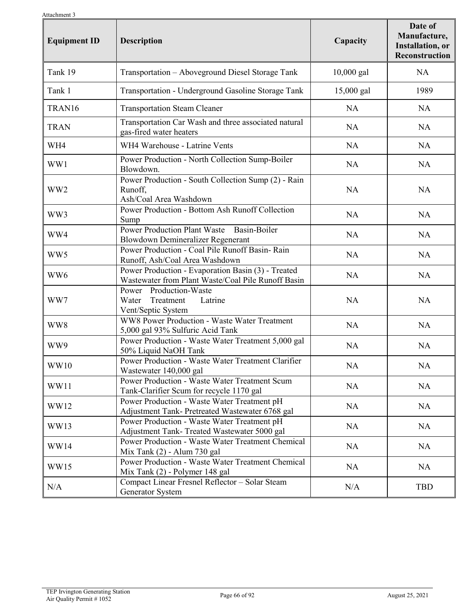| ruavillilulli <i>ə</i><br><b>Equipment ID</b> | <b>Description</b>                                                                                       | Capacity   | Date of<br>Manufacture,<br><b>Installation</b> , or<br><b>Reconstruction</b> |
|-----------------------------------------------|----------------------------------------------------------------------------------------------------------|------------|------------------------------------------------------------------------------|
| Tank 19                                       | Transportation - Aboveground Diesel Storage Tank                                                         | 10,000 gal | NA                                                                           |
| Tank 1                                        | Transportation - Underground Gasoline Storage Tank                                                       | 15,000 gal | 1989                                                                         |
| TRAN16                                        | <b>Transportation Steam Cleaner</b>                                                                      | <b>NA</b>  | <b>NA</b>                                                                    |
| <b>TRAN</b>                                   | Transportation Car Wash and three associated natural<br>gas-fired water heaters                          | <b>NA</b>  | <b>NA</b>                                                                    |
| WH4                                           | WH4 Warehouse - Latrine Vents                                                                            | NA         | <b>NA</b>                                                                    |
| WW1                                           | Power Production - North Collection Sump-Boiler<br>Blowdown.                                             | <b>NA</b>  | <b>NA</b>                                                                    |
| WW <sub>2</sub>                               | Power Production - South Collection Sump (2) - Rain<br>Runoff,<br>Ash/Coal Area Washdown                 | <b>NA</b>  | <b>NA</b>                                                                    |
| WW3                                           | Power Production - Bottom Ash Runoff Collection<br>Sump                                                  | NA         | <b>NA</b>                                                                    |
| WW4                                           | Basin-Boiler<br><b>Power Production Plant Waste</b><br>Blowdown Demineralizer Regenerant                 | <b>NA</b>  | <b>NA</b>                                                                    |
| WW5                                           | Power Production - Coal Pile Runoff Basin- Rain<br>Runoff, Ash/Coal Area Washdown                        | <b>NA</b>  | <b>NA</b>                                                                    |
| WW <sub>6</sub>                               | Power Production - Evaporation Basin (3) - Treated<br>Wastewater from Plant Waste/Coal Pile Runoff Basin | NA         | NA                                                                           |
| WW7                                           | Power Production-Waste<br>Water<br>Treatment<br>Latrine<br>Vent/Septic System                            | NA         | <b>NA</b>                                                                    |
| WW8                                           | WW8 Power Production - Waste Water Treatment<br>5,000 gal 93% Sulfuric Acid Tank                         | NA         | <b>NA</b>                                                                    |
| WW9                                           | Power Production - Waste Water Treatment 5,000 gal<br>50% Liquid NaOH Tank                               | <b>NA</b>  | <b>NA</b>                                                                    |
| WW10                                          | Power Production - Waste Water Treatment Clarifier<br>Wastewater 140,000 gal                             | NA         | NA                                                                           |
| WW11                                          | <b>Power Production - Waste Water Treatment Scum</b><br>Tank-Clarifier Scum for recycle 1170 gal         | NA         | NA                                                                           |
| WW12                                          | Power Production - Waste Water Treatment pH<br>Adjustment Tank- Pretreated Wastewater 6768 gal           | <b>NA</b>  | NA                                                                           |
| WW13                                          | Power Production - Waste Water Treatment pH<br>Adjustment Tank- Treated Wastewater 5000 gal              | NA         | NA                                                                           |
| WW14                                          | <b>Power Production - Waste Water Treatment Chemical</b><br>Mix Tank (2) - Alum 730 gal                  | <b>NA</b>  | NA                                                                           |
| WW15                                          | <b>Power Production - Waste Water Treatment Chemical</b><br>Mix Tank (2) - Polymer 148 gal               | <b>NA</b>  | NA                                                                           |
| N/A                                           | Compact Linear Fresnel Reflector - Solar Steam<br>Generator System                                       | N/A        | TBD                                                                          |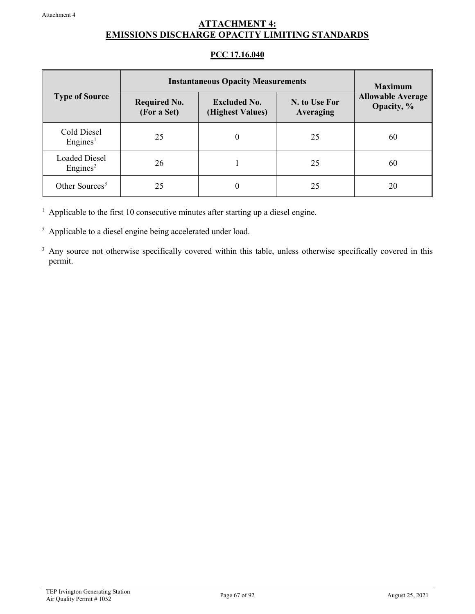## **ATTACHMENT 4: EMISSIONS DISCHARGE OPACITY LIMITING STANDARDS**

## **PCC 17.16.040**

|                                              | <b>Instantaneous Opacity Measurements</b> | <b>Maximum</b>                          |                            |                                        |  |
|----------------------------------------------|-------------------------------------------|-----------------------------------------|----------------------------|----------------------------------------|--|
| <b>Type of Source</b>                        | <b>Required No.</b><br>(For a Set)        | <b>Excluded No.</b><br>(Highest Values) | N. to Use For<br>Averaging | <b>Allowable Average</b><br>Opacity, % |  |
| Cold Diesel<br>Engines <sup>1</sup>          | 25                                        | 0                                       | 25                         | 60                                     |  |
| <b>Loaded Diesel</b><br>Engines <sup>2</sup> | 26                                        |                                         | 25                         | 60                                     |  |
| Other Sources <sup>3</sup>                   | 25                                        |                                         | 25                         | 20                                     |  |

<sup>1</sup> Applicable to the first 10 consecutive minutes after starting up a diesel engine.

<sup>2</sup> Applicable to a diesel engine being accelerated under load.

<sup>3</sup> Any source not otherwise specifically covered within this table, unless otherwise specifically covered in this permit.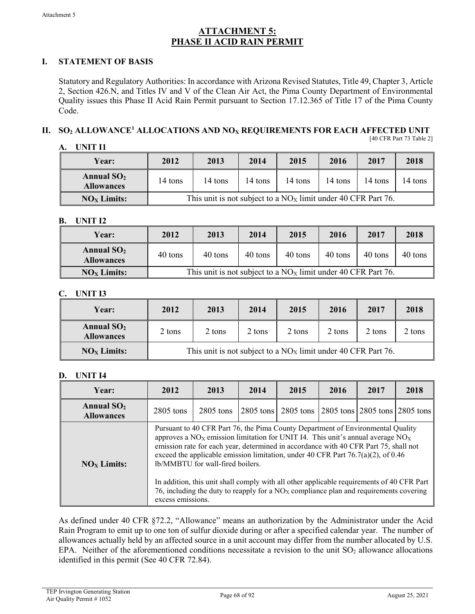## **ATTACHMENT 5: PHASE II ACID RAIN PERMIT**

## **I. STATEMENT OF BASIS**

Statutory and Regulatory Authorities: In accordance with Arizona Revised Statutes, Title 49, Chapter 3, Article 2, Section 426.N, and Titles IV and V of the Clean Air Act, the Pima County Department of Environmental Quality issues this Phase II Acid Rain Permit pursuant to Section 17.12.365 of Title 17 of the Pima County Code.

#### **II. SO2 ALLOWANCE1 ALLOCATIONS AND NOX REQUIREMENTS FOR EACH AFFECTED UNIT** [40 CFR Part 73 Table 2]

| Α. | UNIT 11 |  |
|----|---------|--|
|    |         |  |

| <b>Year:</b>                      | 2012    | 2013                                                            | 2014    | 2015    | 2016    | 2017    | 2018    |
|-----------------------------------|---------|-----------------------------------------------------------------|---------|---------|---------|---------|---------|
| Annual $SO2$<br><b>Allowances</b> | 14 tons | 14 tons                                                         | 14 tons | 14 tons | 14 tons | 14 tons | 14 tons |
| $NOx$ Limits:                     |         | This unit is not subject to a $NOX$ limit under 40 CFR Part 76. |         |         |         |         |         |

## **B. UNIT I2**

| <b>Year:</b>                      | 2012                                                            | 2013    | 2014    | 2015    | 2016    | 2017    | 2018    |
|-----------------------------------|-----------------------------------------------------------------|---------|---------|---------|---------|---------|---------|
| Annual $SO2$<br><b>Allowances</b> | 40 tons                                                         | 40 tons | 40 tons | 40 tons | 40 tons | 40 tons | 40 tons |
| $NOx$ Limits:                     | This unit is not subject to a $NOX$ limit under 40 CFR Part 76. |         |         |         |         |         |         |

## **C. UNIT I3**

| <b>Year:</b>                      | 2012                                                            | 2013   | 2014   | 2015   | 2016   | 2017   | 2018   |
|-----------------------------------|-----------------------------------------------------------------|--------|--------|--------|--------|--------|--------|
| Annual $SO2$<br><b>Allowances</b> | 2 tons                                                          | 2 tons | 2 tons | 2 tons | 2 tons | 2 tons | 2 tons |
| $NOx$ Limits:                     | This unit is not subject to a $NOX$ limit under 40 CFR Part 76. |        |        |        |        |        |        |

## **D. UNIT I4**

| Year:                             | 2012                                                                                                                                                                                                                                                                                                                                                                                                                                                                                                                                                                                                  | 2013        | 2014 | 2015                                              | 2016 | 2017 | 2018 |
|-----------------------------------|-------------------------------------------------------------------------------------------------------------------------------------------------------------------------------------------------------------------------------------------------------------------------------------------------------------------------------------------------------------------------------------------------------------------------------------------------------------------------------------------------------------------------------------------------------------------------------------------------------|-------------|------|---------------------------------------------------|------|------|------|
| Annual $SO2$<br><b>Allowances</b> | $2805$ tons                                                                                                                                                                                                                                                                                                                                                                                                                                                                                                                                                                                           | $2805$ tons |      | 2805 tons 2805 tons 2805 tons 2805 tons 2805 tons |      |      |      |
| $NOx$ Limits:                     | Pursuant to 40 CFR Part 76, the Pima County Department of Environmental Quality<br>approves a $NOX$ emission limitation for UNIT I4. This unit's annual average $NOX$<br>emission rate for each year, determined in accordance with 40 CFR Part 75, shall not<br>exceed the applicable emission limitation, under 40 CFR Part $76.7(a)(2)$ , of 0.46<br>lb/MMBTU for wall-fired boilers.<br>In addition, this unit shall comply with all other applicable requirements of 40 CFR Part<br>76, including the duty to reapply for a $NOX$ compliance plan and requirements covering<br>excess emissions. |             |      |                                                   |      |      |      |

As defined under 40 CFR §72.2, "Allowance" means an authorization by the Administrator under the Acid Rain Program to emit up to one ton of sulfur dioxide during or after a specified calendar year. The number of allowances actually held by an affected source in a unit account may differ from the number allocated by U.S. EPA. Neither of the aforementioned conditions necessitate a revision to the unit  $SO_2$  allowance allocations identified in this permit (See 40 CFR 72.84).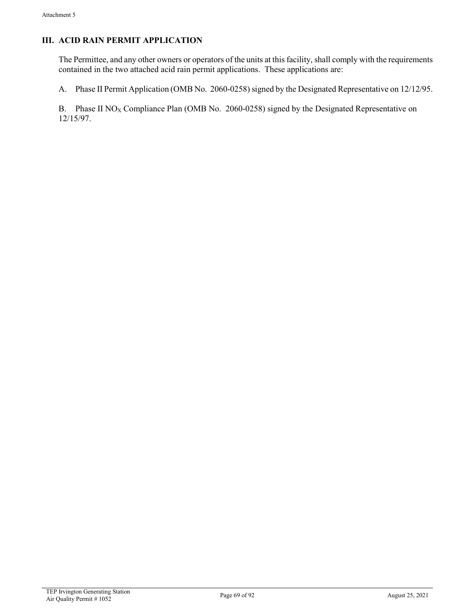## **III. ACID RAIN PERMIT APPLICATION**

The Permittee, and any other owners or operators of the units at this facility, shall comply with the requirements contained in the two attached acid rain permit applications. These applications are:

A. Phase II Permit Application (OMB No. 2060-0258) signed by the Designated Representative on 12/12/95.

B. Phase II NO<sub>X</sub> Compliance Plan (OMB No. 2060-0258) signed by the Designated Representative on 12/15/97.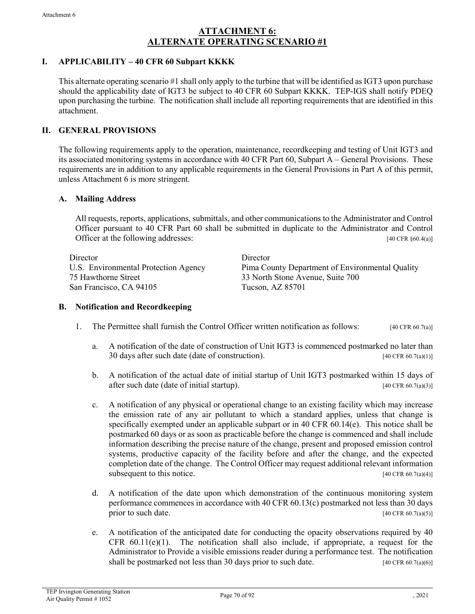## **ATTACHMENT 6: ALTERNATE OPERATING SCENARIO #1**

## **I. APPLICABILITY – 40 CFR 60 Subpart KKKK**

This alternate operating scenario #1 shall only apply to the turbine that will be identified as IGT3 upon purchase should the applicability date of IGT3 be subject to 40 CFR 60 Subpart KKKK. TEP-IGS shall notify PDEQ upon purchasing the turbine. The notification shall include all reporting requirements that are identified in this attachment.

## **II. GENERAL PROVISIONS**

The following requirements apply to the operation, maintenance, recordkeeping and testing of Unit IGT3 and its associated monitoring systems in accordance with 40 CFR Part 60, Subpart A – General Provisions. These requirements are in addition to any applicable requirements in the General Provisions in Part A of this permit, unless Attachment 6 is more stringent.

### **A. Mailing Address**

All requests, reports, applications, submittals, and other communications to the Administrator and Control Officer pursuant to 40 CFR Part 60 shall be submitted in duplicate to the Administrator and Control Officer at the following addresses: [40 CFR §60.4(a)]

Director Director 75 Hawthorne Street 33 North Stone Avenue, Suite 700 San Francisco, CA 94105 Tucson, AZ 85701

U.S. Environmental Protection Agency Pima County Department of Environmental Quality

### **B. Notification and Recordkeeping**

- 1. The Permittee shall furnish the Control Officer written notification as follows: [40 CFR 60.7(a)]
	- a. A notification of the date of construction of Unit IGT3 is commenced postmarked no later than 30 days after such date (date of construction). [40 CFR 60.7(a)(1)]
	- b. A notification of the actual date of initial startup of Unit IGT3 postmarked within 15 days of after such date (date of initial startup). [40 CFR 60.7(a)(3)]
	- c. A notification of any physical or operational change to an existing facility which may increase the emission rate of any air pollutant to which a standard applies, unless that change is specifically exempted under an applicable subpart or in 40 CFR 60.14(e). This notice shall be postmarked 60 days or as soon as practicable before the change is commenced and shall include information describing the precise nature of the change, present and proposed emission control systems, productive capacity of the facility before and after the change, and the expected completion date of the change. The Control Officer may request additional relevant information subsequent to this notice.  $[40 \text{ CFR } 60.7(a)(4)]$
	- d. A notification of the date upon which demonstration of the continuous monitoring system performance commences in accordance with 40 CFR 60.13(c) postmarked not less than 30 days prior to such date.  $[40 \text{ CFR } 60.7(a)(5)]$
	- e. A notification of the anticipated date for conducting the opacity observations required by 40 CFR  $60.11(e)(1)$ . The notification shall also include, if appropriate, a request for the Administrator to Provide a visible emissions reader during a performance test. The notification shall be postmarked not less than 30 days prior to such date. [40 CFR 60.7(a)(6)]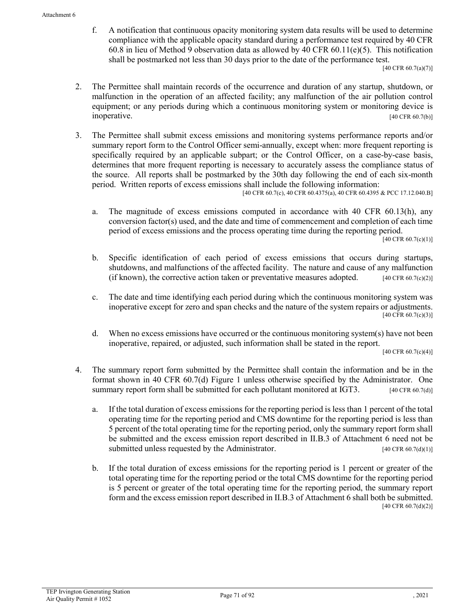f. A notification that continuous opacity monitoring system data results will be used to determine compliance with the applicable opacity standard during a performance test required by 40 CFR 60.8 in lieu of Method 9 observation data as allowed by 40 CFR 60.11(e)(5). This notification shall be postmarked not less than 30 days prior to the date of the performance test.

[40 CFR 60.7(a)(7)]

- 2. The Permittee shall maintain records of the occurrence and duration of any startup, shutdown, or malfunction in the operation of an affected facility; any malfunction of the air pollution control equipment; or any periods during which a continuous monitoring system or monitoring device is inoperative.  $[40 \text{ CFR } 60.7(b)]$
- 3. The Permittee shall submit excess emissions and monitoring systems performance reports and/or summary report form to the Control Officer semi-annually, except when: more frequent reporting is specifically required by an applicable subpart; or the Control Officer, on a case-by-case basis, determines that more frequent reporting is necessary to accurately assess the compliance status of the source. All reports shall be postmarked by the 30th day following the end of each six-month period. Written reports of excess emissions shall include the following information:

[40 CFR 60.7(c), 40 CFR 60.4375(a), 40 CFR 60.4395 & PCC 17.12.040.B]

a. The magnitude of excess emissions computed in accordance with 40 CFR 60.13(h), any conversion factor(s) used, and the date and time of commencement and completion of each time period of excess emissions and the process operating time during the reporting period.

 $[40 \text{ CFR } 60.7(c)(1)]$ 

- b. Specific identification of each period of excess emissions that occurs during startups, shutdowns, and malfunctions of the affected facility. The nature and cause of any malfunction (if known), the corrective action taken or preventative measures adopted.  $[40 \text{ CFR } 60.7 \text{ (c)}(2)]$
- c. The date and time identifying each period during which the continuous monitoring system was inoperative except for zero and span checks and the nature of the system repairs or adjustments. [40 CFR 60.7(c)(3)]
- d. When no excess emissions have occurred or the continuous monitoring system(s) have not been inoperative, repaired, or adjusted, such information shall be stated in the report.

[40 CFR 60.7(c)(4)]

- 4. The summary report form submitted by the Permittee shall contain the information and be in the format shown in 40 CFR 60.7(d) Figure 1 unless otherwise specified by the Administrator. One summary report form shall be submitted for each pollutant monitored at IGT3.  $[40 \text{ CFR } 60.7(d)]$ 
	- a. If the total duration of excess emissions for the reporting period is less than 1 percent of the total operating time for the reporting period and CMS downtime for the reporting period is less than 5 percent of the total operating time for the reporting period, only the summary report form shall be submitted and the excess emission report described in II.B.3 of Attachment 6 need not be submitted unless requested by the Administrator. [40 CFR 60.7(d)(1)]
	- b. If the total duration of excess emissions for the reporting period is 1 percent or greater of the total operating time for the reporting period or the total CMS downtime for the reporting period is 5 percent or greater of the total operating time for the reporting period, the summary report form and the excess emission report described in II.B.3 of Attachment 6 shall both be submitted. [40 CFR 60.7(d)(2)]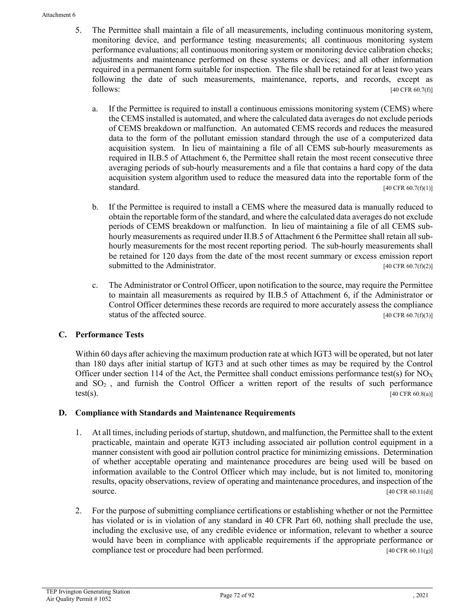- 5. The Permittee shall maintain a file of all measurements, including continuous monitoring system, monitoring device, and performance testing measurements; all continuous monitoring system performance evaluations; all continuous monitoring system or monitoring device calibration checks; adjustments and maintenance performed on these systems or devices; and all other information required in a permanent form suitable for inspection. The file shall be retained for at least two years following the date of such measurements, maintenance, reports, and records, except as  $f_{40}$  CFR 60.7(f)]  $[40 \text{ CFR } 60.7 \text{]}$ 
	- a. If the Permittee is required to install a continuous emissions monitoring system (CEMS) where the CEMS installed is automated, and where the calculated data averages do not exclude periods of CEMS breakdown or malfunction. An automated CEMS records and reduces the measured data to the form of the pollutant emission standard through the use of a computerized data acquisition system. In lieu of maintaining a file of all CEMS sub-hourly measurements as required in II.B.5 of Attachment 6, the Permittee shall retain the most recent consecutive three averaging periods of sub-hourly measurements and a file that contains a hard copy of the data acquisition system algorithm used to reduce the measured data into the reportable form of the standard. [40 CFR 60.7(f)(1)]
	- b. If the Permittee is required to install a CEMS where the measured data is manually reduced to obtain the reportable form of the standard, and where the calculated data averages do not exclude periods of CEMS breakdown or malfunction. In lieu of maintaining a file of all CEMS subhourly measurements as required under II.B.5 of Attachment 6 the Permittee shall retain all subhourly measurements for the most recent reporting period. The sub-hourly measurements shall be retained for 120 days from the date of the most recent summary or excess emission report submitted to the Administrator.  $[40 \text{ CFR } 60.7 \text{ (f)}(2)]$
	- c. The Administrator or Control Officer, upon notification to the source, may require the Permittee to maintain all measurements as required by II.B.5 of Attachment 6, if the Administrator or Control Officer determines these records are required to more accurately assess the compliance status of the affected source.  $[40 \text{ CFR } 60.7(f)(3)]$

## **C. Performance Tests**

Within 60 days after achieving the maximum production rate at which IGT3 will be operated, but not later than 180 days after initial startup of IGT3 and at such other times as may be required by the Control Officer under section 114 of the Act, the Permittee shall conduct emissions performance test(s) for  $NO_X$ and  $SO<sub>2</sub>$ , and furnish the Control Officer a written report of the results of such performance  $test(s)$ . [40 CFR 60.8(a)]

## **D. Compliance with Standards and Maintenance Requirements**

- 1. At all times, including periods of startup, shutdown, and malfunction, the Permittee shall to the extent practicable, maintain and operate IGT3 including associated air pollution control equipment in a manner consistent with good air pollution control practice for minimizing emissions. Determination of whether acceptable operating and maintenance procedures are being used will be based on information available to the Control Officer which may include, but is not limited to, monitoring results, opacity observations, review of operating and maintenance procedures, and inspection of the source. [40 CFR 60.11(d)]
- 2. For the purpose of submitting compliance certifications or establishing whether or not the Permittee has violated or is in violation of any standard in 40 CFR Part 60, nothing shall preclude the use, including the exclusive use, of any credible evidence or information, relevant to whether a source would have been in compliance with applicable requirements if the appropriate performance or compliance test or procedure had been performed. [40 CFR 60.11(g)]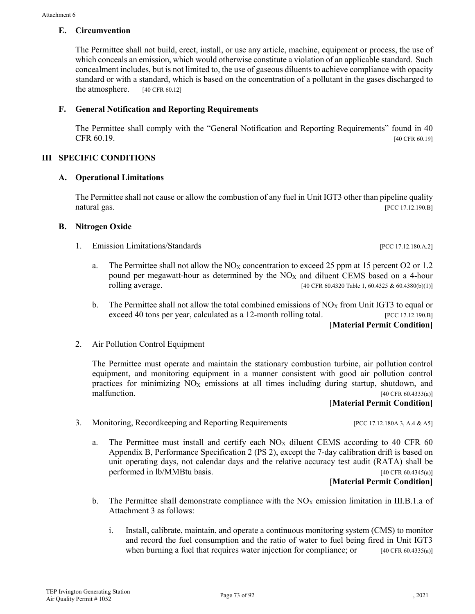### **E. Circumvention**

The Permittee shall not build, erect, install, or use any article, machine, equipment or process, the use of which conceals an emission, which would otherwise constitute a violation of an applicable standard. Such concealment includes, but is not limited to, the use of gaseous diluents to achieve compliance with opacity standard or with a standard, which is based on the concentration of a pollutant in the gases discharged to the atmosphere. [40 CFR 60.12]

# **F. General Notification and Reporting Requirements**

The Permittee shall comply with the "General Notification and Reporting Requirements" found in 40 CFR  $60.19$ . [40 CFR 60.19]

### **III SPECIFIC CONDITIONS**

### **A. Operational Limitations**

The Permittee shall not cause or allow the combustion of any fuel in Unit IGT3 other than pipeline quality natural gas. [PCC 17.12.190.B]

### **B. Nitrogen Oxide**

- 1. Emission Limitations/Standards [PCC 17.12.180.A.2]
	- a. The Permittee shall not allow the  $NO<sub>X</sub>$  concentration to exceed 25 ppm at 15 percent O2 or 1.2 pound per megawatt-hour as determined by the  $NO<sub>X</sub>$  and diluent CEMS based on a 4-hour rolling average. [40 CFR 60.4320 Table 1, 60.4325 & 60.4380(b)(1)]
	- b. The Permittee shall not allow the total combined emissions of  $NO<sub>X</sub>$  from Unit IGT3 to equal or exceed 40 tons per year, calculated as a 12-month rolling total. [PCC 17.12.190.B] **[Material Permit Condition]**
- 2. Air Pollution Control Equipment

The Permittee must operate and maintain the stationary combustion turbine, air pollution control equipment, and monitoring equipment in a manner consistent with good air pollution control practices for minimizing  $NO<sub>X</sub>$  emissions at all times including during startup, shutdown, and malfunction. [40 CFR 60.4333(a)]

### **[Material Permit Condition]**

3. Monitoring, Recordkeeping and Reporting Requirements [PCC 17.12.180A.3, A.4 & A5]

a. The Permittee must install and certify each  $NO<sub>X</sub>$  diluent CEMS according to 40 CFR 60 Appendix B, Performance Specification 2 (PS 2), except the 7-day calibration drift is based on unit operating days, not calendar days and the relative accuracy test audit (RATA) shall be performed in lb/MMBtu basis. [40 CFR 60.4345(a)]

**[Material Permit Condition]**

- b. The Permittee shall demonstrate compliance with the  $NO<sub>X</sub>$  emission limitation in III.B.1.a of Attachment 3 as follows:
	- i. Install, calibrate, maintain, and operate a continuous monitoring system (CMS) to monitor and record the fuel consumption and the ratio of water to fuel being fired in Unit IGT3 when burning a fuel that requires water injection for compliance; or [40 CFR 60.4335(a)]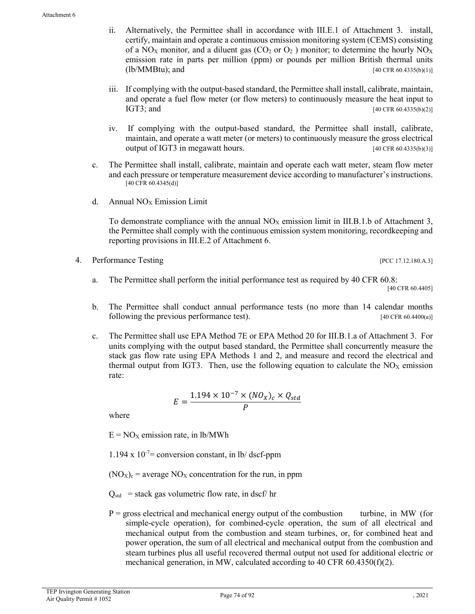- ii. Alternatively, the Permittee shall in accordance with III.E.1 of Attachment 3. install, certify, maintain and operate a continuous emission monitoring system (CEMS) consisting of a NO<sub>X</sub> monitor, and a diluent gas (CO<sub>2</sub> or O<sub>2</sub>) monitor; to determine the hourly NO<sub>X</sub> emission rate in parts per million (ppm) or pounds per million British thermal units  $(lb/MMBtu)$ ; and  $[40 \text{ CFR } 60.4335(b)(1)]$
- iii. If complying with the output-based standard, the Permittee shall install, calibrate, maintain, and operate a fuel flow meter (or flow meters) to continuously measure the heat input to IGT3; and  $[40 \text{ CFR } 60.4335(b)(2)]$
- iv. If complying with the output-based standard, the Permittee shall install, calibrate, maintain, and operate a watt meter (or meters) to continuously measure the gross electrical output of IGT3 in megawatt hours. [40 CFR 60.4335(b)(3)]
- c. The Permittee shall install, calibrate, maintain and operate each watt meter, steam flow meter and each pressure or temperature measurement device according to manufacturer's instructions.  $[40 \overline{CFR} 60.4345(d)]$
- d. Annual  $NO<sub>X</sub>$  Emission Limit

To demonstrate compliance with the annual  $NO<sub>X</sub>$  emission limit in III.B.1.b of Attachment 3, the Permittee shall comply with the continuous emission system monitoring, recordkeeping and reporting provisions in III.E.2 of Attachment 6.

[PCC 17.12.180.A.3]

- a. The Permittee shall perform the initial performance test as required by 40 CFR 60.8: [40 CFR 60.4405]
- b. The Permittee shall conduct annual performance tests (no more than 14 calendar months following the previous performance test). [40 CFR 60.4400(a)]
- c. The Permittee shall use EPA Method 7E or EPA Method 20 for III.B.1.a of Attachment 3. For units complying with the output based standard, the Permittee shall concurrently measure the stack gas flow rate using EPA Methods 1 and 2, and measure and record the electrical and thermal output from IGT3. Then, use the following equation to calculate the  $NO<sub>X</sub>$  emission rate:

$$
E = \frac{1.194 \times 10^{-7} \times (N O_X)_c \times Q_{std}}{P}
$$

where

 $E = NO<sub>X</sub>$  emission rate, in lb/MWh

1.194 x  $10^{-7}$  conversion constant, in lb/ dscf-ppm

 $(NO<sub>X</sub>)<sub>c</sub>$  = average  $NO<sub>X</sub>$  concentration for the run, in ppm

 $Q_{std}$  = stack gas volumetric flow rate, in dscf/ hr

 $P =$  gross electrical and mechanical energy output of the combustion turbine, in MW (for simple-cycle operation), for combined-cycle operation, the sum of all electrical and mechanical output from the combustion and steam turbines, or, for combined heat and power operation, the sum of all electrical and mechanical output from the combustion and steam turbines plus all useful recovered thermal output not used for additional electric or mechanical generation, in MW, calculated according to 40 CFR 60.4350(f)(2).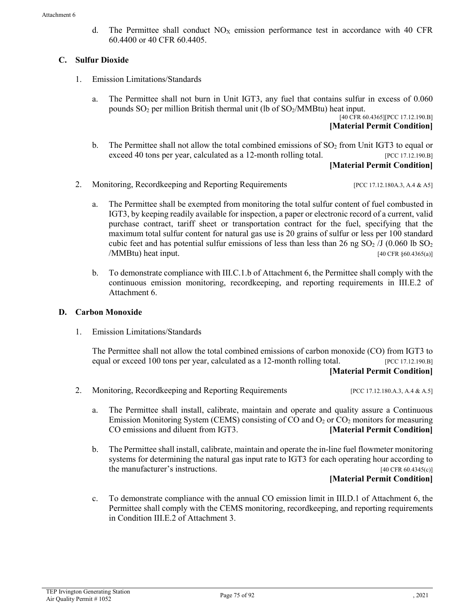d. The Permittee shall conduct  $NO<sub>X</sub>$  emission performance test in accordance with 40 CFR 60.4400 or 40 CFR 60.4405.

# **C. Sulfur Dioxide**

- 1. Emission Limitations/Standards
	- a. The Permittee shall not burn in Unit IGT3, any fuel that contains sulfur in excess of 0.060 pounds  $SO_2$  per million British thermal unit (lb of  $SO_2/MMB$ tu) heat input.

[40 CFR 60.4365][PCC 17.12.190.B] **[Material Permit Condition]**

- b. The Permittee shall not allow the total combined emissions of  $SO<sub>2</sub>$  from Unit IGT3 to equal or exceed 40 tons per year, calculated as a 12-month rolling total. [PCC 17.12.190.B] **[Material Permit Condition]**
- 2. Monitoring, Recordkeeping and Reporting Requirements [PCC 17.12.180A.3, A.4 & A5]
	- a. The Permittee shall be exempted from monitoring the total sulfur content of fuel combusted in IGT3, by keeping readily available for inspection, a paper or electronic record of a current, valid purchase contract, tariff sheet or transportation contract for the fuel, specifying that the maximum total sulfur content for natural gas use is 20 grains of sulfur or less per 100 standard cubic feet and has potential sulfur emissions of less than less than 26 ng  $SO<sub>2</sub>/J$  (0.060 lb  $SO<sub>2</sub>$ )  $\langle MMBtu \rangle$  heat input. [40 CFR §60.4365(a)]
	- b. To demonstrate compliance with III.C.1.b of Attachment 6, the Permittee shall comply with the continuous emission monitoring, recordkeeping, and reporting requirements in III.E.2 of Attachment 6.

# **D. Carbon Monoxide**

1. Emission Limitations/Standards

The Permittee shall not allow the total combined emissions of carbon monoxide (CO) from IGT3 to equal or exceed 100 tons per year, calculated as a 12-month rolling total. [PCC 17.12.190.B] **[Material Permit Condition]**

- 2. Monitoring, Recordkeeping and Reporting Requirements [PCC 17.12.180.A.3, A.4 & A.5]
	- a. The Permittee shall install, calibrate, maintain and operate and quality assure a Continuous Emission Monitoring System (CEMS) consisting of CO and  $O_2$  or  $CO_2$  monitors for measuring CO emissions and diluent from IGT3. **[Material Permit Condition]**
	- b. The Permittee shall install, calibrate, maintain and operate the in-line fuel flowmeter monitoring systems for determining the natural gas input rate to IGT3 for each operating hour according to the manufacturer's instructions.  $[40 \text{ CFR } 60.4345(c)]$

### **[Material Permit Condition]**

c. To demonstrate compliance with the annual CO emission limit in III.D.1 of Attachment 6, the Permittee shall comply with the CEMS monitoring, recordkeeping, and reporting requirements in Condition III.E.2 of Attachment 3.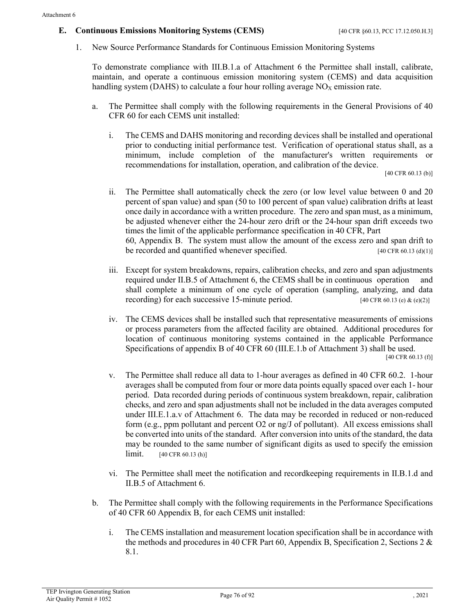### **E. Continuous Emissions Monitoring Systems (CEMS)** [40 CFR §60.13, PCC 17.12.050.H.3]

1. New Source Performance Standards for Continuous Emission Monitoring Systems

To demonstrate compliance with III.B.1.a of Attachment 6 the Permittee shall install, calibrate, maintain, and operate a continuous emission monitoring system (CEMS) and data acquisition handling system (DAHS) to calculate a four hour rolling average  $NO<sub>X</sub>$  emission rate.

- a. The Permittee shall comply with the following requirements in the General Provisions of 40 CFR 60 for each CEMS unit installed:
	- i. The CEMS and DAHS monitoring and recording devices shall be installed and operational prior to conducting initial performance test. Verification of operational status shall, as a minimum, include completion of the manufacturer's written requirements or recommendations for installation, operation, and calibration of the device.

[40 CFR 60.13 (b)]

- ii. The Permittee shall automatically check the zero (or low level value between 0 and 20 percent of span value) and span (50 to 100 percent of span value) calibration drifts at least once daily in accordance with a written procedure. The zero and span must, as a minimum, be adjusted whenever either the 24-hour zero drift or the 24-hour span drift exceeds two times the limit of the applicable performance specification in 40 CFR, Part 60, Appendix B. The system must allow the amount of the excess zero and span drift to be recorded and quantified whenever specified. [40 CFR 60.13 (d)(1)]
- iii. Except for system breakdowns, repairs, calibration checks, and zero and span adjustments required under II.B.5 of Attachment 6, the CEMS shall be in continuous operation and shall complete a minimum of one cycle of operation (sampling, analyzing, and data recording) for each successive 15-minute period. [40 CFR 60.13 (e) & (e)(2)]
- iv. The CEMS devices shall be installed such that representative measurements of emissions or process parameters from the affected facility are obtained. Additional procedures for location of continuous monitoring systems contained in the applicable Performance Specifications of appendix B of 40 CFR 60 (III.E.1.b of Attachment 3) shall be used. [40 CFR 60.13 (f)]
- v. The Permittee shall reduce all data to 1-hour averages as defined in 40 CFR 60.2. 1-hour averages shall be computed from four or more data points equally spaced over each 1- hour period. Data recorded during periods of continuous system breakdown, repair, calibration checks, and zero and span adjustments shall not be included in the data averages computed under III.E.1.a.v of Attachment 6. The data may be recorded in reduced or non-reduced form (e.g., ppm pollutant and percent O2 or ng/J of pollutant). All excess emissions shall be converted into units of the standard. After conversion into units of the standard, the data may be rounded to the same number of significant digits as used to specify the emission  $\lim$  it. [40 CFR 60.13 (h)]
- vi. The Permittee shall meet the notification and recordkeeping requirements in II.B.1.d and II.B.5 of Attachment 6.
- b. The Permittee shall comply with the following requirements in the Performance Specifications of 40 CFR 60 Appendix B, for each CEMS unit installed:
	- i. The CEMS installation and measurement location specification shall be in accordance with the methods and procedures in 40 CFR Part 60, Appendix B, Specification 2, Sections 2  $\&$ 8.1.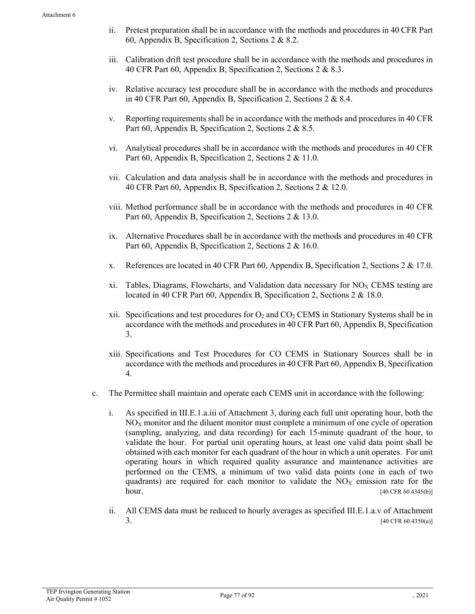- ii. Pretest preparation shall be in accordance with the methods and procedures in 40 CFR Part 60, Appendix B, Specification 2, Sections 2 & 8.2.
- iii. Calibration drift test procedure shall be in accordance with the methods and procedures in 40 CFR Part 60, Appendix B, Specification 2, Sections 2 & 8.3.
- iv. Relative accuracy test procedure shall be in accordance with the methods and procedures in 40 CFR Part 60, Appendix B, Specification 2, Sections 2 & 8.4.
- v. Reporting requirements shall be in accordance with the methods and procedures in 40 CFR Part 60, Appendix B, Specification 2, Sections 2 & 8.5.
- vi. Analytical procedures shall be in accordance with the methods and procedures in 40 CFR Part 60, Appendix B, Specification 2, Sections 2 & 11.0.
- vii. Calculation and data analysis shall be in accordance with the methods and procedures in 40 CFR Part 60, Appendix B, Specification 2, Sections 2 & 12.0.
- viii. Method performance shall be in accordance with the methods and procedures in 40 CFR Part 60, Appendix B, Specification 2, Sections 2 & 13.0.
- ix. Alternative Procedures shall be in accordance with the methods and procedures in 40 CFR Part 60, Appendix B, Specification 2, Sections 2 & 16.0.
- x. References are located in 40 CFR Part 60, Appendix B, Specification 2, Sections 2 & 17.0.
- xi. Tables, Diagrams, Flowcharts, and Validation data necessary for  $NO_X$  CEMS testing are located in 40 CFR Part 60, Appendix B, Specification 2, Sections 2 & 18.0.
- xii. Specifications and test procedures for  $O_2$  and  $CO_2$  CEMS in Stationary Systems shall be in accordance with the methods and procedures in 40 CFR Part 60, Appendix B, Specification 3.
- xiii. Specifications and Test Procedures for CO CEMS in Stationary Sources shall be in accordance with the methods and procedures in 40 CFR Part 60, Appendix B, Specification 4.
- c. The Permittee shall maintain and operate each CEMS unit in accordance with the following:
	- i. As specified in III.E.1.a.iii of Attachment 3, during each full unit operating hour, both the  $NO<sub>X</sub>$  monitor and the diluent monitor must complete a minimum of one cycle of operation (sampling, analyzing, and data recording) for each 15-minute quadrant of the hour, to validate the hour. For partial unit operating hours, at least one valid data point shall be obtained with each monitor for each quadrant of the hour in which a unit operates. For unit operating hours in which required quality assurance and maintenance activities are performed on the CEMS, a minimum of two valid data points (one in each of two quadrants) are required for each monitor to validate the  $NO<sub>X</sub>$  emission rate for the hour. [40 CFR 60.4345(b)]
	- ii. All CEMS data must be reduced to hourly averages as specified III.E.1.a.v of Attachment 3.  $[40 \text{ CFR } 60.4350(a)]$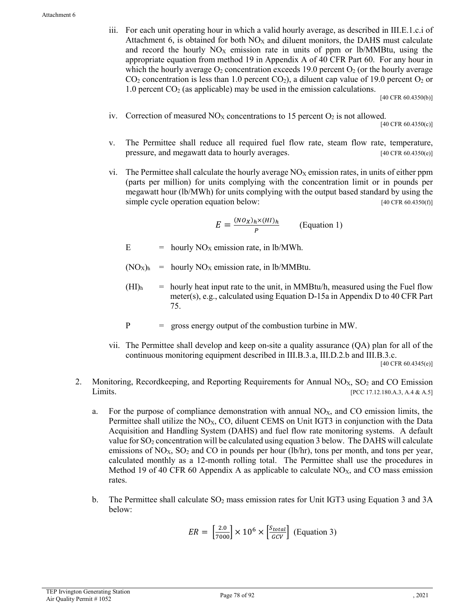iii. For each unit operating hour in which a valid hourly average, as described in III.E.1.c.i of Attachment 6, is obtained for both  $NO<sub>X</sub>$  and diluent monitors, the DAHS must calculate and record the hourly  $NO<sub>X</sub>$  emission rate in units of ppm or lb/MMBtu, using the appropriate equation from method 19 in Appendix A of 40 CFR Part 60. For any hour in which the hourly average  $O_2$  concentration exceeds 19.0 percent  $O_2$  (or the hourly average  $CO<sub>2</sub>$  concentration is less than 1.0 percent  $CO<sub>2</sub>$ ), a diluent cap value of 19.0 percent  $O<sub>2</sub>$  or 1.0 percent  $CO<sub>2</sub>$  (as applicable) may be used in the emission calculations.

[40 CFR 60.4350(b)]

iv. Correction of measured  $NO<sub>X</sub>$  concentrations to 15 percent  $O<sub>2</sub>$  is not allowed.

[40 CFR 60.4350(c)]

- v. The Permittee shall reduce all required fuel flow rate, steam flow rate, temperature, pressure, and megawatt data to hourly averages. [40 CFR 60.4350(e)]
- vi. The Permittee shall calculate the hourly average  $NO<sub>X</sub>$  emission rates, in units of either ppm (parts per million) for units complying with the concentration limit or in pounds per megawatt hour (lb/MWh) for units complying with the output based standard by using the simple cycle operation equation below: [40 CFR 60.4350(f)]

$$
E = \frac{(N O_X)_h \times (HI)_h}{P}
$$
 (Equation 1)

 $E =$  hourly NO<sub>X</sub> emission rate, in lb/MWh.

- $(NO<sub>X</sub>)<sub>h</sub>$  = hourly  $NO<sub>X</sub>$  emission rate, in lb/MMBtu.
- $(HI)$ <sub>h</sub> = hourly heat input rate to the unit, in MMBtu/h, measured using the Fuel flow meter(s), e.g., calculated using Equation D-15a in Appendix D to 40 CFR Part 75.
- P = gross energy output of the combustion turbine in MW.
- vii. The Permittee shall develop and keep on-site a quality assurance (QA) plan for all of the continuous monitoring equipment described in III.B.3.a, III.D.2.b and III.B.3.c. [40 CFR 60.4345(e)]
- 2. Monitoring, Recordkeeping, and Reporting Requirements for Annual  $NO<sub>x</sub>$ ,  $SO<sub>2</sub>$  and CO Emission Limits. [PCC 17.12.180.A.3, A.4 & A.5]
	- a. For the purpose of compliance demonstration with annual  $NO<sub>X</sub>$ , and  $CO$  emission limits, the Permittee shall utilize the  $NO<sub>X</sub>$ , CO, diluent CEMS on Unit IGT3 in conjunction with the Data Acquisition and Handling System (DAHS) and fuel flow rate monitoring systems. A default value for  $SO_2$  concentration will be calculated using equation 3 below. The DAHS will calculate emissions of  $NO<sub>x</sub>$ ,  $SO<sub>2</sub>$  and  $CO$  in pounds per hour (lb/hr), tons per month, and tons per year, calculated monthly as a 12-month rolling total. The Permittee shall use the procedures in Method 19 of 40 CFR 60 Appendix A as applicable to calculate  $NO<sub>X</sub>$ , and CO mass emission rates.
	- b. The Permittee shall calculate  $SO<sub>2</sub>$  mass emission rates for Unit IGT3 using Equation 3 and 3A below:

$$
ER = \left[\frac{2.0}{7000}\right] \times 10^6 \times \left[\frac{S_{total}}{GCV}\right]
$$
 (Equation 3)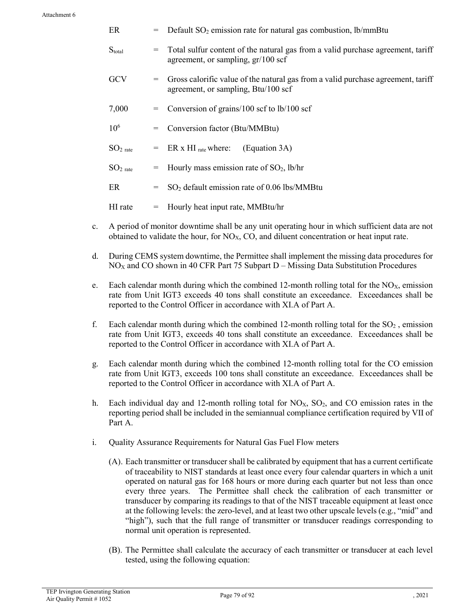| ER              | $=$ | Default $SO_2$ emission rate for natural gas combustion, lb/mmBtu                                                           |
|-----------------|-----|-----------------------------------------------------------------------------------------------------------------------------|
| $S_{total}$     | $=$ | Total sulfur content of the natural gas from a valid purchase agreement, tariff<br>agreement, or sampling, $gr/100$ scf     |
| <b>GCV</b>      |     | $=$ Gross calorific value of the natural gas from a valid purchase agreement, tariff<br>agreement, or sampling, Btu/100 scf |
| 7,000           |     | $=$ Conversion of grains/100 scf to lb/100 scf                                                                              |
| 10 <sup>6</sup> |     | $=$ Conversion factor (Btu/MMBtu)                                                                                           |
| $SO2$ rate      |     | $=$ ER x HI rate where:<br>(Equation 3A)                                                                                    |
| $SO2$ rate      | $=$ | Hourly mass emission rate of $SO_2$ , lb/hr                                                                                 |
| ER              | $=$ | $SO2$ default emission rate of 0.06 lbs/MMBtu                                                                               |
| HI rate         | $=$ | Hourly heat input rate, MMBtu/hr                                                                                            |

- c. A period of monitor downtime shall be any unit operating hour in which sufficient data are not obtained to validate the hour, for  $NO<sub>X</sub>$ , CO, and diluent concentration or heat input rate.
- d. During CEMS system downtime, the Permittee shall implement the missing data procedures for  $NO<sub>X</sub>$  and CO shown in 40 CFR Part 75 Subpart D – Missing Data Substitution Procedures
- e. Each calendar month during which the combined 12-month rolling total for the  $NO<sub>X</sub>$ , emission rate from Unit IGT3 exceeds 40 tons shall constitute an exceedance. Exceedances shall be reported to the Control Officer in accordance with XI.A of Part A.
- f. Each calendar month during which the combined 12-month rolling total for the  $SO<sub>2</sub>$ , emission rate from Unit IGT3, exceeds 40 tons shall constitute an exceedance. Exceedances shall be reported to the Control Officer in accordance with XI.A of Part A.
- g. Each calendar month during which the combined 12-month rolling total for the CO emission rate from Unit IGT3, exceeds 100 tons shall constitute an exceedance. Exceedances shall be reported to the Control Officer in accordance with XI.A of Part A.
- h. Each individual day and 12-month rolling total for  $NO<sub>X</sub>$ ,  $SO<sub>2</sub>$ , and CO emission rates in the reporting period shall be included in the semiannual compliance certification required by VII of Part A.
- i. Quality Assurance Requirements for Natural Gas Fuel Flow meters
	- (A). Each transmitter or transducer shall be calibrated by equipment that has a current certificate of traceability to NIST standards at least once every four calendar quarters in which a unit operated on natural gas for 168 hours or more during each quarter but not less than once every three years. The Permittee shall check the calibration of each transmitter or transducer by comparing its readings to that of the NIST traceable equipment at least once at the following levels: the zero-level, and at least two other upscale levels (e.g., "mid" and "high"), such that the full range of transmitter or transducer readings corresponding to normal unit operation is represented.
	- (B). The Permittee shall calculate the accuracy of each transmitter or transducer at each level tested, using the following equation: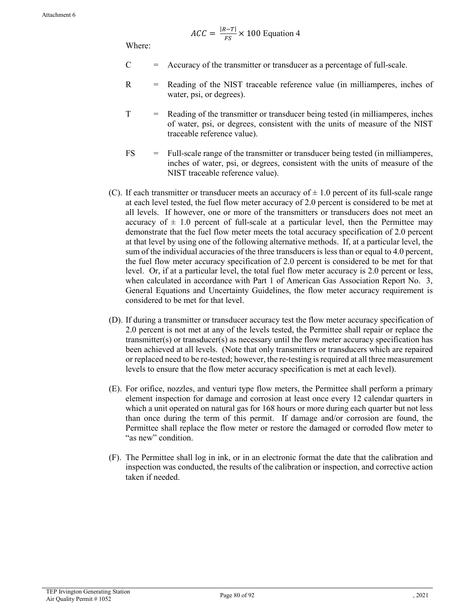$$
ACC = \frac{|R - T|}{FS} \times 100 \text{ Equation 4}
$$

Where:

- $C =$  Accuracy of the transmitter or transducer as a percentage of full-scale.
- R = Reading of the NIST traceable reference value (in milliamperes, inches of water, psi, or degrees).
- T = Reading of the transmitter or transducer being tested (in milliamperes, inches of water, psi, or degrees, consistent with the units of measure of the NIST traceable reference value).
- FS = Full-scale range of the transmitter or transducer being tested (in milliamperes, inches of water, psi, or degrees, consistent with the units of measure of the NIST traceable reference value).
- (C). If each transmitter or transducer meets an accuracy of  $\pm$  1.0 percent of its full-scale range at each level tested, the fuel flow meter accuracy of 2.0 percent is considered to be met at all levels. If however, one or more of the transmitters or transducers does not meet an accuracy of  $\pm$  1.0 percent of full-scale at a particular level, then the Permittee may demonstrate that the fuel flow meter meets the total accuracy specification of 2.0 percent at that level by using one of the following alternative methods. If, at a particular level, the sum of the individual accuracies of the three transducers is less than or equal to 4.0 percent, the fuel flow meter accuracy specification of 2.0 percent is considered to be met for that level. Or, if at a particular level, the total fuel flow meter accuracy is 2.0 percent or less, when calculated in accordance with Part 1 of American Gas Association Report No. 3, General Equations and Uncertainty Guidelines, the flow meter accuracy requirement is considered to be met for that level.
- (D). If during a transmitter or transducer accuracy test the flow meter accuracy specification of 2.0 percent is not met at any of the levels tested, the Permittee shall repair or replace the transmitter(s) or transducer(s) as necessary until the flow meter accuracy specification has been achieved at all levels. (Note that only transmitters or transducers which are repaired or replaced need to be re-tested; however, the re-testing is required at all three measurement levels to ensure that the flow meter accuracy specification is met at each level).
- (E). For orifice, nozzles, and venturi type flow meters, the Permittee shall perform a primary element inspection for damage and corrosion at least once every 12 calendar quarters in which a unit operated on natural gas for 168 hours or more during each quarter but not less than once during the term of this permit. If damage and/or corrosion are found, the Permittee shall replace the flow meter or restore the damaged or corroded flow meter to "as new" condition.
- (F). The Permittee shall log in ink, or in an electronic format the date that the calibration and inspection was conducted, the results of the calibration or inspection, and corrective action taken if needed.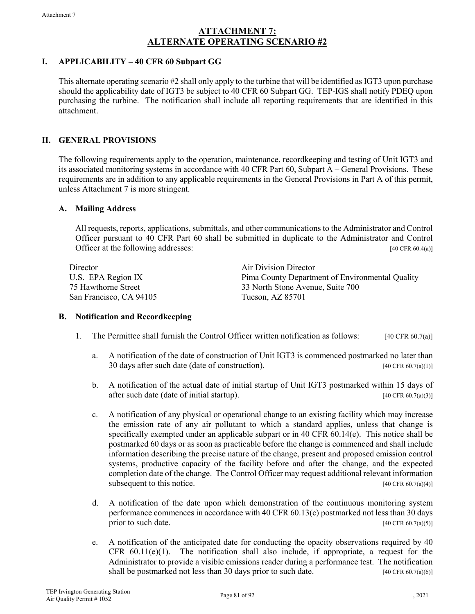# **ATTACHMENT 7: ALTERNATE OPERATING SCENARIO #2**

# **I. APPLICABILITY – 40 CFR 60 Subpart GG**

This alternate operating scenario #2 shall only apply to the turbine that will be identified as IGT3 upon purchase should the applicability date of IGT3 be subject to 40 CFR 60 Subpart GG. TEP-IGS shall notify PDEQ upon purchasing the turbine. The notification shall include all reporting requirements that are identified in this attachment.

# **II. GENERAL PROVISIONS**

The following requirements apply to the operation, maintenance, recordkeeping and testing of Unit IGT3 and its associated monitoring systems in accordance with 40 CFR Part 60, Subpart A – General Provisions. These requirements are in addition to any applicable requirements in the General Provisions in Part A of this permit, unless Attachment 7 is more stringent.

### **A. Mailing Address**

All requests, reports, applications, submittals, and other communications to the Administrator and Control Officer pursuant to 40 CFR Part 60 shall be submitted in duplicate to the Administrator and Control Officer at the following addresses:  $[40 \text{ CFR } 60.4(a)]$ 

| Director                | Air Division Director                           |
|-------------------------|-------------------------------------------------|
| U.S. EPA Region IX      | Pima County Department of Environmental Quality |
| 75 Hawthorne Street     | 33 North Stone Avenue, Suite 700                |
| San Francisco, CA 94105 | Tucson, AZ 85701                                |

### **B. Notification and Recordkeeping**

- 1. The Permittee shall furnish the Control Officer written notification as follows: [40 CFR 60.7(a)]
	- a. A notification of the date of construction of Unit IGT3 is commenced postmarked no later than 30 days after such date (date of construction). [40 CFR 60.7(a)(1)]
	- b. A notification of the actual date of initial startup of Unit IGT3 postmarked within 15 days of after such date (date of initial startup).  $[40 \text{ CFR } 60.7(a)(3)]$
	- c. A notification of any physical or operational change to an existing facility which may increase the emission rate of any air pollutant to which a standard applies, unless that change is specifically exempted under an applicable subpart or in 40 CFR 60.14(e). This notice shall be postmarked 60 days or as soon as practicable before the change is commenced and shall include information describing the precise nature of the change, present and proposed emission control systems, productive capacity of the facility before and after the change, and the expected completion date of the change. The Control Officer may request additional relevant information subsequent to this notice. [40 CFR 60.7(a)(4)]
	- d. A notification of the date upon which demonstration of the continuous monitoring system performance commences in accordance with 40 CFR 60.13(c) postmarked not less than 30 days prior to such date.  $[40 \text{ CFR } 60.7(a)(5)]$
	- e. A notification of the anticipated date for conducting the opacity observations required by 40 CFR  $60.11(e)(1)$ . The notification shall also include, if appropriate, a request for the Administrator to provide a visible emissions reader during a performance test. The notification shall be postmarked not less than 30 days prior to such date. [40 CFR 60.7(a)(6)]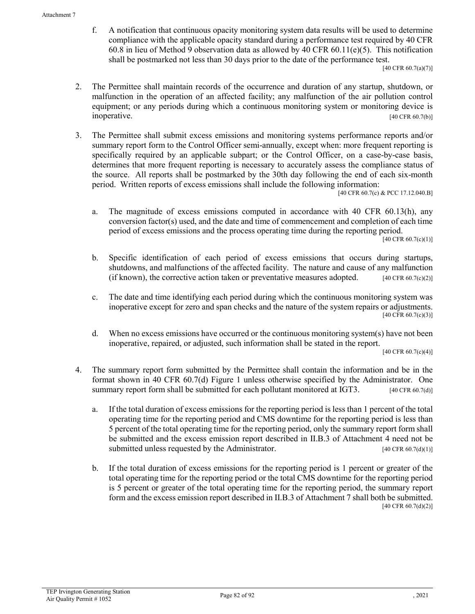f. A notification that continuous opacity monitoring system data results will be used to determine compliance with the applicable opacity standard during a performance test required by 40 CFR 60.8 in lieu of Method 9 observation data as allowed by 40 CFR 60.11(e)(5). This notification shall be postmarked not less than 30 days prior to the date of the performance test.

[40 CFR 60.7(a)(7)]

- 2. The Permittee shall maintain records of the occurrence and duration of any startup, shutdown, or malfunction in the operation of an affected facility; any malfunction of the air pollution control equipment; or any periods during which a continuous monitoring system or monitoring device is inoperative.  $[40 \text{ CFR } 60.7(b)]$
- 3. The Permittee shall submit excess emissions and monitoring systems performance reports and/or summary report form to the Control Officer semi-annually, except when: more frequent reporting is specifically required by an applicable subpart; or the Control Officer, on a case-by-case basis, determines that more frequent reporting is necessary to accurately assess the compliance status of the source. All reports shall be postmarked by the 30th day following the end of each six-month period. Written reports of excess emissions shall include the following information:

[40 CFR 60.7(c) & PCC 17.12.040.B]

a. The magnitude of excess emissions computed in accordance with 40 CFR 60.13(h), any conversion factor(s) used, and the date and time of commencement and completion of each time period of excess emissions and the process operating time during the reporting period.

 $[40 \text{ CFR } 60.7(c)(1)]$ 

- b. Specific identification of each period of excess emissions that occurs during startups, shutdowns, and malfunctions of the affected facility. The nature and cause of any malfunction (if known), the corrective action taken or preventative measures adopted.  $[40 \text{ CFR } 60.7 \text{ (c)}(2)]$
- c. The date and time identifying each period during which the continuous monitoring system was inoperative except for zero and span checks and the nature of the system repairs or adjustments. [40 CFR 60.7(c)(3)]
- d. When no excess emissions have occurred or the continuous monitoring system(s) have not been inoperative, repaired, or adjusted, such information shall be stated in the report.

[40 CFR 60.7(c)(4)]

- 4. The summary report form submitted by the Permittee shall contain the information and be in the format shown in 40 CFR 60.7(d) Figure 1 unless otherwise specified by the Administrator. One summary report form shall be submitted for each pollutant monitored at IGT3.  $[40 \text{ CFR } 60.7(d)]$ 
	- a. If the total duration of excess emissions for the reporting period is less than 1 percent of the total operating time for the reporting period and CMS downtime for the reporting period is less than 5 percent of the total operating time for the reporting period, only the summary report form shall be submitted and the excess emission report described in II.B.3 of Attachment 4 need not be submitted unless requested by the Administrator. [40 CFR 60.7(d)(1)]
	- b. If the total duration of excess emissions for the reporting period is 1 percent or greater of the total operating time for the reporting period or the total CMS downtime for the reporting period is 5 percent or greater of the total operating time for the reporting period, the summary report form and the excess emission report described in II.B.3 of Attachment 7 shall both be submitted. [40 CFR 60.7(d)(2)]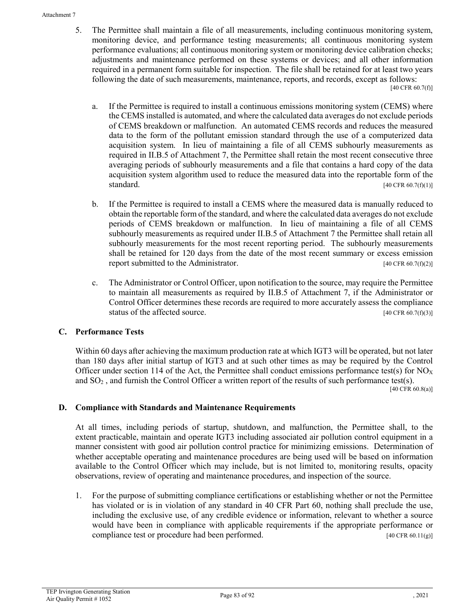#### Attachment 7

5. The Permittee shall maintain a file of all measurements, including continuous monitoring system, monitoring device, and performance testing measurements; all continuous monitoring system performance evaluations; all continuous monitoring system or monitoring device calibration checks; adjustments and maintenance performed on these systems or devices; and all other information required in a permanent form suitable for inspection. The file shall be retained for at least two years following the date of such measurements, maintenance, reports, and records, except as follows:

[40 CFR 60.7(f)]

- a. If the Permittee is required to install a continuous emissions monitoring system (CEMS) where the CEMS installed is automated, and where the calculated data averages do not exclude periods of CEMS breakdown or malfunction. An automated CEMS records and reduces the measured data to the form of the pollutant emission standard through the use of a computerized data acquisition system. In lieu of maintaining a file of all CEMS subhourly measurements as required in II.B.5 of Attachment 7, the Permittee shall retain the most recent consecutive three averaging periods of subhourly measurements and a file that contains a hard copy of the data acquisition system algorithm used to reduce the measured data into the reportable form of the standard. [40 CFR 60.7(f)(1)]
- b. If the Permittee is required to install a CEMS where the measured data is manually reduced to obtain the reportable form of the standard, and where the calculated data averages do not exclude periods of CEMS breakdown or malfunction. In lieu of maintaining a file of all CEMS subhourly measurements as required under II.B.5 of Attachment 7 the Permittee shall retain all subhourly measurements for the most recent reporting period. The subhourly measurements shall be retained for 120 days from the date of the most recent summary or excess emission report submitted to the Administrator.  $[40 \text{ CFR } 60.7 \text{ (f)}(2)]$
- c. The Administrator or Control Officer, upon notification to the source, may require the Permittee to maintain all measurements as required by II.B.5 of Attachment 7, if the Administrator or Control Officer determines these records are required to more accurately assess the compliance status of the affected source.  $[40 \text{ CFR } 60.7(f)(3)]$

# **C. Performance Tests**

Within 60 days after achieving the maximum production rate at which IGT3 will be operated, but not later than 180 days after initial startup of IGT3 and at such other times as may be required by the Control Officer under section 114 of the Act, the Permittee shall conduct emissions performance test(s) for  $NO<sub>X</sub>$ and  $SO_2$ , and furnish the Control Officer a written report of the results of such performance test(s).

[40 CFR 60.8(a)]

### **D. Compliance with Standards and Maintenance Requirements**

At all times, including periods of startup, shutdown, and malfunction, the Permittee shall, to the extent practicable, maintain and operate IGT3 including associated air pollution control equipment in a manner consistent with good air pollution control practice for minimizing emissions. Determination of whether acceptable operating and maintenance procedures are being used will be based on information available to the Control Officer which may include, but is not limited to, monitoring results, opacity observations, review of operating and maintenance procedures, and inspection of the source.

1. For the purpose of submitting compliance certifications or establishing whether or not the Permittee has violated or is in violation of any standard in 40 CFR Part 60, nothing shall preclude the use, including the exclusive use, of any credible evidence or information, relevant to whether a source would have been in compliance with applicable requirements if the appropriate performance or compliance test or procedure had been performed. [40 CFR 60.11(g)]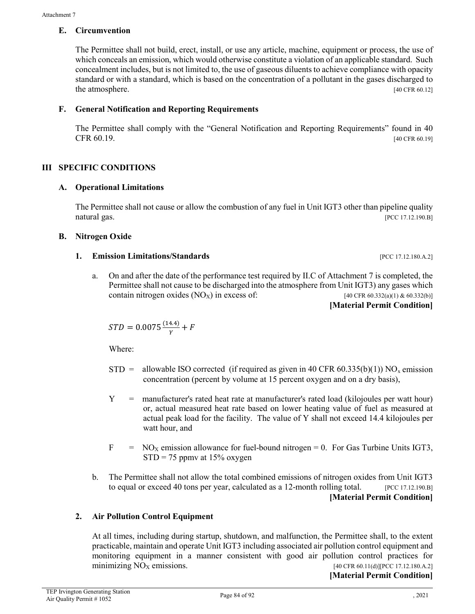### **E. Circumvention**

The Permittee shall not build, erect, install, or use any article, machine, equipment or process, the use of which conceals an emission, which would otherwise constitute a violation of an applicable standard. Such concealment includes, but is not limited to, the use of gaseous diluents to achieve compliance with opacity standard or with a standard, which is based on the concentration of a pollutant in the gases discharged to the atmosphere. [40 CFR 60.12]

# **F. General Notification and Reporting Requirements**

The Permittee shall comply with the "General Notification and Reporting Requirements" found in 40 CFR  $60.19$ . [40 CFR 60.19]

# **III SPECIFIC CONDITIONS**

# **A. Operational Limitations**

The Permittee shall not cause or allow the combustion of any fuel in Unit IGT3 other than pipeline quality natural gas. [PCC 17.12.190.B]

### **B. Nitrogen Oxide**

### **1. Emission Limitations/Standards** [PCC 17.12.180.A.2]

a. On and after the date of the performance test required by II.C of Attachment 7 is completed, the Permittee shall not cause to be discharged into the atmosphere from Unit IGT3) any gases which contain nitrogen oxides  $(NO_X)$  in excess of: [40 CFR 60.332(a)(1) & 60.332(b)]

```
[Material Permit Condition]
```

$$
STD = 0.0075 \frac{(14.4)}{Y} + F
$$

Where:

- STD = allowable ISO corrected (if required as given in 40 CFR 60.335(b)(1)) NO<sub>x</sub> emission concentration (percent by volume at 15 percent oxygen and on a dry basis),
- Y = manufacturer's rated heat rate at manufacturer's rated load (kilojoules per watt hour) or, actual measured heat rate based on lower heating value of fuel as measured at actual peak load for the facility. The value of Y shall not exceed 14.4 kilojoules per watt hour, and
- $F = NO<sub>X</sub>$  emission allowance for fuel-bound nitrogen = 0. For Gas Turbine Units IGT3,  $STD = 75$  ppmy at 15% oxygen
- b. The Permittee shall not allow the total combined emissions of nitrogen oxides from Unit IGT3 to equal or exceed 40 tons per year, calculated as a 12-month rolling total.  $[PCC 17.12.190.BT]$ **[Material Permit Condition]**

# **2. Air Pollution Control Equipment**

At all times, including during startup, shutdown, and malfunction, the Permittee shall, to the extent practicable, maintain and operate Unit IGT3 including associated air pollution control equipment and monitoring equipment in a manner consistent with good air pollution control practices for minimizing  $NO<sub>X</sub>$  emissions. [40 CFR 60.11(d)][PCC 17.12.180.A.2]

**[Material Permit Condition]**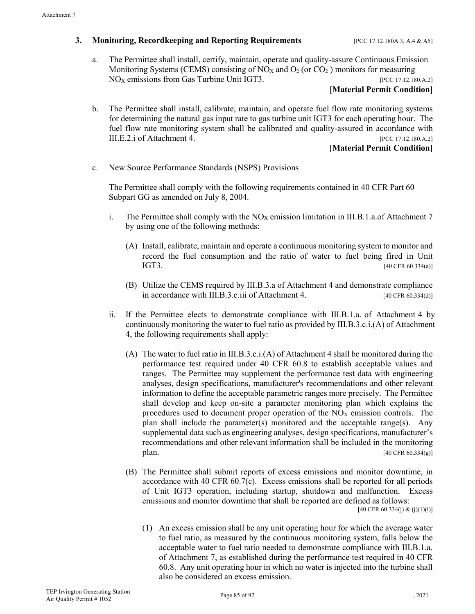### **3. Monitoring, Recordkeeping and Reporting Requirements** [PCC 17.12.180A.3, A.4 & A5]

a. The Permittee shall install, certify, maintain, operate and quality-assure Continuous Emission Monitoring Systems (CEMS) consisting of  $NO<sub>X</sub>$  and  $O<sub>2</sub>$  (or  $CO<sub>2</sub>$ ) monitors for measuring  $NO<sub>X</sub>$  emissions from Gas Turbine Unit IGT3. [PCC 17.12.180.A.2]

### **[Material Permit Condition]**

b. The Permittee shall install, calibrate, maintain, and operate fuel flow rate monitoring systems for determining the natural gas input rate to gas turbine unit IGT3 for each operating hour. The fuel flow rate monitoring system shall be calibrated and quality-assured in accordance with III.E.2.i of Attachment 4. [PCC 17.12.180.A.2]

**[Material Permit Condition]**

c. New Source Performance Standards (NSPS) Provisions

The Permittee shall comply with the following requirements contained in 40 CFR Part 60 Subpart GG as amended on July 8, 2004.

- i. The Permittee shall comply with the  $NO<sub>X</sub>$  emission limitation in III.B.1.a.of Attachment 7 by using one of the following methods:
	- (A) Install, calibrate, maintain and operate a continuous monitoring system to monitor and record the fuel consumption and the ratio of water to fuel being fired in Unit  $IGT3.$  [40 CFR 60.334(a)]
	- (B) Utilize the CEMS required by III.B.3.a of Attachment 4 and demonstrate compliance in accordance with III.B.3.c.iii of Attachment 4. [40 CFR 60.334(d)]
- ii. If the Permittee elects to demonstrate compliance with III.B.1.a. of Attachment 4 by continuously monitoring the water to fuel ratio as provided by III.B.3.c.i.(A) of Attachment 4, the following requirements shall apply:
	- (A) The water to fuel ratio in III.B.3.c.i.(A) of Attachment 4 shall be monitored during the performance test required under 40 CFR 60.8 to establish acceptable values and ranges. The Permittee may supplement the performance test data with engineering analyses, design specifications, manufacturer's recommendations and other relevant information to define the acceptable parametric ranges more precisely. The Permittee shall develop and keep on-site a parameter monitoring plan which explains the procedures used to document proper operation of the  $NO<sub>X</sub>$  emission controls. The plan shall include the parameter(s) monitored and the acceptable range(s). Any supplemental data such as engineering analyses, design specifications, manufacturer's recommendations and other relevant information shall be included in the monitoring plan.  $[40 \text{ CFR } 60.334(g)]$
	- (B) The Permittee shall submit reports of excess emissions and monitor downtime, in accordance with 40 CFR 60.7(c). Excess emissions shall be reported for all periods of Unit IGT3 operation, including startup, shutdown and malfunction. Excess emissions and monitor downtime that shall be reported are defined as follows: [40 CFR 60.334(j) & (j)(1)(i)]
		- (1) An excess emission shall be any unit operating hour for which the average water to fuel ratio, as measured by the continuous monitoring system, falls below the acceptable water to fuel ratio needed to demonstrate compliance with III.B.1.a. of Attachment 7, as established during the performance test required in 40 CFR 60.8. Any unit operating hour in which no water is injected into the turbine shall also be considered an excess emission.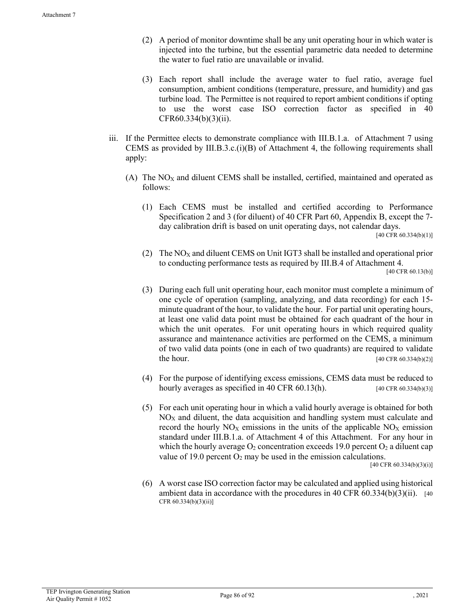- (2) A period of monitor downtime shall be any unit operating hour in which water is injected into the turbine, but the essential parametric data needed to determine the water to fuel ratio are unavailable or invalid.
- (3) Each report shall include the average water to fuel ratio, average fuel consumption, ambient conditions (temperature, pressure, and humidity) and gas turbine load. The Permittee is not required to report ambient conditions if opting to use the worst case ISO correction factor as specified in 40 CFR60.334(b)(3)(ii).
- iii. If the Permittee elects to demonstrate compliance with III.B.1.a. of Attachment 7 using CEMS as provided by III.B.3.c. $(i)(B)$  of Attachment 4, the following requirements shall apply:
	- $(A)$  The NO<sub>X</sub> and diluent CEMS shall be installed, certified, maintained and operated as follows:
		- (1) Each CEMS must be installed and certified according to Performance Specification 2 and 3 (for diluent) of 40 CFR Part 60, Appendix B, except the 7 day calibration drift is based on unit operating days, not calendar days. [40 CFR 60.334(b)(1)]
		- (2) The  $NO<sub>X</sub>$  and diluent CEMS on Unit IGT3 shall be installed and operational prior to conducting performance tests as required by III.B.4 of Attachment 4. [40 CFR 60.13(b)]
		- (3) During each full unit operating hour, each monitor must complete a minimum of one cycle of operation (sampling, analyzing, and data recording) for each 15 minute quadrant of the hour, to validate the hour. For partial unit operating hours, at least one valid data point must be obtained for each quadrant of the hour in which the unit operates. For unit operating hours in which required quality assurance and maintenance activities are performed on the CEMS, a minimum of two valid data points (one in each of two quadrants) are required to validate the hour.  $[40 \text{ CFR } 60.334(b)(2)]$
		- (4) For the purpose of identifying excess emissions, CEMS data must be reduced to hourly averages as specified in 40 CFR  $60.13(h)$ . [40 CFR  $60.334(b)(3)$ ]
		- (5) For each unit operating hour in which a valid hourly average is obtained for both  $NO<sub>X</sub>$  and diluent, the data acquisition and handling system must calculate and record the hourly  $NO<sub>X</sub>$  emissions in the units of the applicable  $NO<sub>X</sub>$  emission standard under III.B.1.a. of Attachment 4 of this Attachment. For any hour in which the hourly average  $O_2$  concentration exceeds 19.0 percent  $O_2$  a diluent cap value of 19.0 percent  $O_2$  may be used in the emission calculations.  $[40 \text{ CFR } 60.334(b)(3)(i)]$
		- (6) A worst case ISO correction factor may be calculated and applied using historical ambient data in accordance with the procedures in 40 CFR  $60.334(b)(3)(ii)$ . [40] CFR 60.334(b)(3)(ii)]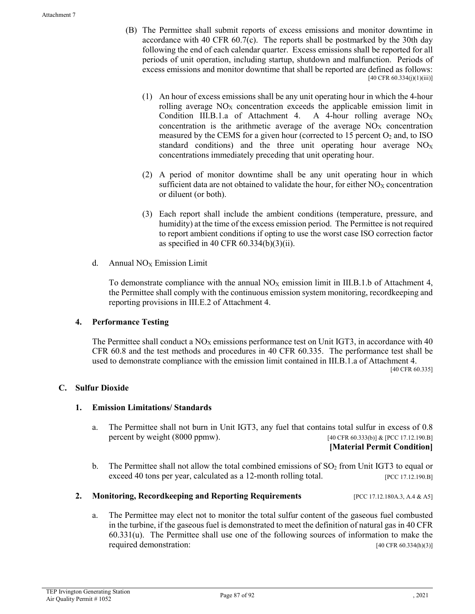- (B) The Permittee shall submit reports of excess emissions and monitor downtime in accordance with 40 CFR 60.7(c). The reports shall be postmarked by the 30th day following the end of each calendar quarter. Excess emissions shall be reported for all periods of unit operation, including startup, shutdown and malfunction. Periods of excess emissions and monitor downtime that shall be reported are defined as follows: [40 CFR 60.334(j)(1)(iii)]
	- (1) An hour of excess emissions shall be any unit operating hour in which the 4-hour rolling average  $NO<sub>x</sub>$  concentration exceeds the applicable emission limit in Condition III.B.1.a of Attachment 4. A 4-hour rolling average  $NO<sub>X</sub>$ concentration is the arithmetic average of the average  $NO<sub>x</sub>$  concentration measured by the CEMS for a given hour (corrected to  $15$  percent  $O_2$  and, to ISO standard conditions) and the three unit operating hour average  $NO<sub>X</sub>$ concentrations immediately preceding that unit operating hour.
	- (2) A period of monitor downtime shall be any unit operating hour in which sufficient data are not obtained to validate the hour, for either  $NO<sub>X</sub>$  concentration or diluent (or both).
	- (3) Each report shall include the ambient conditions (temperature, pressure, and humidity) at the time of the excess emission period. The Permittee is not required to report ambient conditions if opting to use the worst case ISO correction factor as specified in 40 CFR 60.334(b)(3)(ii).
- d. Annual  $NO<sub>X</sub>$  Emission Limit

To demonstrate compliance with the annual  $NO<sub>X</sub>$  emission limit in III.B.1.b of Attachment 4, the Permittee shall comply with the continuous emission system monitoring, recordkeeping and reporting provisions in III.E.2 of Attachment 4.

# **4. Performance Testing**

The Permittee shall conduct a  $NO<sub>X</sub>$  emissions performance test on Unit IGT3, in accordance with 40 CFR 60.8 and the test methods and procedures in 40 CFR 60.335. The performance test shall be used to demonstrate compliance with the emission limit contained in III.B.1.a of Attachment 4. [40 CFR 60.335]

# **C. Sulfur Dioxide**

### **1. Emission Limitations/ Standards**

a. The Permittee shall not burn in Unit IGT3, any fuel that contains total sulfur in excess of 0.8 percent by weight (8000 ppmw). [40 CFR 60.333(b)] & [PCC 17.12.190.B]

#### **[Material Permit Condition]**

b. The Permittee shall not allow the total combined emissions of  $SO<sub>2</sub>$  from Unit IGT3 to equal or exceed 40 tons per year, calculated as a 12-month rolling total. [PCC 17.12.190.B]

### **2. Monitoring, Recordkeeping and Reporting Requirements** [PCC 17.12.180A.3, A.4 & A5]

a. The Permittee may elect not to monitor the total sulfur content of the gaseous fuel combusted in the turbine, if the gaseous fuel is demonstrated to meet the definition of natural gas in 40 CFR 60.331(u). The Permittee shall use one of the following sources of information to make the required demonstration: [40 CFR 60.334(h)(3)]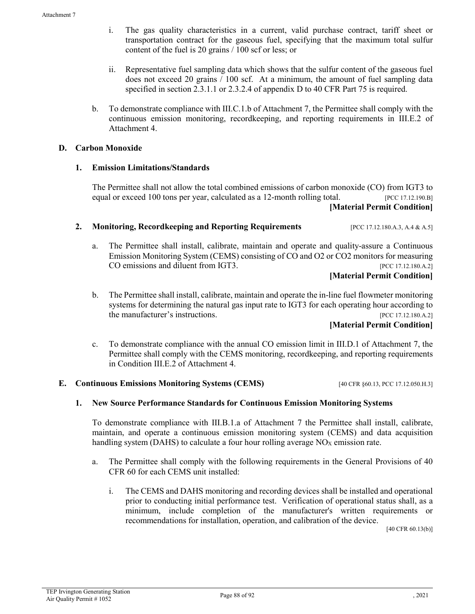- i. The gas quality characteristics in a current, valid purchase contract, tariff sheet or transportation contract for the gaseous fuel, specifying that the maximum total sulfur content of the fuel is 20 grains / 100 scf or less; or
- ii. Representative fuel sampling data which shows that the sulfur content of the gaseous fuel does not exceed 20 grains / 100 scf. At a minimum, the amount of fuel sampling data specified in section 2.3.1.1 or 2.3.2.4 of appendix D to 40 CFR Part 75 is required.
- b. To demonstrate compliance with III.C.1.b of Attachment 7, the Permittee shall comply with the continuous emission monitoring, recordkeeping, and reporting requirements in III.E.2 of Attachment 4.

### **D. Carbon Monoxide**

### **1. Emission Limitations/Standards**

The Permittee shall not allow the total combined emissions of carbon monoxide (CO) from IGT3 to equal or exceed 100 tons per year, calculated as a 12-month rolling total. [PCC 17.12.190.B] **[Material Permit Condition]**

**2. Monitoring, Recordkeeping and Reporting Requirements** [PCC 17.12.180.A.3, A.4 & A.5]

a. The Permittee shall install, calibrate, maintain and operate and quality-assure a Continuous Emission Monitoring System (CEMS) consisting of CO and O2 or CO2 monitors for measuring CO emissions and diluent from IGT3. [PCC 17.12.180.A.2]

**[Material Permit Condition]**

b. The Permittee shall install, calibrate, maintain and operate the in-line fuel flowmeter monitoring systems for determining the natural gas input rate to IGT3 for each operating hour according to the manufacturer's instructions. [PCC 17.12.180.A.2]

# **[Material Permit Condition]**

c. To demonstrate compliance with the annual CO emission limit in III.D.1 of Attachment 7, the Permittee shall comply with the CEMS monitoring, recordkeeping, and reporting requirements in Condition III.E.2 of Attachment 4.

### **E. Continuous Emissions Monitoring Systems (CEMS)** [40 CFR §60.13, PCC 17.12.050.H.3]

### **1. New Source Performance Standards for Continuous Emission Monitoring Systems**

To demonstrate compliance with III.B.1.a of Attachment 7 the Permittee shall install, calibrate, maintain, and operate a continuous emission monitoring system (CEMS) and data acquisition handling system (DAHS) to calculate a four hour rolling average  $NO<sub>X</sub>$  emission rate.

- a. The Permittee shall comply with the following requirements in the General Provisions of 40 CFR 60 for each CEMS unit installed:
	- i. The CEMS and DAHS monitoring and recording devices shall be installed and operational prior to conducting initial performance test. Verification of operational status shall, as a minimum, include completion of the manufacturer's written requirements or recommendations for installation, operation, and calibration of the device.

[40 CFR 60.13(b)]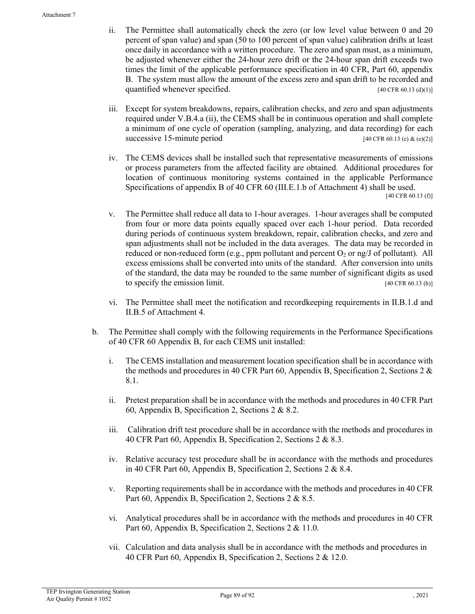- ii. The Permittee shall automatically check the zero (or low level value between 0 and 20 percent of span value) and span (50 to 100 percent of span value) calibration drifts at least once daily in accordance with a written procedure. The zero and span must, as a minimum, be adjusted whenever either the 24-hour zero drift or the 24-hour span drift exceeds two times the limit of the applicable performance specification in 40 CFR, Part 60, appendix B. The system must allow the amount of the excess zero and span drift to be recorded and quantified whenever specified. [40 CFR 60.13 (d)(1)]
- iii. Except for system breakdowns, repairs, calibration checks, and zero and span adjustments required under V.B.4.a (ii), the CEMS shall be in continuous operation and shall complete a minimum of one cycle of operation (sampling, analyzing, and data recording) for each successive 15-minute period [40 CFR 60.13 (e)  $\&$  (e)(2)]
- iv. The CEMS devices shall be installed such that representative measurements of emissions or process parameters from the affected facility are obtained. Additional procedures for location of continuous monitoring systems contained in the applicable Performance Specifications of appendix B of 40 CFR 60 (III.E.1.b of Attachment 4) shall be used. [40 CFR 60.13 (f)]
- v. The Permittee shall reduce all data to 1-hour averages. 1-hour averages shall be computed from four or more data points equally spaced over each 1-hour period. Data recorded during periods of continuous system breakdown, repair, calibration checks, and zero and span adjustments shall not be included in the data averages. The data may be recorded in reduced or non-reduced form (e.g., ppm pollutant and percent  $O_2$  or ng/J of pollutant). All excess emissions shall be converted into units of the standard. After conversion into units of the standard, the data may be rounded to the same number of significant digits as used to specify the emission limit.  $[40 \text{ CFR } 60.13 \text{ (h)}]$
- vi. The Permittee shall meet the notification and recordkeeping requirements in II.B.1.d and II.B.5 of Attachment 4.
- b. The Permittee shall comply with the following requirements in the Performance Specifications of 40 CFR 60 Appendix B, for each CEMS unit installed:
	- i. The CEMS installation and measurement location specification shall be in accordance with the methods and procedures in 40 CFR Part 60, Appendix B, Specification 2, Sections 2  $\&$ 8.1.
	- ii. Pretest preparation shall be in accordance with the methods and procedures in 40 CFR Part 60, Appendix B, Specification 2, Sections 2 & 8.2.
	- iii. Calibration drift test procedure shall be in accordance with the methods and procedures in 40 CFR Part 60, Appendix B, Specification 2, Sections 2 & 8.3.
	- iv. Relative accuracy test procedure shall be in accordance with the methods and procedures in 40 CFR Part 60, Appendix B, Specification 2, Sections 2 & 8.4.
	- v. Reporting requirements shall be in accordance with the methods and procedures in 40 CFR Part 60, Appendix B, Specification 2, Sections 2 & 8.5.
	- vi. Analytical procedures shall be in accordance with the methods and procedures in 40 CFR Part 60, Appendix B, Specification 2, Sections 2 & 11.0.
	- vii. Calculation and data analysis shall be in accordance with the methods and procedures in 40 CFR Part 60, Appendix B, Specification 2, Sections 2 & 12.0.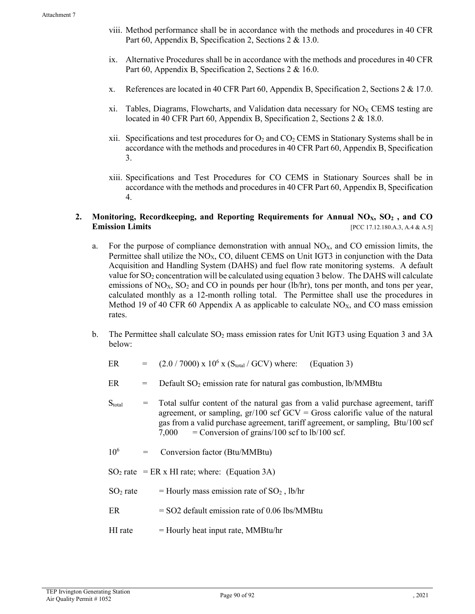- viii. Method performance shall be in accordance with the methods and procedures in 40 CFR Part 60, Appendix B, Specification 2, Sections 2 & 13.0.
- ix. Alternative Procedures shall be in accordance with the methods and procedures in 40 CFR Part 60, Appendix B, Specification 2, Sections 2 & 16.0.
- x. References are located in 40 CFR Part 60, Appendix B, Specification 2, Sections 2 & 17.0.
- xi. Tables, Diagrams, Flowcharts, and Validation data necessary for  $NO<sub>X</sub>$  CEMS testing are located in 40 CFR Part 60, Appendix B, Specification 2, Sections 2 & 18.0.
- xii. Specifications and test procedures for  $O_2$  and  $CO_2$  CEMS in Stationary Systems shall be in accordance with the methods and procedures in 40 CFR Part 60, Appendix B, Specification 3.
- xiii. Specifications and Test Procedures for CO CEMS in Stationary Sources shall be in accordance with the methods and procedures in 40 CFR Part 60, Appendix B, Specification 4.

### 2. Monitoring, Recordkeeping, and Reporting Requirements for Annual NO<sub>X</sub>, SO<sub>2</sub>, and CO **Emission Limits Emission Limits Emission Limits Emission Limits Exercíse 2.5**

- a. For the purpose of compliance demonstration with annual  $NO<sub>X</sub>$ , and CO emission limits, the Permittee shall utilize the  $NO<sub>X</sub>$ , CO, diluent CEMS on Unit IGT3 in conjunction with the Data Acquisition and Handling System (DAHS) and fuel flow rate monitoring systems. A default value for  $SO_2$  concentration will be calculated using equation 3 below. The DAHS will calculate emissions of  $NO<sub>X</sub>$ ,  $SO<sub>2</sub>$  and CO in pounds per hour (lb/hr), tons per month, and tons per year, calculated monthly as a 12-month rolling total. The Permittee shall use the procedures in Method 19 of 40 CFR 60 Appendix A as applicable to calculate  $NO<sub>X</sub>$ , and CO mass emission rates.
- b. The Permittee shall calculate  $SO<sub>2</sub>$  mass emission rates for Unit IGT3 using Equation 3 and 3A below:
	- ER  $= (2.0 / 7000) \times 10^6 \times (S_{total} / GCV)$  where: (Equation 3)
	- $ER = Default SO<sub>2</sub> emission rate for natural gas combustion, lb/MM$
	- $S<sub>total</sub>$  = Total sulfur content of the natural gas from a valid purchase agreement, tariff agreement, or sampling,  $gr/100$  scf  $GCV = Gross$  calorific value of the natural gas from a valid purchase agreement, tariff agreement, or sampling, Btu/100 scf  $7,000 =$  Conversion of grains/100 scf to lb/100 scf.
	- $10^6$  = Conversion factor (Btu/MMBtu)
	- $SO<sub>2</sub>$  rate = ER x HI rate; where: (Equation 3A)
	- $SO_2$  rate = Hourly mass emission rate of  $SO_2$ , lb/hr
	- $ER = SO2$  default emission rate of 0.06 lbs/MMBtu
	- $HI$  rate  $=$  Hourly heat input rate, MMBtu/hr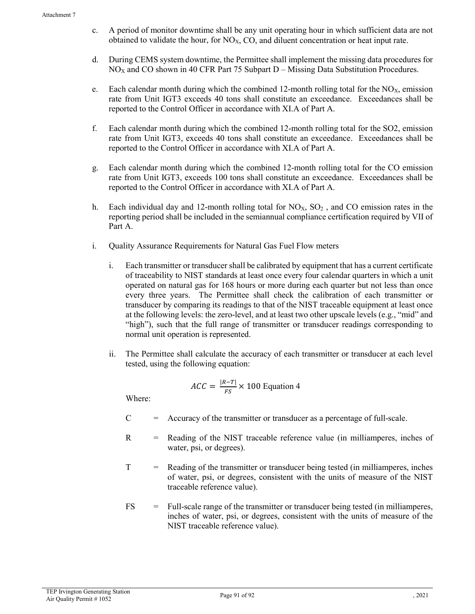- c. A period of monitor downtime shall be any unit operating hour in which sufficient data are not obtained to validate the hour, for  $NO<sub>X</sub>$ , CO, and diluent concentration or heat input rate.
- d. During CEMS system downtime, the Permittee shall implement the missing data procedures for  $NO<sub>X</sub>$  and CO shown in 40 CFR Part 75 Subpart  $D -$ Missing Data Substitution Procedures.
- e. Each calendar month during which the combined 12-month rolling total for the  $NO<sub>X</sub>$ , emission rate from Unit IGT3 exceeds 40 tons shall constitute an exceedance. Exceedances shall be reported to the Control Officer in accordance with XI.A of Part A.
- f. Each calendar month during which the combined 12-month rolling total for the SO2, emission rate from Unit IGT3, exceeds 40 tons shall constitute an exceedance. Exceedances shall be reported to the Control Officer in accordance with XI.A of Part A.
- g. Each calendar month during which the combined 12-month rolling total for the CO emission rate from Unit IGT3, exceeds 100 tons shall constitute an exceedance. Exceedances shall be reported to the Control Officer in accordance with XI.A of Part A.
- h. Each individual day and 12-month rolling total for  $N_{\alpha}S_{\alpha}S_{\alpha}$ , and CO emission rates in the reporting period shall be included in the semiannual compliance certification required by VII of Part A.
- i. Quality Assurance Requirements for Natural Gas Fuel Flow meters
	- i. Each transmitter or transducer shall be calibrated by equipment that has a current certificate of traceability to NIST standards at least once every four calendar quarters in which a unit operated on natural gas for 168 hours or more during each quarter but not less than once every three years. The Permittee shall check the calibration of each transmitter or transducer by comparing its readings to that of the NIST traceable equipment at least once at the following levels: the zero-level, and at least two other upscale levels (e.g., "mid" and "high"), such that the full range of transmitter or transducer readings corresponding to normal unit operation is represented.
	- ii. The Permittee shall calculate the accuracy of each transmitter or transducer at each level tested, using the following equation:

$$
ACC = \frac{|R - T|}{FS} \times 100 \text{ Equation 4}
$$

Where:

- $C =$  Accuracy of the transmitter or transducer as a percentage of full-scale.
- R = Reading of the NIST traceable reference value (in milliamperes, inches of water, psi, or degrees).
- T = Reading of the transmitter or transducer being tested (in milliamperes, inches of water, psi, or degrees, consistent with the units of measure of the NIST traceable reference value).
- FS = Full-scale range of the transmitter or transducer being tested (in milliamperes, inches of water, psi, or degrees, consistent with the units of measure of the NIST traceable reference value).